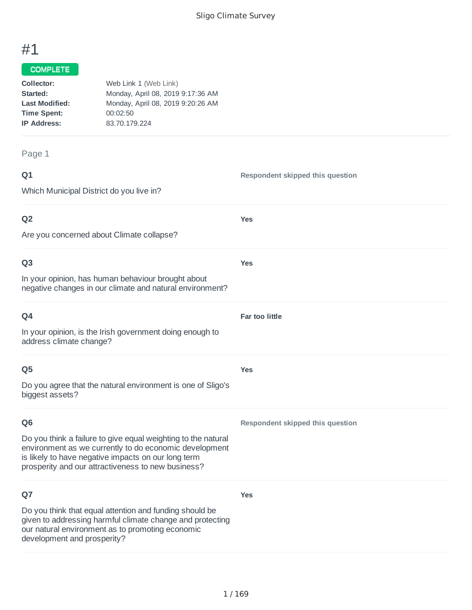# #1

#### COMPLETE

| Collector:            | Web Link 1 (Web Link)             |
|-----------------------|-----------------------------------|
| Started:              | Monday, April 08, 2019 9:17:36 AM |
| <b>Last Modified:</b> | Monday, April 08, 2019 9:20:26 AM |
| <b>Time Spent:</b>    | 00:02:50                          |
| <b>IP Address:</b>    | 83.70.179.224                     |
|                       |                                   |

Page 1

# **Q1** Which Municipal District do you live in? **Respondent skipped this question Q2** Are you concerned about Climate collapse? **Yes Q3** In your opinion, has human behaviour brought about negative changes in our climate and natural environment? **Yes Q4** In your opinion, is the Irish government doing enough to address climate change? **Far too little Q5** Do you agree that the natural environment is one of Sligo's biggest assets? **Yes Q6** Do you think a failure to give equal weighting to the natural environment as we currently to do economic development is likely to have negative impacts on our long term prosperity and our attractiveness to new business? **Respondent skipped this question Q7** Do you think that equal attention and funding should be given to addressing harmful climate change and protecting our natural environment as to promoting economic development and prosperity? **Yes**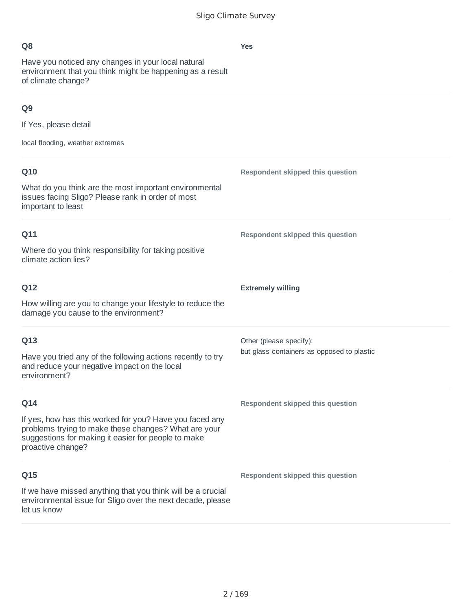Have you noticed any changes in your local natural environment that you think might be happening as a result of climate change?

# **Q9**

If Yes, please detail

local flooding, weather extremes

| Q10                                                                                                                                                                                         | Respondent skipped this question           |
|---------------------------------------------------------------------------------------------------------------------------------------------------------------------------------------------|--------------------------------------------|
| What do you think are the most important environmental<br>issues facing Sligo? Please rank in order of most<br>important to least                                                           |                                            |
| Q11                                                                                                                                                                                         | Respondent skipped this question           |
| Where do you think responsibility for taking positive<br>climate action lies?                                                                                                               |                                            |
| Q12                                                                                                                                                                                         | <b>Extremely willing</b>                   |
| How willing are you to change your lifestyle to reduce the<br>damage you cause to the environment?                                                                                          |                                            |
| Q13                                                                                                                                                                                         | Other (please specify):                    |
| Have you tried any of the following actions recently to try<br>and reduce your negative impact on the local<br>environment?                                                                 | but glass containers as opposed to plastic |
| Q14                                                                                                                                                                                         | Respondent skipped this question           |
| If yes, how has this worked for you? Have you faced any<br>problems trying to make these changes? What are your<br>suggestions for making it easier for people to make<br>proactive change? |                                            |
| Q15                                                                                                                                                                                         | Respondent skipped this question           |
| If we have missed anything that you think will be a crucial<br>environmental issue for Sligo over the next decade, please<br>let us know                                                    |                                            |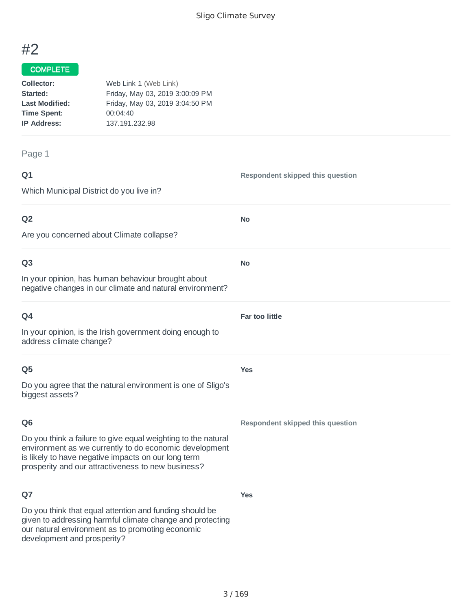# #2

### COMPLETE

| Collector:            | Web Link 1 (Web Link)           |
|-----------------------|---------------------------------|
| Started:              | Friday, May 03, 2019 3:00:09 PM |
| <b>Last Modified:</b> | Friday, May 03, 2019 3:04:50 PM |
| <b>Time Spent:</b>    | 00:04:40                        |
| <b>IP Address:</b>    | 137.191.232.98                  |
|                       |                                 |

Page 1

# **Q1** Which Municipal District do you live in? **Respondent skipped this question Q2** Are you concerned about Climate collapse? **No Q3 No**

In your opinion, has human behaviour brought about negative changes in our climate and natural environment?

| Q4                                                                                  | <b>Far too little</b> |
|-------------------------------------------------------------------------------------|-----------------------|
| In your opinion, is the Irish government doing enough to<br>address climate change? |                       |
| Q <sub>5</sub>                                                                      | <b>Yes</b>            |
| Do you agree that the natural environment is one of Sligo's<br>biggest assets?      |                       |

### **Q6**

Do you think a failure to give equal weighting to the natural environment as we currently to do economic development is likely to have negative impacts on our long term prosperity and our attractiveness to new business?

### **Q7**

**Yes**

**Respondent skipped this question**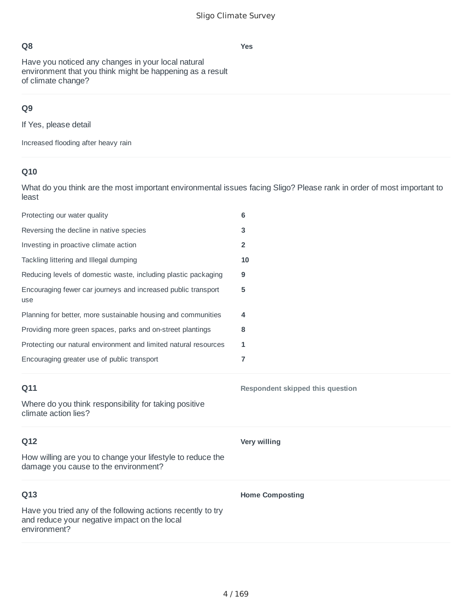**Yes**

## **Q8**

Have you noticed any changes in your local natural environment that you think might be happening as a result of climate change?

# **Q9**

If Yes, please detail

Increased flooding after heavy rain

# **Q10**

What do you think are the most important environmental issues facing Sligo? Please rank in order of most important to least

| Protecting our water quality                                                                       | 6                                |
|----------------------------------------------------------------------------------------------------|----------------------------------|
| Reversing the decline in native species                                                            | 3                                |
| Investing in proactive climate action                                                              | 2                                |
| Tackling littering and Illegal dumping                                                             | 10                               |
| Reducing levels of domestic waste, including plastic packaging                                     | 9                                |
| Encouraging fewer car journeys and increased public transport<br>use                               | 5                                |
| Planning for better, more sustainable housing and communities                                      | 4                                |
| Providing more green spaces, parks and on-street plantings                                         | 8                                |
| Protecting our natural environment and limited natural resources                                   | 1                                |
| Encouraging greater use of public transport                                                        | 7                                |
|                                                                                                    |                                  |
| Q11                                                                                                | Respondent skipped this question |
| Where do you think responsibility for taking positive<br>climate action lies?                      |                                  |
| Q12                                                                                                | Very willing                     |
| How willing are you to change your lifestyle to reduce the<br>damage you cause to the environment? |                                  |
| Q13                                                                                                | <b>Home Composting</b>           |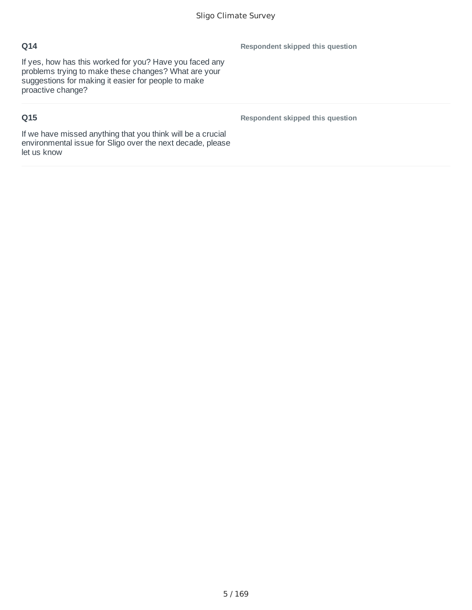If yes, how has this worked for you? Have you faced any problems trying to make these changes? What are your suggestions for making it easier for people to make proactive change?

# **Q15**

**Respondent skipped this question**

**Respondent skipped this question**

If we have missed anything that you think will be a crucial environmental issue for Sligo over the next decade, please let us know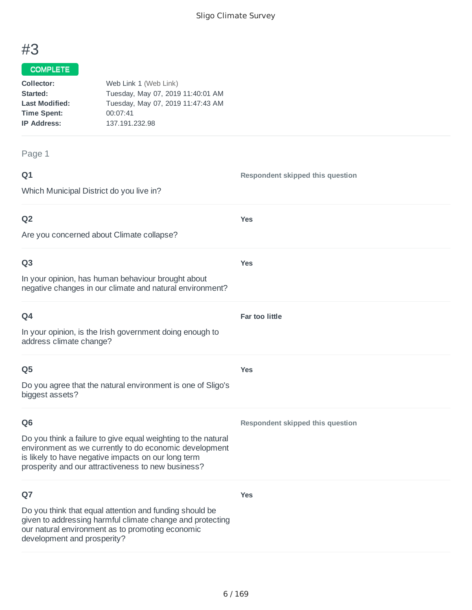# #3

#### COMPLETE

| Collector:            | Web Link 1 (Web Link)             |
|-----------------------|-----------------------------------|
| Started:              | Tuesday, May 07, 2019 11:40:01 AM |
| <b>Last Modified:</b> | Tuesday, May 07, 2019 11:47:43 AM |
| <b>Time Spent:</b>    | 00:07:41                          |
| <b>IP Address:</b>    | 137.191.232.98                    |
|                       |                                   |

Page 1

# **Q1** Which Municipal District do you live in? **Respondent skipped this question Q2** Are you concerned about Climate collapse? **Yes Q3** In your opinion, has human behaviour brought about negative changes in our climate and natural environment? **Yes Q4** In your opinion, is the Irish government doing enough to address climate change? **Far too little Q5** Do you agree that the natural environment is one of Sligo's biggest assets? **Yes Q6** Do you think a failure to give equal weighting to the natural environment as we currently to do economic development is likely to have negative impacts on our long term prosperity and our attractiveness to new business? **Respondent skipped this question Q7** Do you think that equal attention and funding should be given to addressing harmful climate change and protecting our natural environment as to promoting economic development and prosperity? **Yes**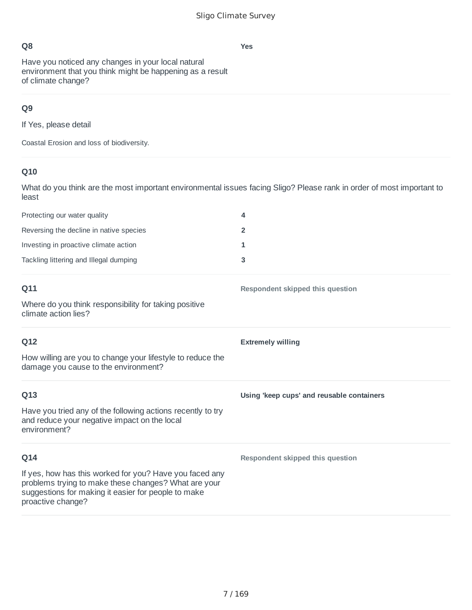Have you noticed any changes in your local natural environment that you think might be happening as a result of climate change?

# **Q9**

If Yes, please detail

Coastal Erosion and loss of biodiversity.

# **Q10**

What do you think are the most important environmental issues facing Sligo? Please rank in order of most important to least

| Protecting our water quality            | 4 |
|-----------------------------------------|---|
| Reversing the decline in native species |   |
| Investing in proactive climate action   |   |
| Tackling littering and Illegal dumping  |   |

| Q11                                                                                                                                                                                         | Respondent skipped this question          |
|---------------------------------------------------------------------------------------------------------------------------------------------------------------------------------------------|-------------------------------------------|
| Where do you think responsibility for taking positive<br>climate action lies?                                                                                                               |                                           |
| Q12                                                                                                                                                                                         | <b>Extremely willing</b>                  |
| How willing are you to change your lifestyle to reduce the<br>damage you cause to the environment?                                                                                          |                                           |
| Q13                                                                                                                                                                                         | Using 'keep cups' and reusable containers |
| Have you tried any of the following actions recently to try<br>and reduce your negative impact on the local<br>environment?                                                                 |                                           |
| Q14                                                                                                                                                                                         | Respondent skipped this question          |
| If yes, how has this worked for you? Have you faced any<br>problems trying to make these changes? What are your<br>suggestions for making it easier for people to make<br>proactive change? |                                           |

**Yes**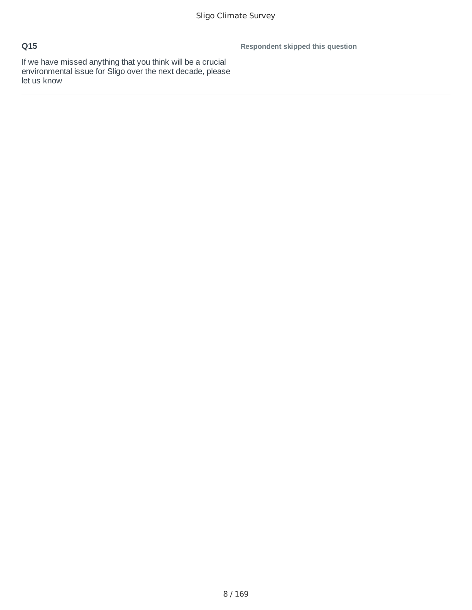**Respondent skipped this question**

If we have missed anything that you think will be a crucial environmental issue for Sligo over the next decade, please let us know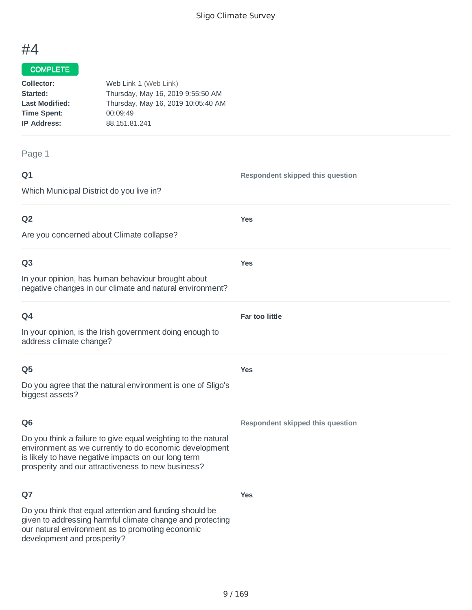# #4

### COMPLETE

| Collector:            | Web Link 1 (Web Link)              |
|-----------------------|------------------------------------|
| Started:              | Thursday, May 16, 2019 9:55:50 AM  |
| <b>Last Modified:</b> | Thursday, May 16, 2019 10:05:40 AM |
| <b>Time Spent:</b>    | 00:09:49                           |
| <b>IP Address:</b>    | 88.151.81.241                      |
|                       |                                    |

Page 1

# **Q1** Which Municipal District do you live in? **Respondent skipped this question Q2** Are you concerned about Climate collapse? **Yes Q3** In your opinion, has human behaviour brought about negative changes in our climate and natural environment? **Yes Q4** In your opinion, is the Irish government doing enough to address climate change? **Far too little Q5** Do you agree that the natural environment is one of Sligo's biggest assets? **Yes Q6** Do you think a failure to give equal weighting to the natural environment as we currently to do economic development is likely to have negative impacts on our long term prosperity and our attractiveness to new business? **Respondent skipped this question Q7** Do you think that equal attention and funding should be given to addressing harmful climate change and protecting our natural environment as to promoting economic development and prosperity? **Yes**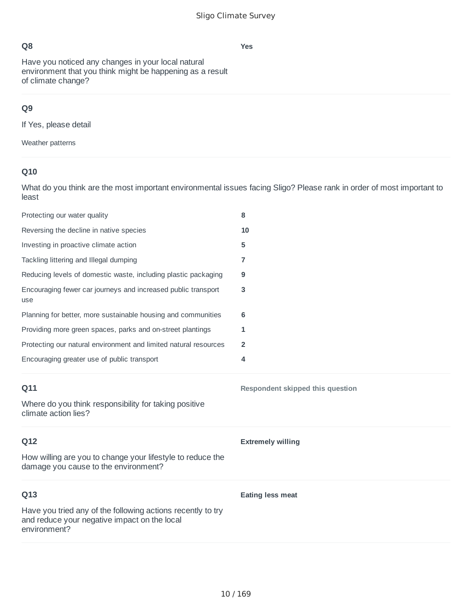**Yes**

## **Q8**

Have you noticed any changes in your local natural environment that you think might be happening as a result of climate change?

# **Q9**

If Yes, please detail

Weather patterns

## **Q10**

What do you think are the most important environmental issues facing Sligo? Please rank in order of most important to least

| Protecting our water quality                                                                       | 8                                |
|----------------------------------------------------------------------------------------------------|----------------------------------|
| Reversing the decline in native species                                                            | 10                               |
| Investing in proactive climate action                                                              | 5                                |
| Tackling littering and Illegal dumping                                                             | 7                                |
| Reducing levels of domestic waste, including plastic packaging                                     | 9                                |
| Encouraging fewer car journeys and increased public transport<br>use                               | 3                                |
| Planning for better, more sustainable housing and communities                                      | 6                                |
| Providing more green spaces, parks and on-street plantings                                         | 1                                |
| Protecting our natural environment and limited natural resources                                   | $\overline{2}$                   |
| Encouraging greater use of public transport                                                        | 4                                |
| Q11                                                                                                |                                  |
|                                                                                                    | Respondent skipped this question |
| Where do you think responsibility for taking positive<br>climate action lies?                      |                                  |
| Q12                                                                                                | <b>Extremely willing</b>         |
| How willing are you to change your lifestyle to reduce the<br>damage you cause to the environment? |                                  |
| Q13                                                                                                | <b>Eating less meat</b>          |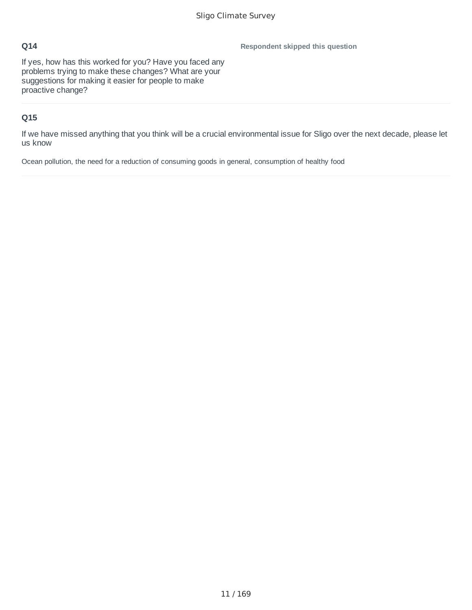**Respondent skipped this question**

If yes, how has this worked for you? Have you faced any problems trying to make these changes? What are your suggestions for making it easier for people to make proactive change?

## **Q15**

If we have missed anything that you think will be a crucial environmental issue for Sligo over the next decade, please let us know

Ocean pollution, the need for a reduction of consuming goods in general, consumption of healthy food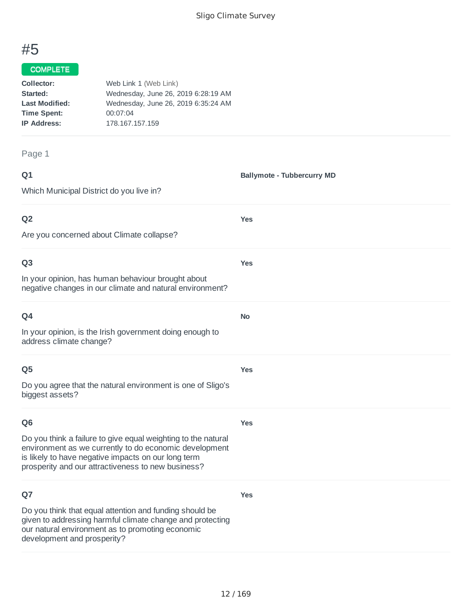**Ballymote - Tubbercurry MD**

# #5

#### COMPLETE

| Collector:            | Web Link 1 (Web Link)               |
|-----------------------|-------------------------------------|
| Started:              | Wednesday, June 26, 2019 6:28:19 AM |
| <b>Last Modified:</b> | Wednesday, June 26, 2019 6:35:24 AM |
| <b>Time Spent:</b>    | 00:07:04                            |
| <b>IP Address:</b>    | 178.167.157.159                     |
|                       |                                     |

#### Page 1

#### **Q1**

Which Municipal District do you live in?

### **Q2**

Are you concerned about Climate collapse?

### **Q3**

In your opinion, has human behaviour brought about negative changes in our climate and natural environment?

| ۰<br>٠<br>I<br>×<br>w<br>× |
|----------------------------|
|----------------------------|

In your opinion, is the Irish government doing enough to address climate change?

### **Q5**

Do you agree that the natural environment is one of Sligo's biggest assets?

### **Q6**

**Yes**

**Yes**

**Yes**

**Yes**

**No**

**Yes**

Do you think a failure to give equal weighting to the natural environment as we currently to do economic development is likely to have negative impacts on our long term prosperity and our attractiveness to new business?

### **Q7**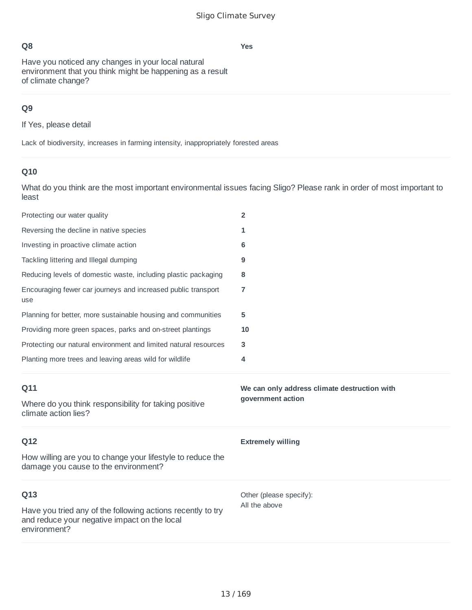**Yes**

Have you noticed any changes in your local natural environment that you think might be happening as a result of climate change?

### **Q9**

If Yes, please detail

Lack of biodiversity, increases in farming intensity, inappropriately forested areas

# **Q10**

What do you think are the most important environmental issues facing Sligo? Please rank in order of most important to least

| Protecting our water quality                                                                       | $\overline{2}$                               |
|----------------------------------------------------------------------------------------------------|----------------------------------------------|
| Reversing the decline in native species                                                            | 1                                            |
| Investing in proactive climate action                                                              | 6                                            |
| Tackling littering and Illegal dumping                                                             | 9                                            |
| Reducing levels of domestic waste, including plastic packaging                                     | 8                                            |
| Encouraging fewer car journeys and increased public transport<br>use                               | $\overline{7}$                               |
| Planning for better, more sustainable housing and communities                                      | 5                                            |
| Providing more green spaces, parks and on-street plantings                                         | 10                                           |
| Protecting our natural environment and limited natural resources                                   | 3                                            |
| Planting more trees and leaving areas wild for wildlife                                            | 4                                            |
|                                                                                                    |                                              |
| Q11                                                                                                | We can only address climate destruction with |
| Where do you think responsibility for taking positive<br>climate action lies?                      | government action                            |
| Q12                                                                                                | <b>Extremely willing</b>                     |
| How willing are you to change your lifestyle to reduce the<br>damage you cause to the environment? |                                              |
| Q13                                                                                                | Other (please specify):                      |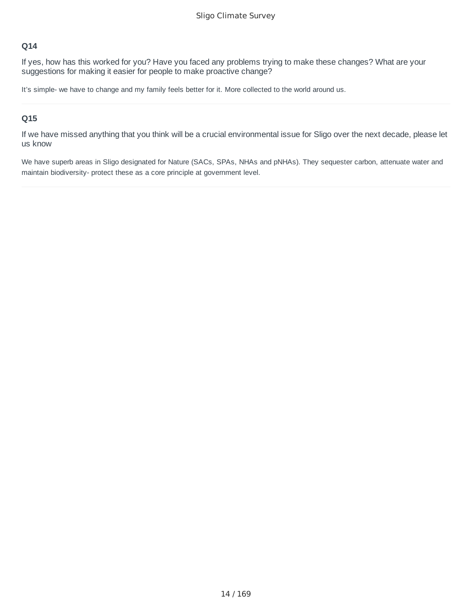If yes, how has this worked for you? Have you faced any problems trying to make these changes? What are your suggestions for making it easier for people to make proactive change?

It's simple- we have to change and my family feels better for it. More collected to the world around us.

### **Q15**

If we have missed anything that you think will be a crucial environmental issue for Sligo over the next decade, please let us know

We have superb areas in Sligo designated for Nature (SACs, SPAs, NHAs and pNHAs). They sequester carbon, attenuate water and maintain biodiversity- protect these as a core principle at government level.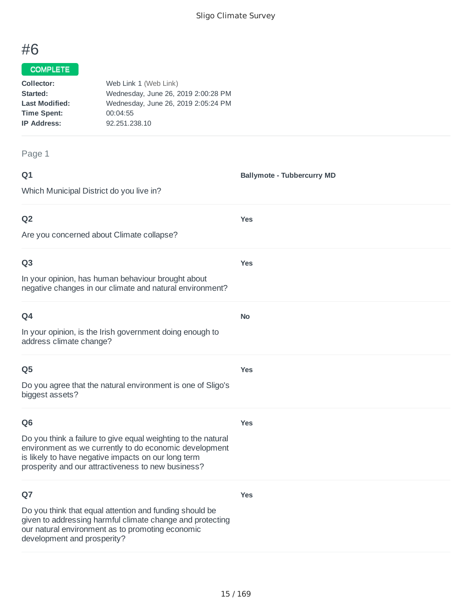# #6

### COMPLETE

| Collector:            | Web Link 1 (Web Link)               |
|-----------------------|-------------------------------------|
| Started:              | Wednesday, June 26, 2019 2:00:28 PM |
| <b>Last Modified:</b> | Wednesday, June 26, 2019 2:05:24 PM |
| <b>Time Spent:</b>    | 00:04:55                            |
| <b>IP Address:</b>    | 92.251.238.10                       |
|                       |                                     |

#### Page 1

| ۰           | ٧ |
|-------------|---|
| ۰<br>w<br>× |   |

**Ballymote - Tubbercurry MD**

**Yes**

**Yes**

**No**

**Yes**

**Yes**

**Yes**

Which Municipal District do you live in?

### **Q2**

Are you concerned about Climate collapse?

### **Q3**

In your opinion, has human behaviour brought about negative changes in our climate and natural environment?

| O4                                                       |
|----------------------------------------------------------|
| In your opinion, is the Irish government doing enough to |
| address climate change?                                  |

### **Q5**

Do you agree that the natural environment is one of Sligo's biggest assets?

### **Q6**

Do you think a failure to give equal weighting to the natural environment as we currently to do economic development is likely to have negative impacts on our long term prosperity and our attractiveness to new business?

### **Q7**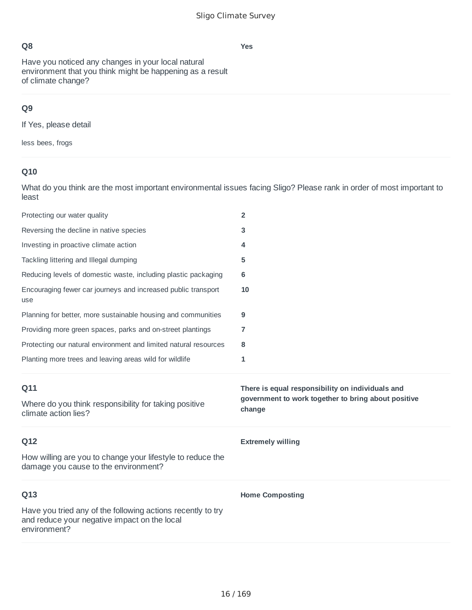Have you noticed any changes in your local natural environment that you think might be happening as a result of climate change?

# **Q9**

If Yes, please detail

less bees, frogs

# **Q10**

What do you think are the most important environmental issues facing Sligo? Please rank in order of most important to least

| Protecting our water quality                                                                       | $\overline{2}$                                                                                                    |
|----------------------------------------------------------------------------------------------------|-------------------------------------------------------------------------------------------------------------------|
| Reversing the decline in native species                                                            | 3                                                                                                                 |
| Investing in proactive climate action                                                              | 4                                                                                                                 |
| Tackling littering and Illegal dumping                                                             | 5                                                                                                                 |
| Reducing levels of domestic waste, including plastic packaging                                     | 6                                                                                                                 |
| Encouraging fewer car journeys and increased public transport<br>use                               | 10                                                                                                                |
| Planning for better, more sustainable housing and communities                                      | 9                                                                                                                 |
| Providing more green spaces, parks and on-street plantings                                         | 7                                                                                                                 |
| Protecting our natural environment and limited natural resources                                   | 8                                                                                                                 |
| Planting more trees and leaving areas wild for wildlife                                            | 1                                                                                                                 |
|                                                                                                    |                                                                                                                   |
| Q11<br>Where do you think responsibility for taking positive<br>climate action lies?               | There is equal responsibility on individuals and<br>government to work together to bring about positive<br>change |
| Q12                                                                                                | <b>Extremely willing</b>                                                                                          |
| How willing are you to change your lifestyle to reduce the<br>damage you cause to the environment? |                                                                                                                   |
| Q13                                                                                                | <b>Home Composting</b>                                                                                            |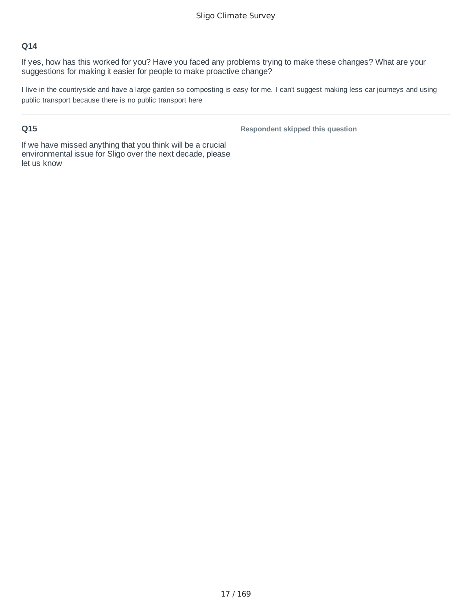If yes, how has this worked for you? Have you faced any problems trying to make these changes? What are your suggestions for making it easier for people to make proactive change?

I live in the countryside and have a large garden so composting is easy for me. I can't suggest making less car journeys and using public transport because there is no public transport here

### **Q15**

**Respondent skipped this question**

If we have missed anything that you think will be a crucial environmental issue for Sligo over the next decade, please let us know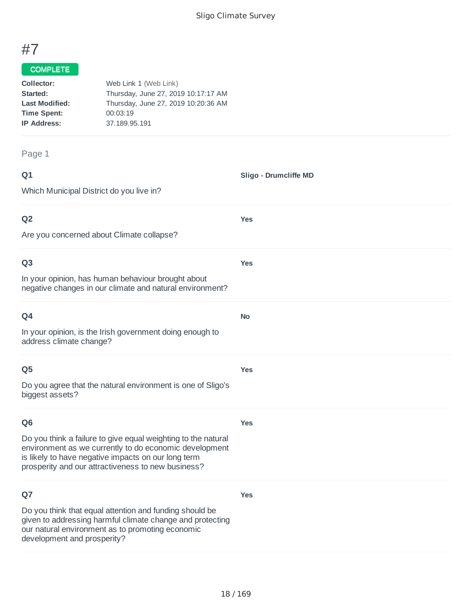**Sligo - Drumcliffe MD**

**Yes**

**Yes**

**No**

**Yes**

# #7

#### COMPLETE

| Collector:            | Web Link 1 (Web Link)               |
|-----------------------|-------------------------------------|
| Started:              | Thursday, June 27, 2019 10:17:17 AM |
| <b>Last Modified:</b> | Thursday, June 27, 2019 10:20:36 AM |
| <b>Time Spent:</b>    | 00:03:19                            |
| <b>IP Address:</b>    | 37.189.95.191                       |
|                       |                                     |

Page 1

### **Q1**

Which Municipal District do you live in?

### **Q2**

Are you concerned about Climate collapse?

### **Q3**

In your opinion, has human behaviour brought about negative changes in our climate and natural environment?

| w<br>× |
|--------|
|--------|

In your opinion, is the Irish government doing enough to address climate change?

### **Q5**

Do you agree that the natural environment is one of Sligo's biggest assets?

### **Q6**

**Yes**

**Yes**

Do you think a failure to give equal weighting to the natural environment as we currently to do economic development is likely to have negative impacts on our long term prosperity and our attractiveness to new business?

### **Q7**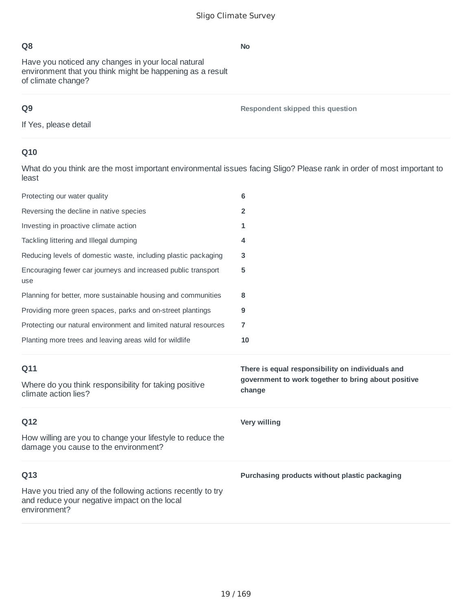Have you noticed any changes in your local natural environment that you think might be happening as a result of climate change?

# **Q9**

**Respondent skipped this question**

If Yes, please detail

## **Q10**

What do you think are the most important environmental issues facing Sligo? Please rank in order of most important to least

| Protecting our water quality                                                                                                | 6                                                                                                                 |
|-----------------------------------------------------------------------------------------------------------------------------|-------------------------------------------------------------------------------------------------------------------|
| Reversing the decline in native species                                                                                     | $\overline{2}$                                                                                                    |
| Investing in proactive climate action                                                                                       | 1                                                                                                                 |
| Tackling littering and Illegal dumping                                                                                      | 4                                                                                                                 |
| Reducing levels of domestic waste, including plastic packaging                                                              | 3                                                                                                                 |
| Encouraging fewer car journeys and increased public transport<br>use                                                        | 5                                                                                                                 |
| Planning for better, more sustainable housing and communities                                                               | 8                                                                                                                 |
| Providing more green spaces, parks and on-street plantings                                                                  | 9                                                                                                                 |
| Protecting our natural environment and limited natural resources                                                            | 7                                                                                                                 |
| Planting more trees and leaving areas wild for wildlife                                                                     | 10                                                                                                                |
|                                                                                                                             |                                                                                                                   |
| Q11<br>Where do you think responsibility for taking positive<br>climate action lies?                                        | There is equal responsibility on individuals and<br>government to work together to bring about positive<br>change |
| Q12                                                                                                                         | <b>Very willing</b>                                                                                               |
| How willing are you to change your lifestyle to reduce the<br>damage you cause to the environment?                          |                                                                                                                   |
| Q13                                                                                                                         | Purchasing products without plastic packaging                                                                     |
| Have you tried any of the following actions recently to try<br>and reduce your negative impact on the local<br>environment? |                                                                                                                   |

**No**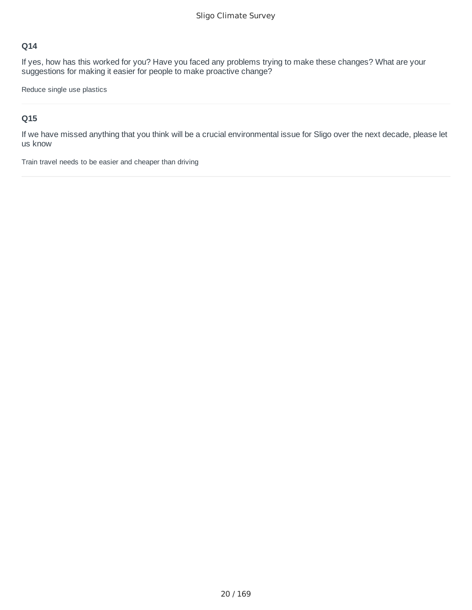If yes, how has this worked for you? Have you faced any problems trying to make these changes? What are your suggestions for making it easier for people to make proactive change?

Reduce single use plastics

### **Q15**

If we have missed anything that you think will be a crucial environmental issue for Sligo over the next decade, please let us know

Train travel needs to be easier and cheaper than driving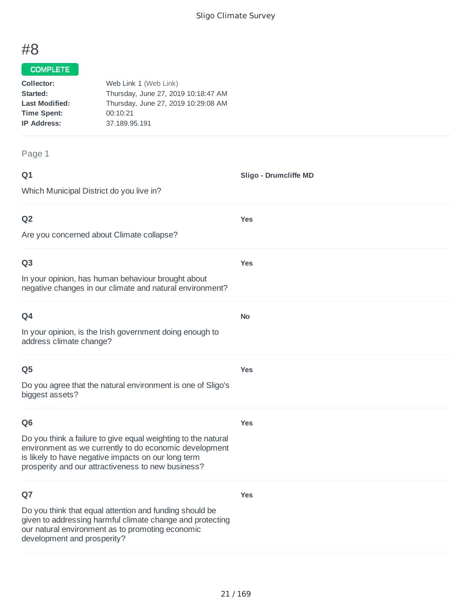**Sligo - Drumcliffe MD**

**Yes**

**Yes**

**No**

**Yes**

# #8

#### COMPLETE

| Collector:            | Web Link 1 (Web Link)               |
|-----------------------|-------------------------------------|
| Started:              | Thursday, June 27, 2019 10:18:47 AM |
| <b>Last Modified:</b> | Thursday, June 27, 2019 10:29:08 AM |
| <b>Time Spent:</b>    | 00:10:21                            |
| <b>IP Address:</b>    | 37.189.95.191                       |
|                       |                                     |

Page 1

### **Q1**

Which Municipal District do you live in?

### **Q2**

Are you concerned about Climate collapse?

### **Q3**

In your opinion, has human behaviour brought about negative changes in our climate and natural environment?

In your opinion, is the Irish government doing enough to address climate change?

### **Q5**

Do you agree that the natural environment is one of Sligo's biggest assets?

### **Q6**

**Yes**

**Yes**

Do you think a failure to give equal weighting to the natural environment as we currently to do economic development is likely to have negative impacts on our long term prosperity and our attractiveness to new business?

### **Q7**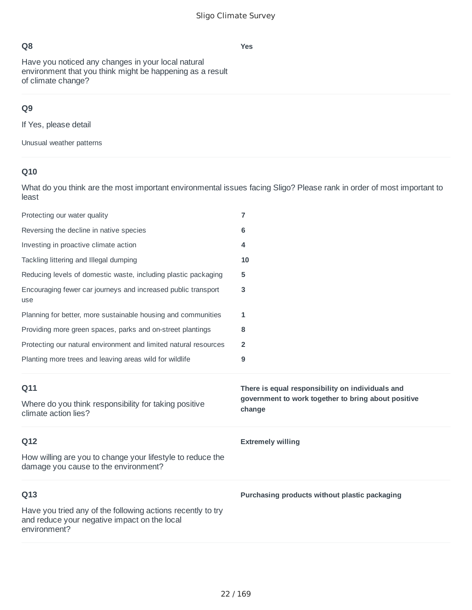Have you noticed any changes in your local natural environment that you think might be happening as a result of climate change?

# **Q9**

If Yes, please detail

Unusual weather patterns

# **Q10**

What do you think are the most important environmental issues facing Sligo? Please rank in order of most important to least

| Protecting our water quality                                                                       | 7                                                             |
|----------------------------------------------------------------------------------------------------|---------------------------------------------------------------|
| Reversing the decline in native species                                                            | 6                                                             |
| Investing in proactive climate action                                                              | 4                                                             |
| Tackling littering and Illegal dumping                                                             | 10                                                            |
| Reducing levels of domestic waste, including plastic packaging                                     | 5                                                             |
| Encouraging fewer car journeys and increased public transport<br>use                               | 3                                                             |
| Planning for better, more sustainable housing and communities                                      | 1                                                             |
| Providing more green spaces, parks and on-street plantings                                         | 8                                                             |
| Protecting our natural environment and limited natural resources                                   | $\overline{2}$                                                |
| Planting more trees and leaving areas wild for wildlife                                            | 9                                                             |
|                                                                                                    |                                                               |
| Q11                                                                                                | There is equal responsibility on individuals and              |
| Where do you think responsibility for taking positive<br>climate action lies?                      | government to work together to bring about positive<br>change |
| Q12                                                                                                | <b>Extremely willing</b>                                      |
| How willing are you to change your lifestyle to reduce the<br>damage you cause to the environment? |                                                               |
| Q13                                                                                                | Purchasing products without plastic packaging                 |

### **Yes**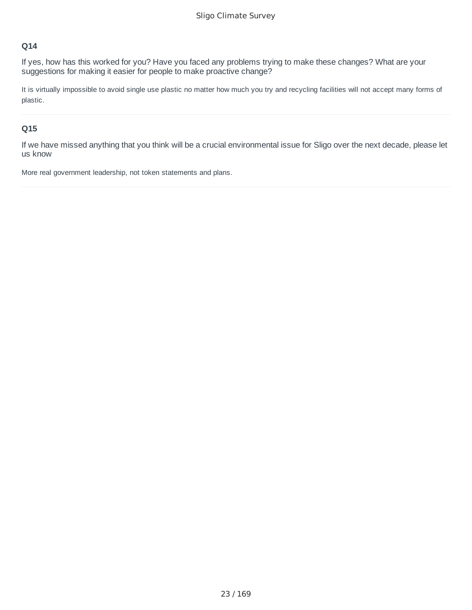If yes, how has this worked for you? Have you faced any problems trying to make these changes? What are your suggestions for making it easier for people to make proactive change?

It is virtually impossible to avoid single use plastic no matter how much you try and recycling facilities will not accept many forms of plastic.

### **Q15**

If we have missed anything that you think will be a crucial environmental issue for Sligo over the next decade, please let us know

More real government leadership, not token statements and plans.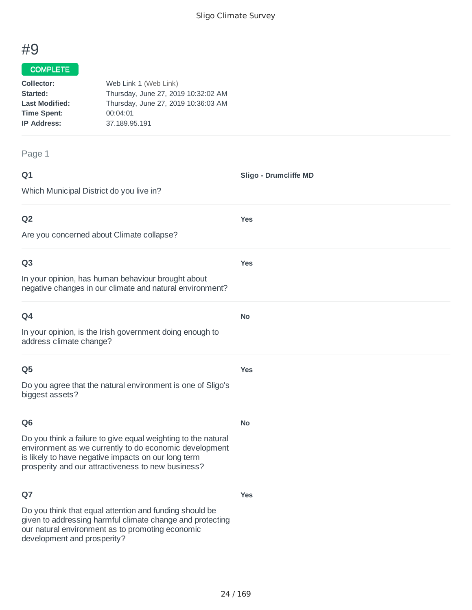**Sligo - Drumcliffe MD**

**Yes**

**Yes**

**No**

**Yes**

**No**

**Yes**

# #9

#### COMPLETE

| Collector:            | Web Link 1 (Web Link)               |
|-----------------------|-------------------------------------|
| Started:              | Thursday, June 27, 2019 10:32:02 AM |
| <b>Last Modified:</b> | Thursday, June 27, 2019 10:36:03 AM |
| <b>Time Spent:</b>    | 00:04:01                            |
| <b>IP Address:</b>    | 37.189.95.191                       |
|                       |                                     |

Page 1

#### **Q1**

Which Municipal District do you live in?

### **Q2**

Are you concerned about Climate collapse?

### **Q3**

In your opinion, has human behaviour brought about negative changes in our climate and natural environment?

| ۰<br>I<br>×<br>w<br>× |
|-----------------------|
|-----------------------|

In your opinion, is the Irish government doing enough to address climate change?

### **Q5**

Do you agree that the natural environment is one of Sligo's biggest assets?

### **Q6**

Do you think a failure to give equal weighting to the natural environment as we currently to do economic development is likely to have negative impacts on our long term prosperity and our attractiveness to new business?

### **Q7**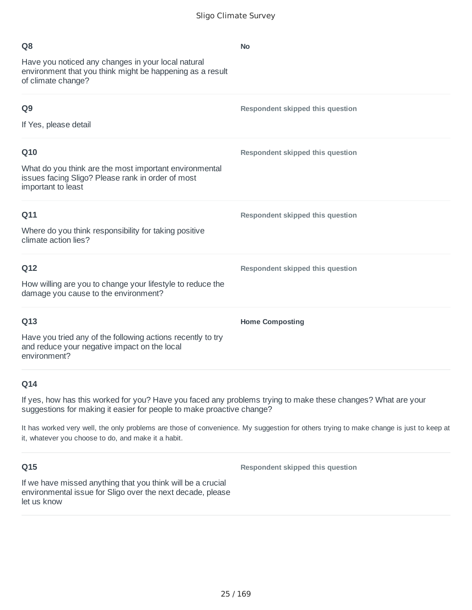**No**

| ۰<br>r.<br>٦<br>٠<br>٥<br>×<br>I<br>л,<br>.,<br>۰.<br>× |
|---------------------------------------------------------|
|---------------------------------------------------------|

Have you noticed any changes in your local natural environment that you think might be happening as a result of climate change?

| Q <sub>9</sub>                                                                                                                    | Respondent skipped this question |
|-----------------------------------------------------------------------------------------------------------------------------------|----------------------------------|
| If Yes, please detail                                                                                                             |                                  |
| Q10                                                                                                                               | Respondent skipped this question |
| What do you think are the most important environmental<br>issues facing Sligo? Please rank in order of most<br>important to least |                                  |
| Q11                                                                                                                               | Respondent skipped this question |
| Where do you think responsibility for taking positive<br>climate action lies?                                                     |                                  |
| Q12                                                                                                                               | Respondent skipped this question |
| How willing are you to change your lifestyle to reduce the<br>damage you cause to the environment?                                |                                  |
| Q13                                                                                                                               | <b>Home Composting</b>           |
| Have you tried any of the following actions recently to try<br>and reduce your negative impact on the local<br>environment?       |                                  |

### **Q14**

If yes, how has this worked for you? Have you faced any problems trying to make these changes? What are your suggestions for making it easier for people to make proactive change?

It has worked very well, the only problems are those of convenience. My suggestion for others trying to make change is just to keep at it, whatever you choose to do, and make it a habit.

### **Q15**

**Respondent skipped this question**

If we have missed anything that you think will be a crucial environmental issue for Sligo over the next decade, please let us know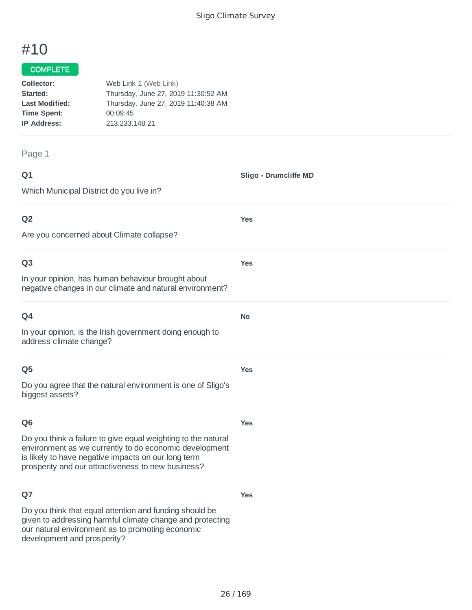**Sligo - Drumcliffe MD**

**Yes**

**Yes**

**No**

**Yes**

# #10

### COMPLETE

| Collector:            | Web Link 1 (Web Link)               |
|-----------------------|-------------------------------------|
| Started:              | Thursday, June 27, 2019 11:30:52 AM |
| <b>Last Modified:</b> | Thursday, June 27, 2019 11:40:38 AM |
| <b>Time Spent:</b>    | 00:09:45                            |
| <b>IP Address:</b>    | 213.233.148.21                      |
|                       |                                     |

Page 1

### **Q1**

Which Municipal District do you live in?

### **Q2**

Are you concerned about Climate collapse?

### **Q3**

In your opinion, has human behaviour brought about negative changes in our climate and natural environment?

| ×<br>w<br>× |
|-------------|
|-------------|

In your opinion, is the Irish government doing enough to address climate change?

### **Q5**

Do you agree that the natural environment is one of Sligo's biggest assets?

### **Q6**

**Yes**

**Yes**

Do you think a failure to give equal weighting to the natural environment as we currently to do economic development is likely to have negative impacts on our long term prosperity and our attractiveness to new business?

### **Q7**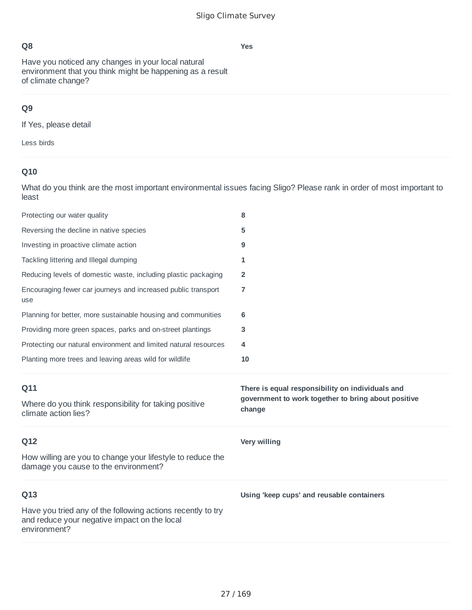Have you noticed any changes in your local natural environment that you think might be happening as a result of climate change?

# **Q9**

If Yes, please detail

Less birds

# **Q10**

What do you think are the most important environmental issues facing Sligo? Please rank in order of most important to least

| Protecting our water quality                                                                                       | 8                                                                                                                 |
|--------------------------------------------------------------------------------------------------------------------|-------------------------------------------------------------------------------------------------------------------|
| Reversing the decline in native species                                                                            | 5                                                                                                                 |
| Investing in proactive climate action                                                                              | 9                                                                                                                 |
| Tackling littering and Illegal dumping                                                                             | 1                                                                                                                 |
| Reducing levels of domestic waste, including plastic packaging                                                     | 2                                                                                                                 |
| Encouraging fewer car journeys and increased public transport<br>use                                               | 7                                                                                                                 |
| Planning for better, more sustainable housing and communities                                                      | 6                                                                                                                 |
| Providing more green spaces, parks and on-street plantings                                                         | 3                                                                                                                 |
| Protecting our natural environment and limited natural resources                                                   | 4                                                                                                                 |
| Planting more trees and leaving areas wild for wildlife                                                            | 10                                                                                                                |
|                                                                                                                    |                                                                                                                   |
| Q11<br>Where do you think responsibility for taking positive<br>climate action lies?                               | There is equal responsibility on individuals and<br>government to work together to bring about positive<br>change |
| Q12                                                                                                                | Very willing                                                                                                      |
| How willing are you to change your lifestyle to reduce the<br>damage you cause to the environment?                 |                                                                                                                   |
| Q13<br>Have you tried any of the following actions recently to try<br>and reduce your negative impact on the local | Using 'keep cups' and reusable containers                                                                         |

### **Yes**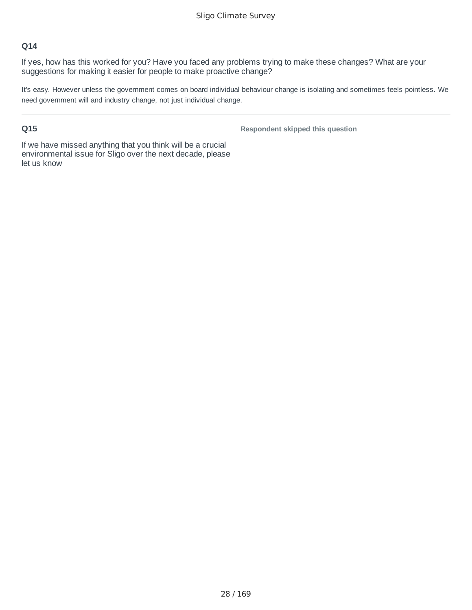If yes, how has this worked for you? Have you faced any problems trying to make these changes? What are your suggestions for making it easier for people to make proactive change?

It's easy. However unless the government comes on board individual behaviour change is isolating and sometimes feels pointless. We need government will and industry change, not just individual change.

### **Q15**

**Respondent skipped this question**

If we have missed anything that you think will be a crucial environmental issue for Sligo over the next decade, please let us know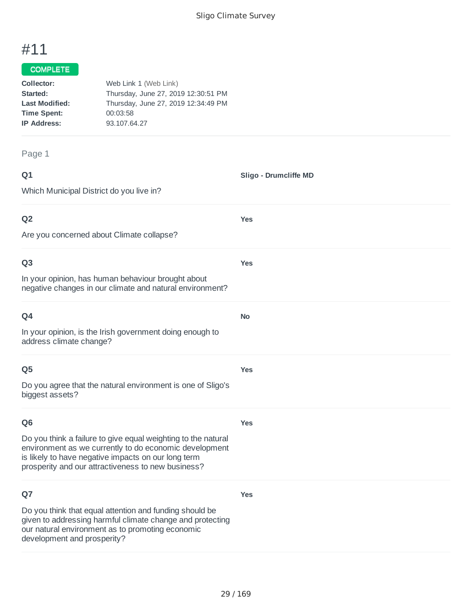# #11

#### COMPLETE

| Collector:            | Web Link 1 (Web Link)               |
|-----------------------|-------------------------------------|
| Started:              | Thursday, June 27, 2019 12:30:51 PM |
| <b>Last Modified:</b> | Thursday, June 27, 2019 12:34:49 PM |
| <b>Time Spent:</b>    | 00:03:58                            |
| <b>IP Address:</b>    | 93.107.64.27                        |
|                       |                                     |

#### Page 1

**Q1** Which Municipal District do you live in? **Sligo - Drumcliffe MD Q2** Are you concerned about Climate collapse? **Yes Q3** In your opinion, has human behaviour brought about negative changes in our climate and natural environment? **Yes Q4** In your opinion, is the Irish government doing enough to address climate change? **No Q5** Do you agree that the natural environment is one of Sligo's biggest assets? **Yes Q6** Do you think a failure to give equal weighting to the natural environment as we currently to do economic development is likely to have negative impacts on our long term prosperity and our attractiveness to new business? **Yes**

### **Q7**

Do you think that equal attention and funding should be given to addressing harmful climate change and protecting our natural environment as to promoting economic development and prosperity?

**Yes**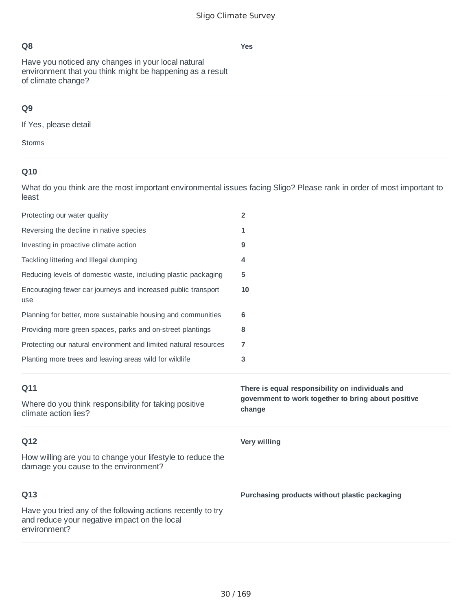**Yes**

## **Q8**

Have you noticed any changes in your local natural environment that you think might be happening as a result of climate change?

# **Q9**

If Yes, please detail

Storms

## **Q10**

What do you think are the most important environmental issues facing Sligo? Please rank in order of most important to least

| Protecting our water quality                                                                       | $\overline{2}$                                                                                                    |
|----------------------------------------------------------------------------------------------------|-------------------------------------------------------------------------------------------------------------------|
| Reversing the decline in native species                                                            | 1                                                                                                                 |
| Investing in proactive climate action                                                              | 9                                                                                                                 |
| Tackling littering and Illegal dumping                                                             | 4                                                                                                                 |
| Reducing levels of domestic waste, including plastic packaging                                     | 5                                                                                                                 |
| Encouraging fewer car journeys and increased public transport<br>use                               | 10                                                                                                                |
| Planning for better, more sustainable housing and communities                                      | 6                                                                                                                 |
| Providing more green spaces, parks and on-street plantings                                         | 8                                                                                                                 |
| Protecting our natural environment and limited natural resources                                   | 7                                                                                                                 |
| Planting more trees and leaving areas wild for wildlife                                            | 3                                                                                                                 |
|                                                                                                    |                                                                                                                   |
| Q11<br>Where do you think responsibility for taking positive<br>climate action lies?               | There is equal responsibility on individuals and<br>government to work together to bring about positive<br>change |
| Q12                                                                                                | Very willing                                                                                                      |
| How willing are you to change your lifestyle to reduce the<br>damage you cause to the environment? |                                                                                                                   |
| Q13                                                                                                | Purchasing products without plastic packaging                                                                     |

30 / 169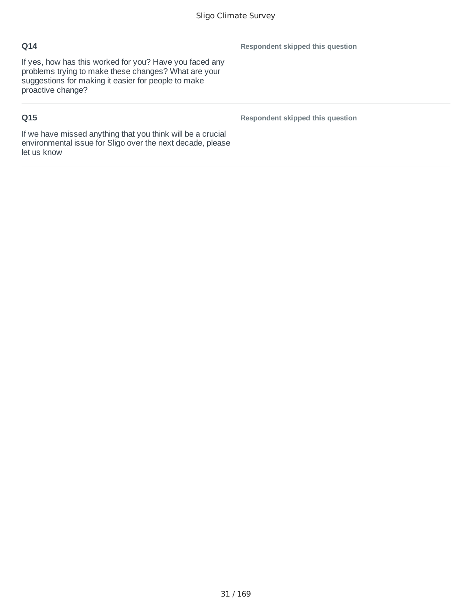If yes, how has this worked for you? Have you faced any problems trying to make these changes? What are your suggestions for making it easier for people to make proactive change?

# **Q15**

**Respondent skipped this question**

**Respondent skipped this question**

If we have missed anything that you think will be a crucial environmental issue for Sligo over the next decade, please let us know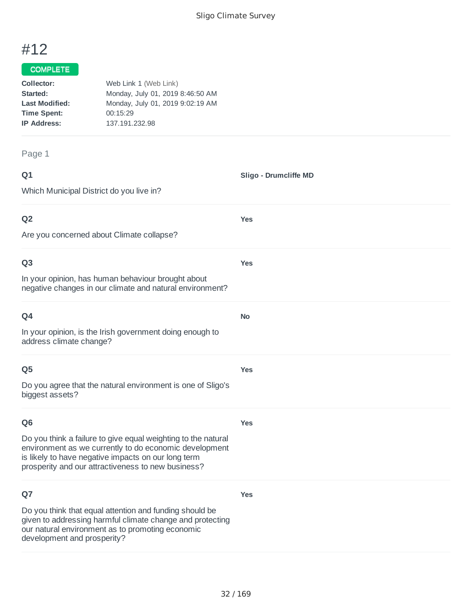**Sligo - Drumcliffe MD**

**Yes**

**Yes**

**No**

**Yes**

# #12

### COMPLETE

| Collector:            | Web Link 1 (Web Link)            |
|-----------------------|----------------------------------|
| Started:              | Monday, July 01, 2019 8:46:50 AM |
| <b>Last Modified:</b> | Monday, July 01, 2019 9:02:19 AM |
| <b>Time Spent:</b>    | 00:15:29                         |
| <b>IP Address:</b>    | 137.191.232.98                   |
|                       |                                  |

#### Page 1

| ۰           | ٧ |
|-------------|---|
| ٦<br>w<br>× |   |

Which Municipal District do you live in?

### **Q2**

Are you concerned about Climate collapse?

### **Q3**

In your opinion, has human behaviour brought about negative changes in our climate and natural environment?

In your opinion, is the Irish government doing enough to address climate change?

### **Q5**

Do you agree that the natural environment is one of Sligo's biggest assets?

### **Q6**

**Yes**

**Yes**

Do you think a failure to give equal weighting to the natural environment as we currently to do economic development is likely to have negative impacts on our long term prosperity and our attractiveness to new business?

### **Q7**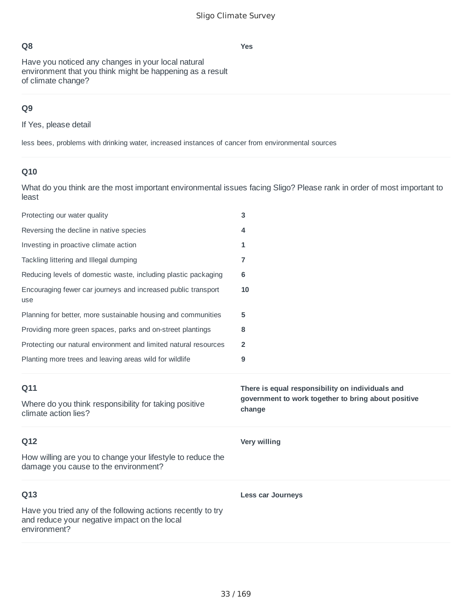Have you noticed any changes in your local natural environment that you think might be happening as a result of climate change?

### **Q9**

If Yes, please detail

less bees, problems with drinking water, increased instances of cancer from environmental sources

### **Q10**

What do you think are the most important environmental issues facing Sligo? Please rank in order of most important to least

| Protecting our water quality                                                                       | 3                                                             |
|----------------------------------------------------------------------------------------------------|---------------------------------------------------------------|
| Reversing the decline in native species                                                            | 4                                                             |
| Investing in proactive climate action                                                              | 1                                                             |
| Tackling littering and Illegal dumping                                                             | 7                                                             |
| Reducing levels of domestic waste, including plastic packaging                                     | 6                                                             |
| Encouraging fewer car journeys and increased public transport<br>use                               | 10                                                            |
| Planning for better, more sustainable housing and communities                                      | 5                                                             |
| Providing more green spaces, parks and on-street plantings                                         | 8                                                             |
| Protecting our natural environment and limited natural resources                                   | 2                                                             |
| Planting more trees and leaving areas wild for wildlife                                            | 9                                                             |
|                                                                                                    |                                                               |
| Q11                                                                                                | There is equal responsibility on individuals and              |
| Where do you think responsibility for taking positive<br>climate action lies?                      | government to work together to bring about positive<br>change |
| Q12                                                                                                | <b>Very willing</b>                                           |
| How willing are you to change your lifestyle to reduce the<br>damage you cause to the environment? |                                                               |
| Q13                                                                                                | <b>Less car Journeys</b>                                      |

#### **Yes**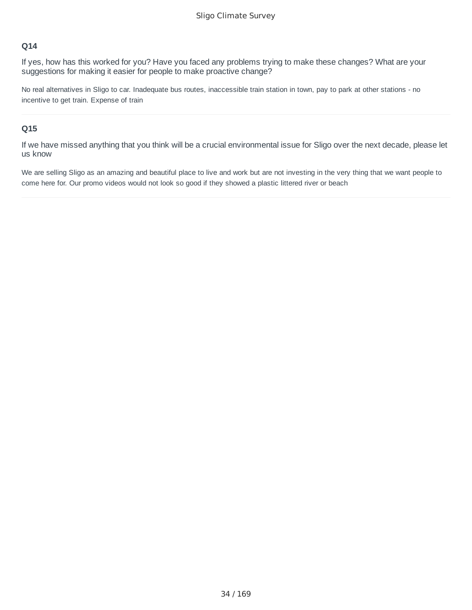If yes, how has this worked for you? Have you faced any problems trying to make these changes? What are your suggestions for making it easier for people to make proactive change?

No real alternatives in Sligo to car. Inadequate bus routes, inaccessible train station in town, pay to park at other stations - no incentive to get train. Expense of train

#### **Q15**

If we have missed anything that you think will be a crucial environmental issue for Sligo over the next decade, please let us know

We are selling Sligo as an amazing and beautiful place to live and work but are not investing in the very thing that we want people to come here for. Our promo videos would not look so good if they showed a plastic littered river or beach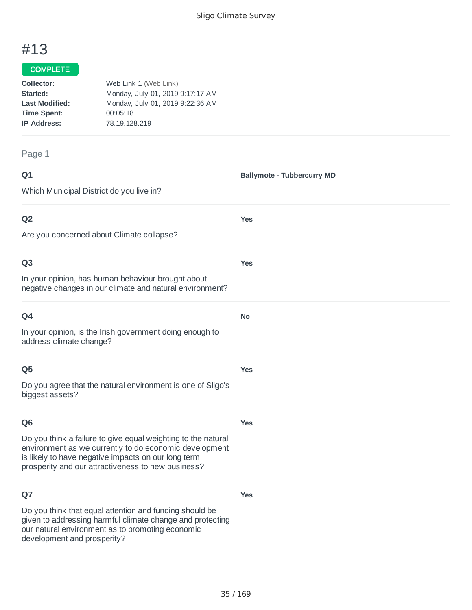**Ballymote - Tubbercurry MD**

**Yes**

**Yes**

**No**

**Yes**

# #13

### COMPLETE

| Collector:            | Web Link 1 (Web Link)            |
|-----------------------|----------------------------------|
| Started:              | Monday, July 01, 2019 9:17:17 AM |
| <b>Last Modified:</b> | Monday, July 01, 2019 9:22:36 AM |
| <b>Time Spent:</b>    | 00:05:18                         |
| <b>IP Address:</b>    | 78.19.128.219                    |
|                       |                                  |

Page 1

### **Q1**

Which Municipal District do you live in?

### **Q2**

Are you concerned about Climate collapse?

### **Q3**

In your opinion, has human behaviour brought about negative changes in our climate and natural environment?

| ۰<br>×<br>w<br>× |
|------------------|
|------------------|

In your opinion, is the Irish government doing enough to address climate change?

### **Q5**

Do you agree that the natural environment is one of Sligo's biggest assets?

### **Q6**

**Yes**

**Yes**

Do you think a failure to give equal weighting to the natural environment as we currently to do economic development is likely to have negative impacts on our long term prosperity and our attractiveness to new business?

### **Q7**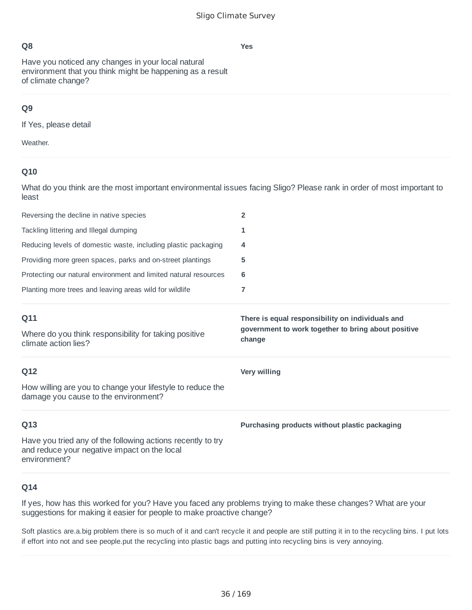Have you noticed any changes in your local natural environment that you think might be happening as a result of climate change?

### **Q9**

If Yes, please detail

Weather.

### **Q10**

What do you think are the most important environmental issues facing Sligo? Please rank in order of most important to least

| Reversing the decline in native species                          |   |
|------------------------------------------------------------------|---|
| Tackling littering and Illegal dumping                           |   |
| Reducing levels of domestic waste, including plastic packaging   | 4 |
| Providing more green spaces, parks and on-street plantings       | 5 |
| Protecting our natural environment and limited natural resources | 6 |
| Planting more trees and leaving areas wild for wildlife          |   |
|                                                                  |   |

**change**

**Very willing**

### **Q11**

Where do you think responsibility for taking positive climate action lies?

### **Q12**

How willing are you to change your lifestyle to reduce the damage you cause to the environment?

### **Q13**

Have you tried any of the following actions recently to try and reduce your negative impact on the local environment?

### **Q14**

If yes, how has this worked for you? Have you faced any problems trying to make these changes? What are your suggestions for making it easier for people to make proactive change?

Soft plastics are.a.big problem there is so much of it and can't recycle it and people are still putting it in to the recycling bins. I put lots if effort into not and see people.put the recycling into plastic bags and putting into recycling bins is very annoying.

36 / 169

**Yes**

### **Purchasing products without plastic packaging**

**There is equal responsibility on individuals and government to work together to bring about positive**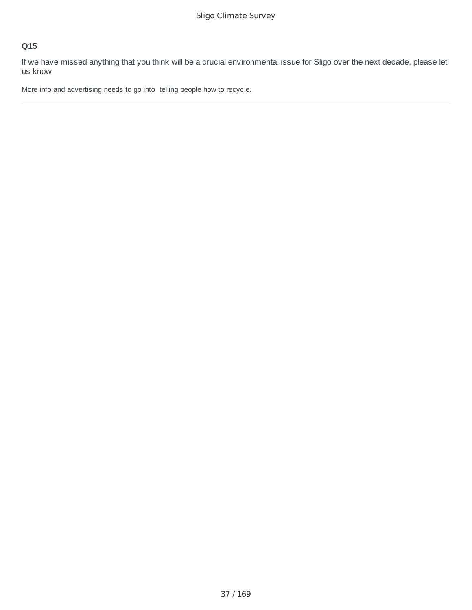If we have missed anything that you think will be a crucial environmental issue for Sligo over the next decade, please let us know

More info and advertising needs to go into telling people how to recycle.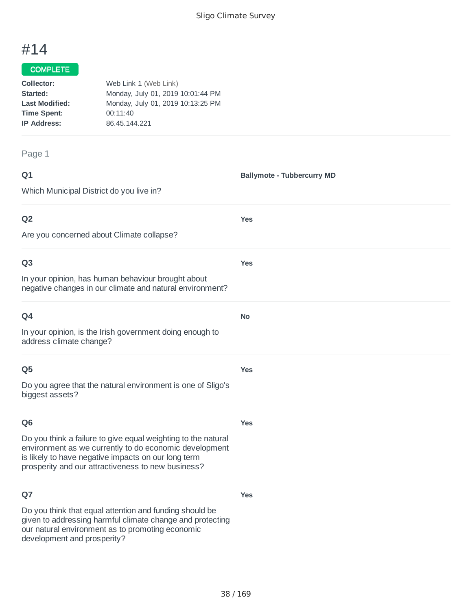**Ballymote - Tubbercurry MD**

**Yes**

**Yes**

**No**

**Yes**

**Yes**

**Yes**

# #14

## COMPLETE

| Collector:            | Web Link 1 (Web Link)             |
|-----------------------|-----------------------------------|
| Started:              | Monday, July 01, 2019 10:01:44 PM |
| <b>Last Modified:</b> | Monday, July 01, 2019 10:13:25 PM |
| <b>Time Spent:</b>    | 00:11:40                          |
| <b>IP Address:</b>    | 86.45.144.221                     |
|                       |                                   |

Page 1

### **Q1**

Which Municipal District do you live in?

### **Q2**

Are you concerned about Climate collapse?

#### **Q3**

In your opinion, has human behaviour brought about negative changes in our climate and natural environment?

In your opinion, is the Irish government doing enough to address climate change?

#### **Q5**

Do you agree that the natural environment is one of Sligo's biggest assets?

#### **Q6**

Do you think a failure to give equal weighting to the natural environment as we currently to do economic development is likely to have negative impacts on our long term prosperity and our attractiveness to new business?

### **Q7**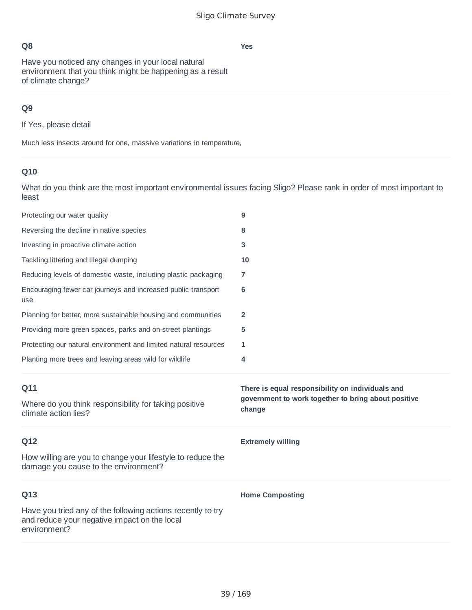**Yes**

Have you noticed any changes in your local natural environment that you think might be happening as a result of climate change?

# **Q9**

If Yes, please detail

Much less insects around for one, massive variations in temperature,

# **Q10**

What do you think are the most important environmental issues facing Sligo? Please rank in order of most important to least

| Protecting our water quality                                                                       | 9                                                                                                                 |
|----------------------------------------------------------------------------------------------------|-------------------------------------------------------------------------------------------------------------------|
| Reversing the decline in native species                                                            | 8                                                                                                                 |
| Investing in proactive climate action                                                              | 3                                                                                                                 |
| Tackling littering and Illegal dumping                                                             | 10                                                                                                                |
| Reducing levels of domestic waste, including plastic packaging                                     | 7                                                                                                                 |
| Encouraging fewer car journeys and increased public transport<br>use                               | 6                                                                                                                 |
| Planning for better, more sustainable housing and communities                                      | 2                                                                                                                 |
| Providing more green spaces, parks and on-street plantings                                         | 5                                                                                                                 |
| Protecting our natural environment and limited natural resources                                   | 1                                                                                                                 |
| Planting more trees and leaving areas wild for wildlife                                            | 4                                                                                                                 |
|                                                                                                    |                                                                                                                   |
| Q11<br>Where do you think responsibility for taking positive<br>climate action lies?               | There is equal responsibility on individuals and<br>government to work together to bring about positive<br>change |
| Q12                                                                                                | <b>Extremely willing</b>                                                                                          |
| How willing are you to change your lifestyle to reduce the<br>damage you cause to the environment? |                                                                                                                   |
| Q13                                                                                                | <b>Home Composting</b>                                                                                            |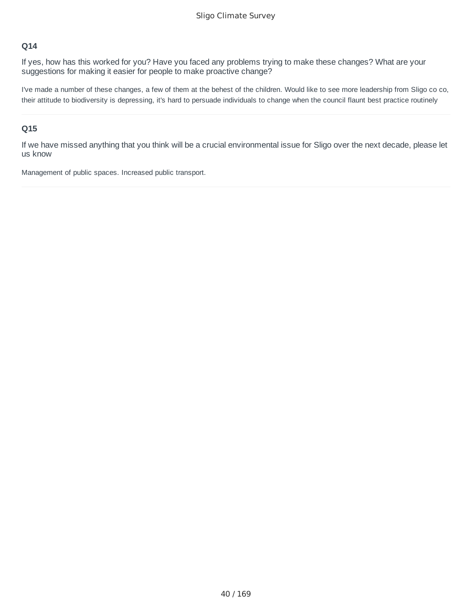If yes, how has this worked for you? Have you faced any problems trying to make these changes? What are your suggestions for making it easier for people to make proactive change?

I've made a number of these changes, a few of them at the behest of the children. Would like to see more leadership from Sligo co co, their attitude to biodiversity is depressing, it's hard to persuade individuals to change when the council flaunt best practice routinely

#### **Q15**

If we have missed anything that you think will be a crucial environmental issue for Sligo over the next decade, please let us know

Management of public spaces. Increased public transport.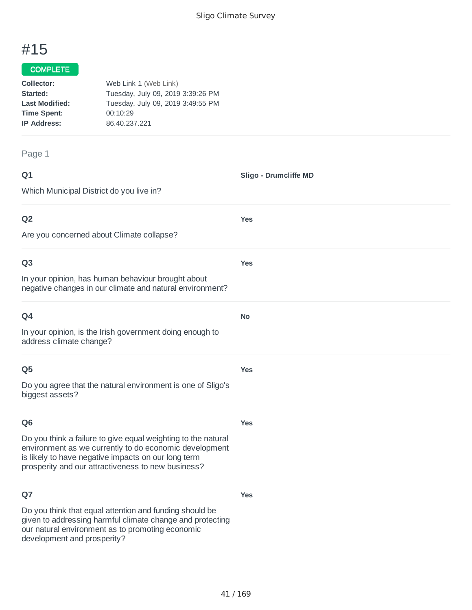**Sligo - Drumcliffe MD**

**Yes**

**Yes**

**No**

**Yes**

# #15

#### COMPLETE

| Collector:            | Web Link 1 (Web Link)             |
|-----------------------|-----------------------------------|
| Started:              | Tuesday, July 09, 2019 3:39:26 PM |
| <b>Last Modified:</b> | Tuesday, July 09, 2019 3:49:55 PM |
| <b>Time Spent:</b>    | 00:10:29                          |
| <b>IP Address:</b>    | 86.40.237.221                     |
|                       |                                   |

#### Page 1

| ۰      | ٧ |
|--------|---|
| w<br>× |   |

Which Municipal District do you live in?

#### **Q2**

Are you concerned about Climate collapse?

#### **Q3**

In your opinion, has human behaviour brought about negative changes in our climate and natural environment?

In your opinion, is the Irish government doing enough to address climate change?

#### **Q5**

Do you agree that the natural environment is one of Sligo's biggest assets?

### **Q6**

**Yes**

**Yes**

Do you think a failure to give equal weighting to the natural environment as we currently to do economic development is likely to have negative impacts on our long term prosperity and our attractiveness to new business?

### **Q7**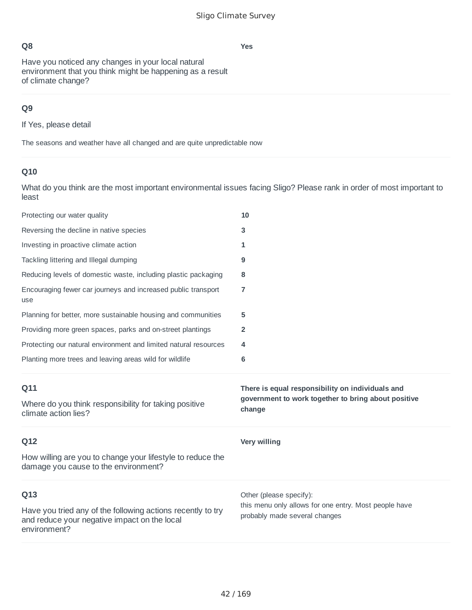**Yes**

Have you noticed any changes in your local natural environment that you think might be happening as a result of climate change?

# **Q9**

If Yes, please detail

The seasons and weather have all changed and are quite unpredictable now

# **Q10**

What do you think are the most important environmental issues facing Sligo? Please rank in order of most important to least

| Protecting our water quality                                                                       | 10                                                                                                                |
|----------------------------------------------------------------------------------------------------|-------------------------------------------------------------------------------------------------------------------|
| Reversing the decline in native species                                                            | 3                                                                                                                 |
| Investing in proactive climate action                                                              | 1                                                                                                                 |
| Tackling littering and Illegal dumping                                                             | 9                                                                                                                 |
| Reducing levels of domestic waste, including plastic packaging                                     | 8                                                                                                                 |
| Encouraging fewer car journeys and increased public transport<br>use                               | $\overline{7}$                                                                                                    |
| Planning for better, more sustainable housing and communities                                      | 5                                                                                                                 |
| Providing more green spaces, parks and on-street plantings                                         | $\overline{2}$                                                                                                    |
| Protecting our natural environment and limited natural resources                                   | 4                                                                                                                 |
| Planting more trees and leaving areas wild for wildlife                                            | 6                                                                                                                 |
|                                                                                                    |                                                                                                                   |
| Q11<br>Where do you think responsibility for taking positive<br>climate action lies?               | There is equal responsibility on individuals and<br>government to work together to bring about positive<br>change |
| Q12                                                                                                | <b>Very willing</b>                                                                                               |
| How willing are you to change your lifestyle to reduce the<br>damage you cause to the environment? |                                                                                                                   |
| Q13                                                                                                | Other (please specify):<br>this menu only allows for one entry. Most people have                                  |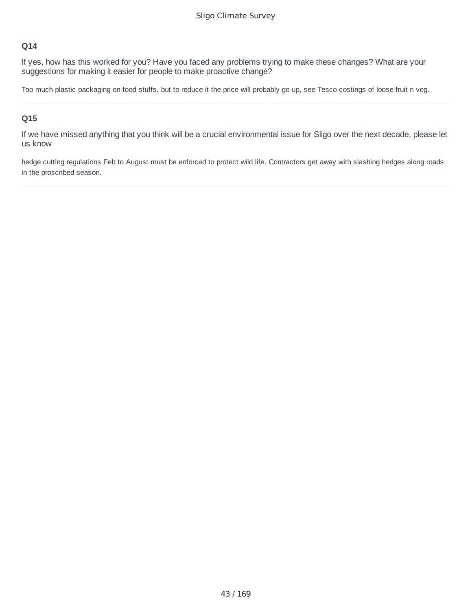If yes, how has this worked for you? Have you faced any problems trying to make these changes? What are your suggestions for making it easier for people to make proactive change?

Too much plastic packaging on food stuffs, but to reduce it the price will probably go up, see Tesco costings of loose fruit n veg.

#### **Q15**

If we have missed anything that you think will be a crucial environmental issue for Sligo over the next decade, please let us know

hedge cutting regulations Feb to August must be enforced to protect wild life. Contractors get away with slashing hedges along roads in the proscribed season.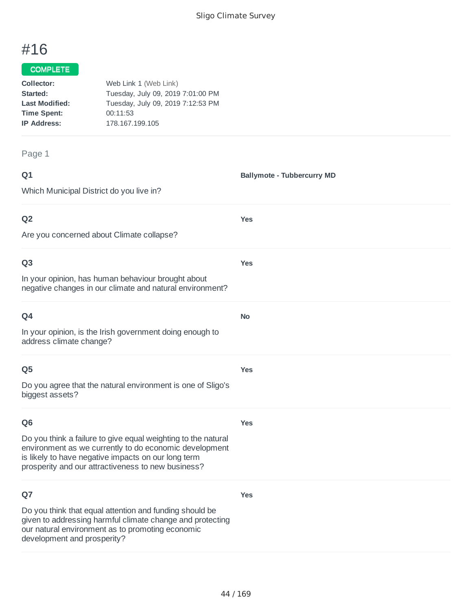# #16

#### COMPLETE

| Collector:            | Web Link 1 (Web Link)             |
|-----------------------|-----------------------------------|
| Started:              | Tuesday, July 09, 2019 7:01:00 PM |
| <b>Last Modified:</b> | Tuesday, July 09, 2019 7:12:53 PM |
| <b>Time Spent:</b>    | 00:11:53                          |
| <b>IP Address:</b>    | 178.167.199.105                   |
|                       |                                   |

#### Page 1

| ۰      | ٧ |
|--------|---|
| w<br>× |   |

**Ballymote - Tubbercurry MD**

Which Municipal District do you live in?

### **Q2**

Are you concerned about Climate collapse?

#### **Q3**

In your opinion, has human behaviour brought about negative changes in our climate and natural environment?

In your opinion, is the Irish government doing enough to address climate change?

#### **Q5**

Do you agree that the natural environment is one of Sligo's biggest assets?

### **Q6**

**Yes**

**Yes**

**Yes**

**Yes**

**No**

**Yes**

Do you think a failure to give equal weighting to the natural environment as we currently to do economic development is likely to have negative impacts on our long term prosperity and our attractiveness to new business?

### **Q7**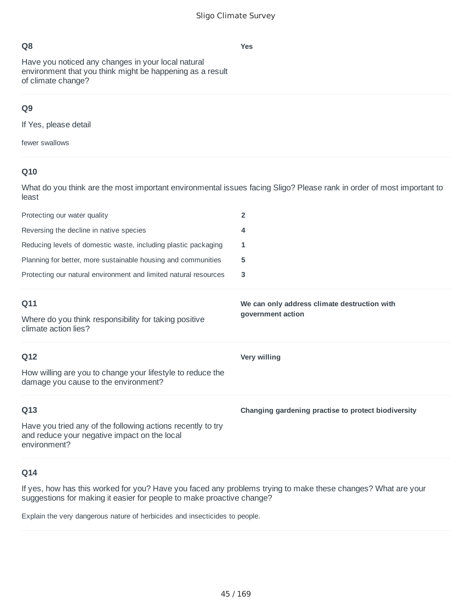Have you noticed any changes in your local natural environment that you think might be happening as a result of climate change?

## **Q9**

If Yes, please detail

fewer swallows

## **Q10**

What do you think are the most important environmental issues facing Sligo? Please rank in order of most important to least

| Protecting our water quality                                                  | 2                                            |
|-------------------------------------------------------------------------------|----------------------------------------------|
| Reversing the decline in native species                                       | 4                                            |
| Reducing levels of domestic waste, including plastic packaging                | 1                                            |
| Planning for better, more sustainable housing and communities                 | 5                                            |
| Protecting our natural environment and limited natural resources              | 3                                            |
|                                                                               |                                              |
| Q11                                                                           | We can only address climate destruction with |
| Where do you think responsibility for taking positive<br>climate action lies? | government action                            |
| Q12                                                                           | Very willing                                 |

How willing are you to change your lifestyle to reduce the damage you cause to the environment?

### **Q13**

Have you tried any of the following actions recently to try and reduce your negative impact on the local environment?

## **Q14**

If yes, how has this worked for you? Have you faced any problems trying to make these changes? What are your suggestions for making it easier for people to make proactive change?

Explain the very dangerous nature of herbicides and insecticides to people.

#### **Changing gardening practise to protect biodiversity**

45 / 169

**Yes**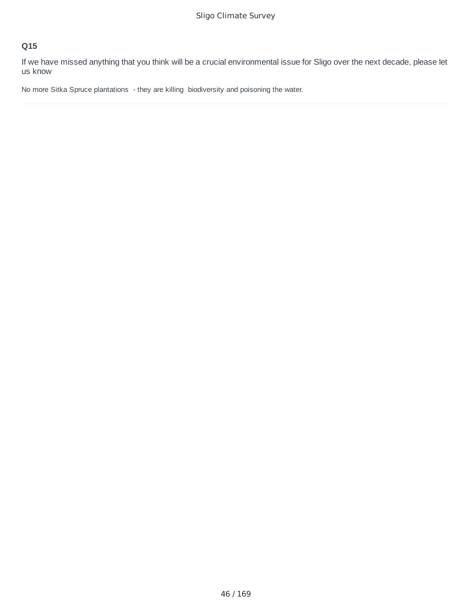If we have missed anything that you think will be a crucial environmental issue for Sligo over the next decade, please let us know

No more Sitka Spruce plantations - they are killing biodiversity and poisoning the water.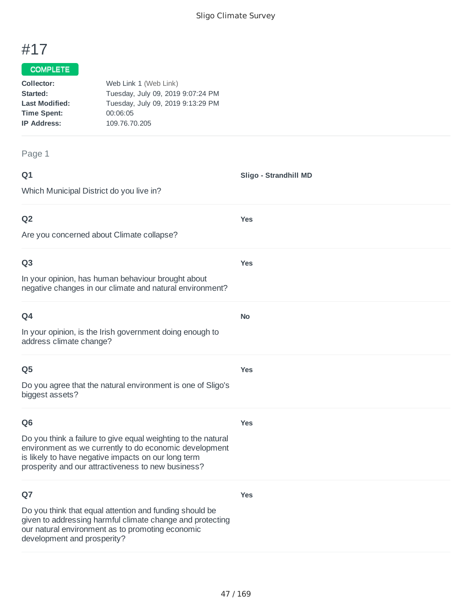**Sligo - Strandhill MD**

**Yes**

**Yes**

**No**

**Yes**

# #17

## COMPLETE

| Collector:            | Web Link 1 (Web Link)             |
|-----------------------|-----------------------------------|
| Started:              | Tuesday, July 09, 2019 9:07:24 PM |
| <b>Last Modified:</b> | Tuesday, July 09, 2019 9:13:29 PM |
| <b>Time Spent:</b>    | 00:06:05                          |
| <b>IP Address:</b>    | 109.76.70.205                     |
|                       |                                   |

#### Page 1

| ۰      | ٧ |
|--------|---|
| w<br>× |   |

Which Municipal District do you live in?

### **Q2**

Are you concerned about Climate collapse?

#### **Q3**

In your opinion, has human behaviour brought about negative changes in our climate and natural environment?

In your opinion, is the Irish government doing enough to address climate change?

#### **Q5**

Do you agree that the natural environment is one of Sligo's biggest assets?

### **Q6**

**Yes**

**Yes**

Do you think a failure to give equal weighting to the natural environment as we currently to do economic development is likely to have negative impacts on our long term prosperity and our attractiveness to new business?

### **Q7**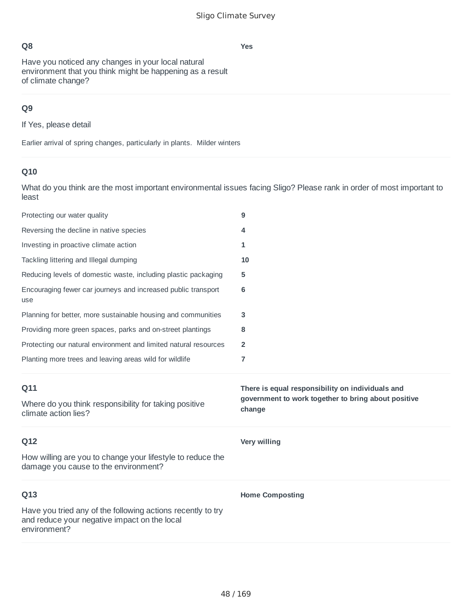**Yes**

Have you noticed any changes in your local natural environment that you think might be happening as a result of climate change?

## **Q9**

If Yes, please detail

Earlier arrival of spring changes, particularly in plants. Milder winters

# **Q10**

What do you think are the most important environmental issues facing Sligo? Please rank in order of most important to least

| Protecting our water quality                                                                       | 9                                                             |
|----------------------------------------------------------------------------------------------------|---------------------------------------------------------------|
| Reversing the decline in native species                                                            | 4                                                             |
| Investing in proactive climate action                                                              | 1                                                             |
| Tackling littering and Illegal dumping                                                             | 10                                                            |
| Reducing levels of domestic waste, including plastic packaging                                     | 5                                                             |
| Encouraging fewer car journeys and increased public transport<br>use                               | 6                                                             |
| Planning for better, more sustainable housing and communities                                      | 3                                                             |
| Providing more green spaces, parks and on-street plantings                                         | 8                                                             |
| Protecting our natural environment and limited natural resources                                   | $\overline{2}$                                                |
| Planting more trees and leaving areas wild for wildlife                                            | 7                                                             |
|                                                                                                    |                                                               |
| Q11                                                                                                | There is equal responsibility on individuals and              |
| Where do you think responsibility for taking positive<br>climate action lies?                      | government to work together to bring about positive<br>change |
| Q12                                                                                                | <b>Very willing</b>                                           |
| How willing are you to change your lifestyle to reduce the<br>damage you cause to the environment? |                                                               |
| Q13                                                                                                | <b>Home Composting</b>                                        |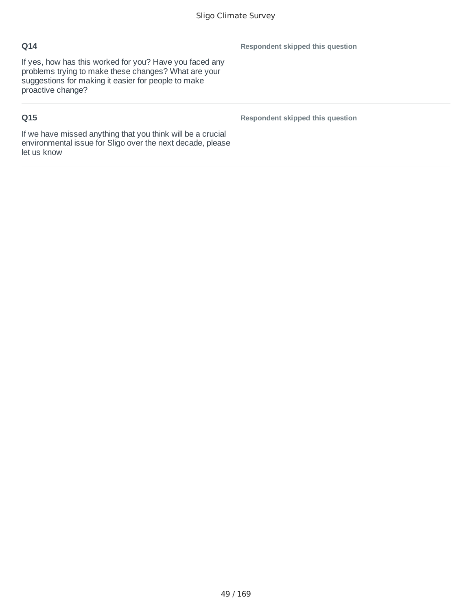If yes, how has this worked for you? Have you faced any problems trying to make these changes? What are your suggestions for making it easier for people to make proactive change?

# **Q15**

**Respondent skipped this question**

**Respondent skipped this question**

If we have missed anything that you think will be a crucial environmental issue for Sligo over the next decade, please let us know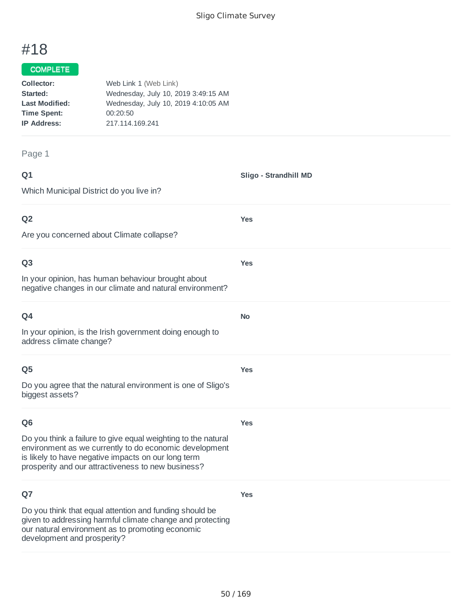**Sligo - Strandhill MD**

**Yes**

**Yes**

**No**

# #18

#### COMPLETE

| Collector:            | Web Link 1 (Web Link)               |
|-----------------------|-------------------------------------|
| Started:              | Wednesday, July 10, 2019 3:49:15 AM |
| <b>Last Modified:</b> | Wednesday, July 10, 2019 4:10:05 AM |
| <b>Time Spent:</b>    | 00:20:50                            |
| <b>IP Address:</b>    | 217.114.169.241                     |
|                       |                                     |

#### Page 1

| ۰      | ۰. |
|--------|----|
| w<br>× |    |

Which Municipal District do you live in?

## **Q2**

Are you concerned about Climate collapse?

#### **Q3**

In your opinion, has human behaviour brought about negative changes in our climate and natural environment?

| 94 |  |
|----|--|
|    |  |

In your opinion, is the Irish government doing enough to address climate change?

#### **Q5**

Do you agree that the natural environment is one of Sligo's biggest assets?

### **Q6**

**Yes**

**Yes**

**Yes**

Do you think a failure to give equal weighting to the natural environment as we currently to do economic development is likely to have negative impacts on our long term prosperity and our attractiveness to new business?

### **Q7**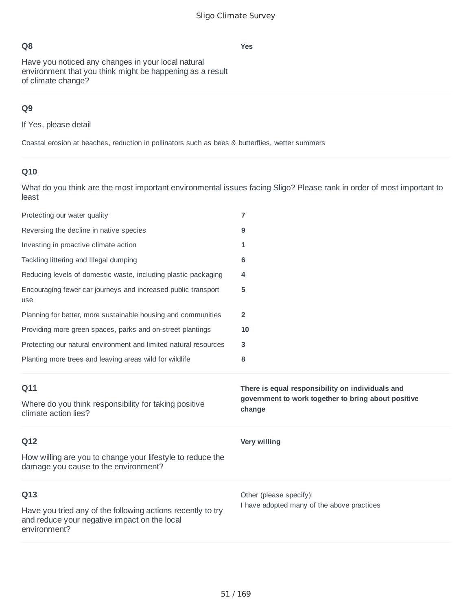**Yes**

Have you noticed any changes in your local natural environment that you think might be happening as a result of climate change?

## **Q9**

If Yes, please detail

Coastal erosion at beaches, reduction in pollinators such as bees & butterflies, wetter summers

# **Q10**

What do you think are the most important environmental issues facing Sligo? Please rank in order of most important to least

| Protecting our water quality                                                                       | 7                                                                                                                 |
|----------------------------------------------------------------------------------------------------|-------------------------------------------------------------------------------------------------------------------|
| Reversing the decline in native species                                                            | 9                                                                                                                 |
| Investing in proactive climate action                                                              | 1                                                                                                                 |
| Tackling littering and Illegal dumping                                                             | 6                                                                                                                 |
| Reducing levels of domestic waste, including plastic packaging                                     | 4                                                                                                                 |
| Encouraging fewer car journeys and increased public transport<br>use                               | 5                                                                                                                 |
| Planning for better, more sustainable housing and communities                                      | 2                                                                                                                 |
| Providing more green spaces, parks and on-street plantings                                         | 10                                                                                                                |
| Protecting our natural environment and limited natural resources                                   | 3                                                                                                                 |
| Planting more trees and leaving areas wild for wildlife                                            | 8                                                                                                                 |
|                                                                                                    |                                                                                                                   |
| Q11<br>Where do you think responsibility for taking positive<br>climate action lies?               | There is equal responsibility on individuals and<br>government to work together to bring about positive<br>change |
| Q12                                                                                                | <b>Very willing</b>                                                                                               |
| How willing are you to change your lifestyle to reduce the<br>damage you cause to the environment? |                                                                                                                   |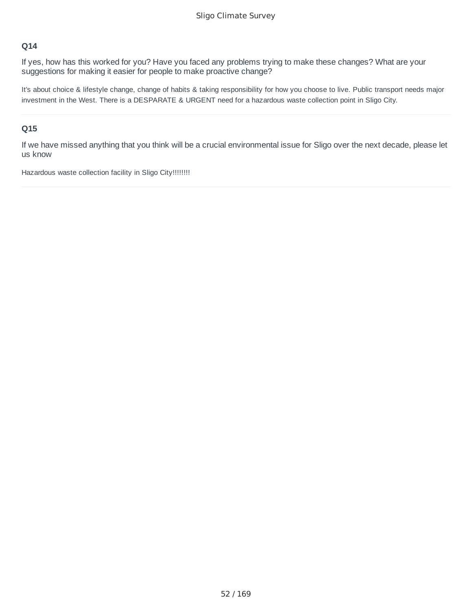If yes, how has this worked for you? Have you faced any problems trying to make these changes? What are your suggestions for making it easier for people to make proactive change?

It's about choice & lifestyle change, change of habits & taking responsibility for how you choose to live. Public transport needs major investment in the West. There is a DESPARATE & URGENT need for a hazardous waste collection point in Sligo City.

#### **Q15**

If we have missed anything that you think will be a crucial environmental issue for Sligo over the next decade, please let us know

Hazardous waste collection facility in Sligo City!!!!!!!!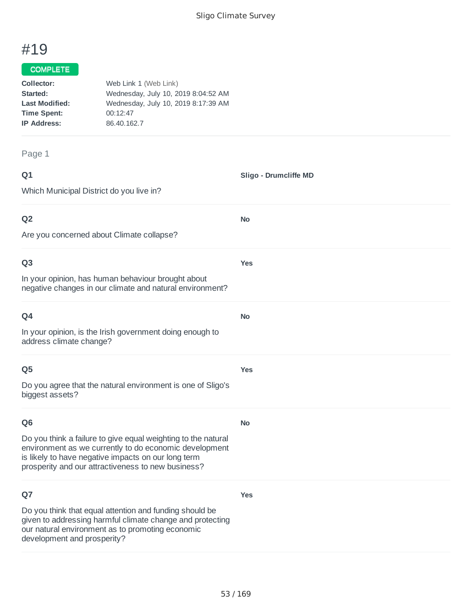**Sligo - Drumcliffe MD**

**No**

**Yes**

**No**

**Yes**

**No**

**Yes**

# #19

### COMPLETE

| Collector:            | Web Link 1 (Web Link)               |
|-----------------------|-------------------------------------|
| Started:              | Wednesday, July 10, 2019 8:04:52 AM |
| <b>Last Modified:</b> | Wednesday, July 10, 2019 8:17:39 AM |
| <b>Time Spent:</b>    | 00:12:47                            |
| <b>IP Address:</b>    | 86.40.162.7                         |
|                       |                                     |

Page 1

#### **Q1**

Which Municipal District do you live in?

### **Q2**

Are you concerned about Climate collapse?

#### **Q3**

In your opinion, has human behaviour brought about negative changes in our climate and natural environment?

| ۰<br>w<br>× |
|-------------|
|-------------|

In your opinion, is the Irish government doing enough to address climate change?

#### **Q5**

Do you agree that the natural environment is one of Sligo's biggest assets?

#### **Q6**

Do you think a failure to give equal weighting to the natural environment as we currently to do economic development is likely to have negative impacts on our long term prosperity and our attractiveness to new business?

### **Q7**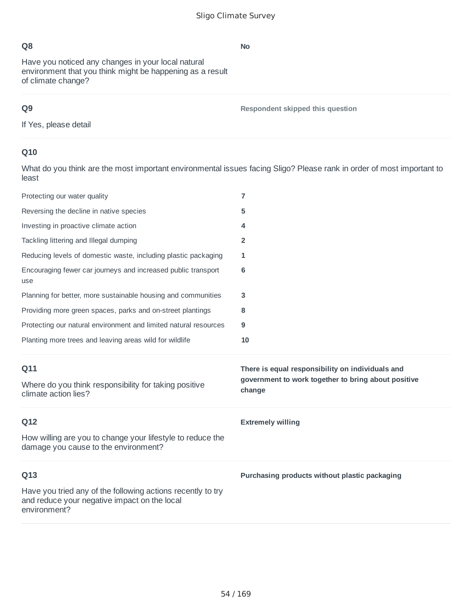Have you noticed any changes in your local natural environment that you think might be happening as a result of climate change?

# **Q9**

**Respondent skipped this question**

If Yes, please detail

# **Q10**

What do you think are the most important environmental issues facing Sligo? Please rank in order of most important to least

| Protecting our water quality                                                                                                | $\overline{7}$                                                                                          |
|-----------------------------------------------------------------------------------------------------------------------------|---------------------------------------------------------------------------------------------------------|
| Reversing the decline in native species                                                                                     | 5                                                                                                       |
| Investing in proactive climate action                                                                                       | 4                                                                                                       |
| Tackling littering and Illegal dumping                                                                                      | $\overline{2}$                                                                                          |
| Reducing levels of domestic waste, including plastic packaging                                                              | 1                                                                                                       |
| Encouraging fewer car journeys and increased public transport<br>use                                                        | 6                                                                                                       |
| Planning for better, more sustainable housing and communities                                                               | 3                                                                                                       |
| Providing more green spaces, parks and on-street plantings                                                                  | 8                                                                                                       |
| Protecting our natural environment and limited natural resources                                                            | 9                                                                                                       |
| Planting more trees and leaving areas wild for wildlife                                                                     | 10                                                                                                      |
|                                                                                                                             |                                                                                                         |
| Q11                                                                                                                         | There is equal responsibility on individuals and<br>government to work together to bring about positive |
| Where do you think responsibility for taking positive<br>climate action lies?                                               | change                                                                                                  |
| Q12                                                                                                                         | <b>Extremely willing</b>                                                                                |
| How willing are you to change your lifestyle to reduce the<br>damage you cause to the environment?                          |                                                                                                         |
| Q13                                                                                                                         | Purchasing products without plastic packaging                                                           |
| Have you tried any of the following actions recently to try<br>and reduce your negative impact on the local<br>environment? |                                                                                                         |

#### **No**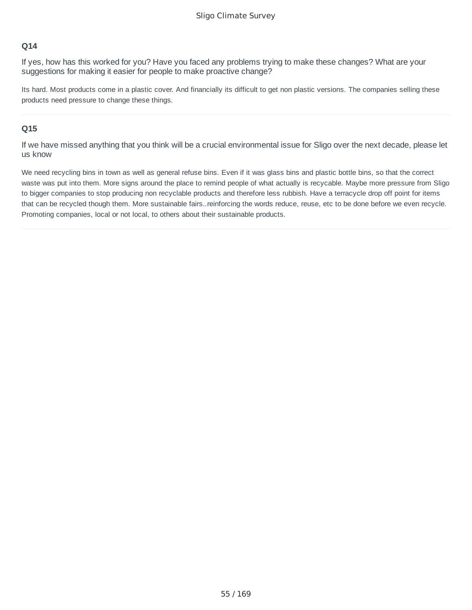If yes, how has this worked for you? Have you faced any problems trying to make these changes? What are your suggestions for making it easier for people to make proactive change?

Its hard. Most products come in a plastic cover. And financially its difficult to get non plastic versions. The companies selling these products need pressure to change these things.

#### **Q15**

If we have missed anything that you think will be a crucial environmental issue for Sligo over the next decade, please let us know

We need recycling bins in town as well as general refuse bins. Even if it was glass bins and plastic bottle bins, so that the correct waste was put into them. More signs around the place to remind people of what actually is recycable. Maybe more pressure from Sligo to bigger companies to stop producing non recyclable products and therefore less rubbish. Have a terracycle drop off point for items that can be recycled though them. More sustainable fairs..reinforcing the words reduce, reuse, etc to be done before we even recycle. Promoting companies, local or not local, to others about their sustainable products.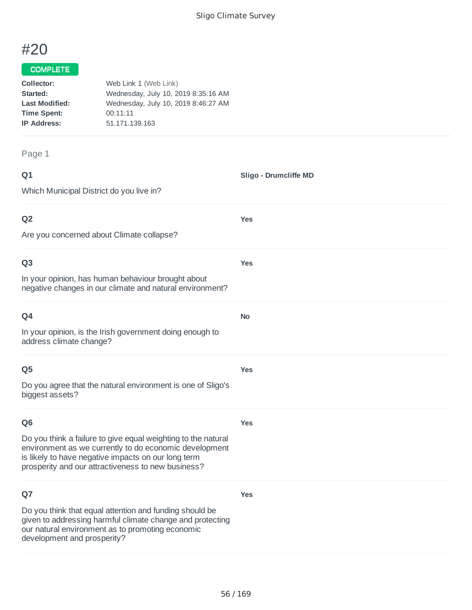**Sligo - Drumcliffe MD**

**Yes**

**Yes**

**No**

**Yes**

# #20

## COMPLETE

| Collector:            | Web Link 1 (Web Link)               |
|-----------------------|-------------------------------------|
| Started:              | Wednesday, July 10, 2019 8:35:16 AM |
| <b>Last Modified:</b> | Wednesday, July 10, 2019 8:46:27 AM |
| <b>Time Spent:</b>    | 00:11:11                            |
| <b>IP Address:</b>    | 51.171.139.163                      |
|                       |                                     |

#### Page 1

| ۰      | ٧ |
|--------|---|
| w<br>× |   |

Which Municipal District do you live in?

## **Q2**

Are you concerned about Climate collapse?

#### **Q3**

In your opinion, has human behaviour brought about negative changes in our climate and natural environment?

| O4                                                                                  |
|-------------------------------------------------------------------------------------|
| In your opinion, is the Irish government doing enough to<br>address climate change? |

#### **Q5**

Do you agree that the natural environment is one of Sligo's biggest assets?

### **Q6**

**Yes**

**Yes**

Do you think a failure to give equal weighting to the natural environment as we currently to do economic development is likely to have negative impacts on our long term prosperity and our attractiveness to new business?

### **Q7**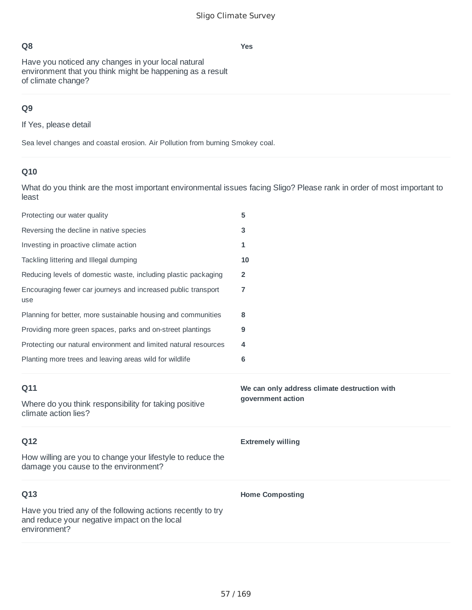**Yes**

Have you noticed any changes in your local natural environment that you think might be happening as a result of climate change?

## **Q9**

If Yes, please detail

Sea level changes and coastal erosion. Air Pollution from burning Smokey coal.

# **Q10**

What do you think are the most important environmental issues facing Sligo? Please rank in order of most important to least

| Protecting our water quality                                                                       | 5                                            |
|----------------------------------------------------------------------------------------------------|----------------------------------------------|
| Reversing the decline in native species                                                            | 3                                            |
| Investing in proactive climate action                                                              | 1                                            |
| Tackling littering and Illegal dumping                                                             | 10                                           |
| Reducing levels of domestic waste, including plastic packaging                                     | $\overline{2}$                               |
| Encouraging fewer car journeys and increased public transport<br>use                               | 7                                            |
| Planning for better, more sustainable housing and communities                                      | 8                                            |
| Providing more green spaces, parks and on-street plantings                                         | 9                                            |
| Protecting our natural environment and limited natural resources                                   | 4                                            |
| Planting more trees and leaving areas wild for wildlife                                            | 6                                            |
|                                                                                                    |                                              |
| Q11                                                                                                | We can only address climate destruction with |
| Where do you think responsibility for taking positive<br>climate action lies?                      | government action                            |
| Q12                                                                                                | <b>Extremely willing</b>                     |
| How willing are you to change your lifestyle to reduce the<br>damage you cause to the environment? |                                              |
| Q13                                                                                                | <b>Home Composting</b>                       |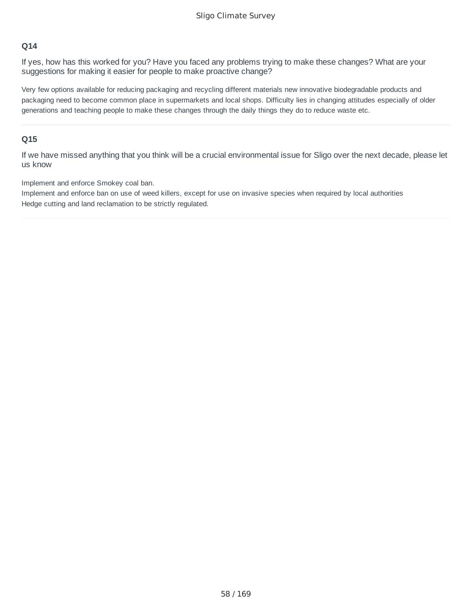If yes, how has this worked for you? Have you faced any problems trying to make these changes? What are your suggestions for making it easier for people to make proactive change?

Very few options available for reducing packaging and recycling different materials new innovative biodegradable products and packaging need to become common place in supermarkets and local shops. Difficulty lies in changing attitudes especially of older generations and teaching people to make these changes through the daily things they do to reduce waste etc.

#### **Q15**

If we have missed anything that you think will be a crucial environmental issue for Sligo over the next decade, please let us know

Implement and enforce Smokey coal ban.

Implement and enforce ban on use of weed killers, except for use on invasive species when required by local authorities Hedge cutting and land reclamation to be strictly regulated.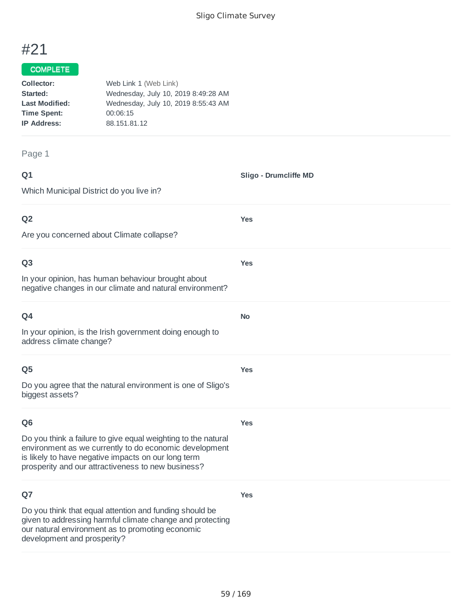# #21

#### COMPLETE

| Collector:            | Web Link 1 (Web Link)               |
|-----------------------|-------------------------------------|
| Started:              | Wednesday, July 10, 2019 8:49:28 AM |
| <b>Last Modified:</b> | Wednesday, July 10, 2019 8:55:43 AM |
| <b>Time Spent:</b>    | 00:06:15                            |
| <b>IP Address:</b>    | 88.151.81.12                        |
|                       |                                     |

#### Page 1

**Q1** Which Municipal District do you live in? **Sligo - Drumcliffe MD Q2** Are you concerned about Climate collapse? **Yes Q3** In your opinion, has human behaviour brought about negative changes in our climate and natural environment? **Yes Q4** In your opinion, is the Irish government doing enough to address climate change? **No Q5** Do you agree that the natural environment is one of Sligo's biggest assets? **Yes Q6 Yes**

Do you think a failure to give equal weighting to the natural environment as we currently to do economic development is likely to have negative impacts on our long term prosperity and our attractiveness to new business?

#### **Q7**

Do you think that equal attention and funding should be given to addressing harmful climate change and protecting our natural environment as to promoting economic development and prosperity?

**Yes**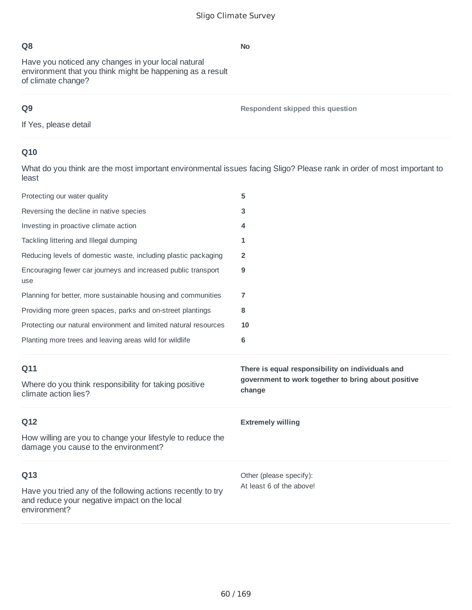Have you noticed any changes in your local natural environment that you think might be happening as a result of climate change?

# **Q9**

**Respondent skipped this question**

If Yes, please detail

# **Q10**

What do you think are the most important environmental issues facing Sligo? Please rank in order of most important to least

| Protecting our water quality                                                                                                | 5                                                                                                                 |
|-----------------------------------------------------------------------------------------------------------------------------|-------------------------------------------------------------------------------------------------------------------|
| Reversing the decline in native species                                                                                     | 3                                                                                                                 |
| Investing in proactive climate action                                                                                       | 4                                                                                                                 |
| Tackling littering and Illegal dumping                                                                                      | 1                                                                                                                 |
| Reducing levels of domestic waste, including plastic packaging                                                              | 2                                                                                                                 |
| Encouraging fewer car journeys and increased public transport<br>use                                                        | 9                                                                                                                 |
| Planning for better, more sustainable housing and communities                                                               | 7                                                                                                                 |
| Providing more green spaces, parks and on-street plantings                                                                  | 8                                                                                                                 |
| Protecting our natural environment and limited natural resources                                                            | 10                                                                                                                |
| Planting more trees and leaving areas wild for wildlife                                                                     | 6                                                                                                                 |
|                                                                                                                             |                                                                                                                   |
| Q11<br>Where do you think responsibility for taking positive<br>climate action lies?                                        | There is equal responsibility on individuals and<br>government to work together to bring about positive<br>change |
| Q12                                                                                                                         | <b>Extremely willing</b>                                                                                          |
| How willing are you to change your lifestyle to reduce the<br>damage you cause to the environment?                          |                                                                                                                   |
| Q13                                                                                                                         | Other (please specify):                                                                                           |
| Have you tried any of the following actions recently to try<br>and reduce your negative impact on the local<br>environment? | At least 6 of the above!                                                                                          |

**No**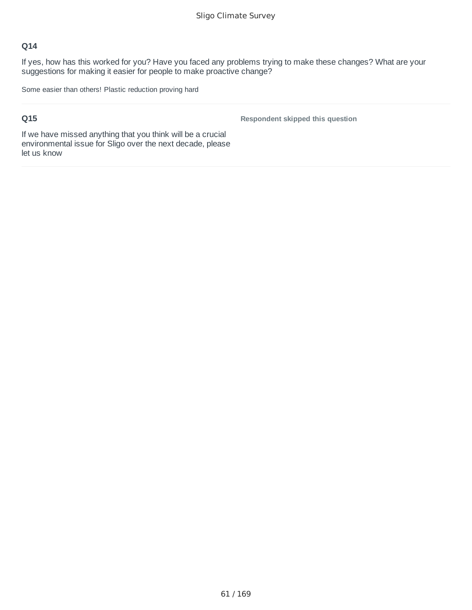If yes, how has this worked for you? Have you faced any problems trying to make these changes? What are your suggestions for making it easier for people to make proactive change?

Some easier than others! Plastic reduction proving hard

### **Q15**

**Respondent skipped this question**

If we have missed anything that you think will be a crucial environmental issue for Sligo over the next decade, please let us know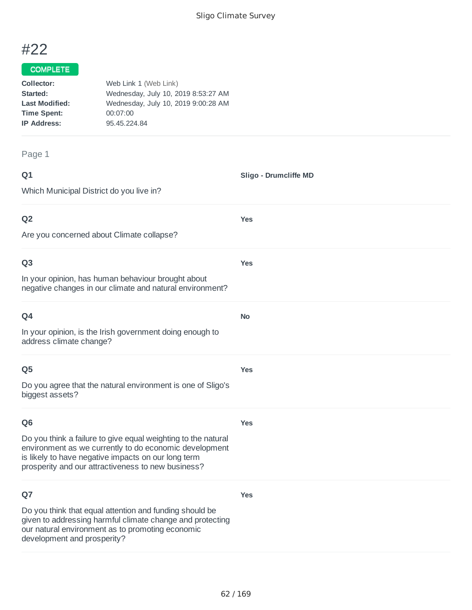**Sligo - Drumcliffe MD**

**Yes**

**Yes**

**No**

**Yes**

# #22

## COMPLETE

| Collector:            | Web Link 1 (Web Link)               |
|-----------------------|-------------------------------------|
| Started:              | Wednesday, July 10, 2019 8:53:27 AM |
| <b>Last Modified:</b> | Wednesday, July 10, 2019 9:00:28 AM |
| <b>Time Spent:</b>    | 00:07:00                            |
| <b>IP Address:</b>    | 95.45.224.84                        |
|                       |                                     |

#### Page 1

| ۰      | ٧ |
|--------|---|
| w<br>× |   |

Which Municipal District do you live in?

#### **Q2**

Are you concerned about Climate collapse?

#### **Q3**

In your opinion, has human behaviour brought about negative changes in our climate and natural environment?

| I<br>w |  |
|--------|--|

In your opinion, is the Irish government doing enough to address climate change?

#### **Q5**

Do you agree that the natural environment is one of Sligo's biggest assets?

#### **Q6**

**Yes**

**Yes**

Do you think a failure to give equal weighting to the natural environment as we currently to do economic development is likely to have negative impacts on our long term prosperity and our attractiveness to new business?

### **Q7**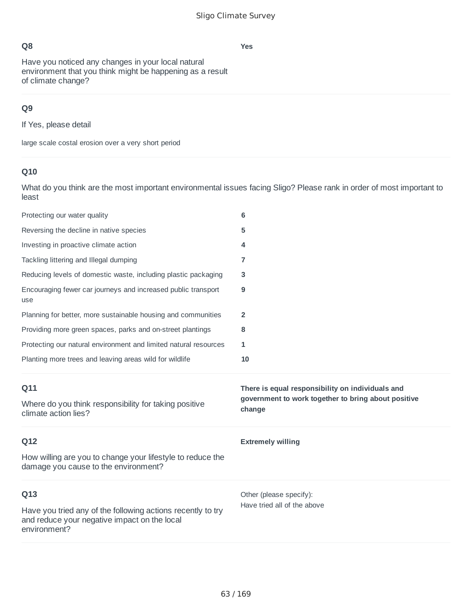**Yes**

Have you noticed any changes in your local natural environment that you think might be happening as a result of climate change?

# **Q9**

If Yes, please detail

large scale costal erosion over a very short period

## **Q10**

What do you think are the most important environmental issues facing Sligo? Please rank in order of most important to least

| Protecting our water quality                                                                       | 6                                                                                                                 |
|----------------------------------------------------------------------------------------------------|-------------------------------------------------------------------------------------------------------------------|
| Reversing the decline in native species                                                            | 5                                                                                                                 |
| Investing in proactive climate action                                                              | 4                                                                                                                 |
| Tackling littering and Illegal dumping                                                             | 7                                                                                                                 |
| Reducing levels of domestic waste, including plastic packaging                                     | 3                                                                                                                 |
| Encouraging fewer car journeys and increased public transport<br>use                               | 9                                                                                                                 |
| Planning for better, more sustainable housing and communities                                      | 2                                                                                                                 |
| Providing more green spaces, parks and on-street plantings                                         | 8                                                                                                                 |
| Protecting our natural environment and limited natural resources                                   | 1                                                                                                                 |
| Planting more trees and leaving areas wild for wildlife                                            | 10                                                                                                                |
|                                                                                                    |                                                                                                                   |
| Q11<br>Where do you think responsibility for taking positive<br>climate action lies?               | There is equal responsibility on individuals and<br>government to work together to bring about positive<br>change |
| Q12                                                                                                | <b>Extremely willing</b>                                                                                          |
| How willing are you to change your lifestyle to reduce the<br>damage you cause to the environment? |                                                                                                                   |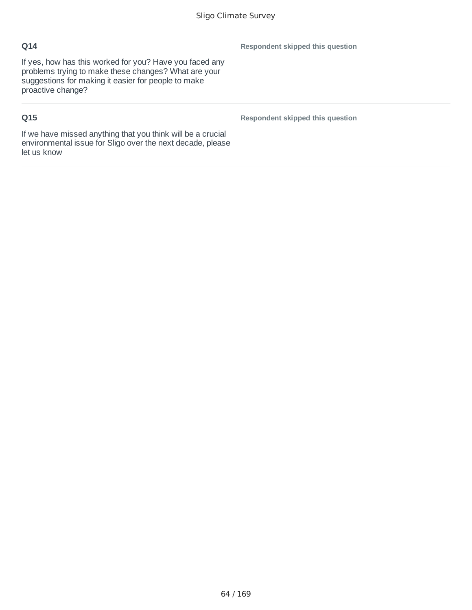If yes, how has this worked for you? Have you faced any problems trying to make these changes? What are your suggestions for making it easier for people to make proactive change?

# **Q15**

**Respondent skipped this question**

**Respondent skipped this question**

If we have missed anything that you think will be a crucial environmental issue for Sligo over the next decade, please let us know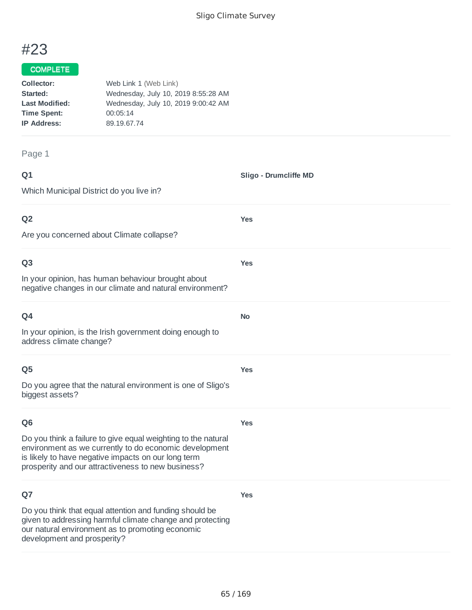**Sligo - Drumcliffe MD**

**Yes**

**Yes**

**No**

**Yes**

# #23

#### COMPLETE

| Collector:            | Web Link 1 (Web Link)               |
|-----------------------|-------------------------------------|
| Started:              | Wednesday, July 10, 2019 8:55:28 AM |
| <b>Last Modified:</b> | Wednesday, July 10, 2019 9:00:42 AM |
| <b>Time Spent:</b>    | 00:05:14                            |
| <b>IP Address:</b>    | 89.19.67.74                         |
|                       |                                     |

Page 1

| ۰      | ï<br>٧ |
|--------|--------|
| ×<br>w |        |
| ×      |        |

Which Municipal District do you live in?

## **Q2**

Are you concerned about Climate collapse?

#### **Q3**

In your opinion, has human behaviour brought about negative changes in our climate and natural environment?

| O <sub>4</sub>                                           |
|----------------------------------------------------------|
| In your opinion, is the Irish government doing enough to |
| address climate change?                                  |

#### **Q5**

Do you agree that the natural environment is one of Sligo's biggest assets?

### **Q6**

**Yes**

**Yes**

Do you think a failure to give equal weighting to the natural environment as we currently to do economic development is likely to have negative impacts on our long term prosperity and our attractiveness to new business?

### **Q7**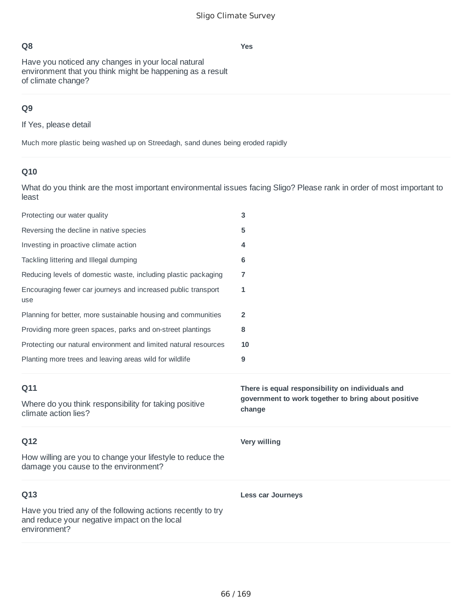**Yes**

Have you noticed any changes in your local natural environment that you think might be happening as a result of climate change?

## **Q9**

If Yes, please detail

Much more plastic being washed up on Streedagh, sand dunes being eroded rapidly

## **Q10**

What do you think are the most important environmental issues facing Sligo? Please rank in order of most important to least

| Protecting our water quality                                                                       | 3                                                             |
|----------------------------------------------------------------------------------------------------|---------------------------------------------------------------|
| Reversing the decline in native species                                                            | 5                                                             |
| Investing in proactive climate action                                                              | 4                                                             |
| Tackling littering and Illegal dumping                                                             | 6                                                             |
| Reducing levels of domestic waste, including plastic packaging                                     | 7                                                             |
| Encouraging fewer car journeys and increased public transport<br>use                               | 1                                                             |
| Planning for better, more sustainable housing and communities                                      | $\overline{2}$                                                |
| Providing more green spaces, parks and on-street plantings                                         | 8                                                             |
| Protecting our natural environment and limited natural resources                                   | 10                                                            |
| Planting more trees and leaving areas wild for wildlife                                            | 9                                                             |
|                                                                                                    |                                                               |
| Q11                                                                                                | There is equal responsibility on individuals and              |
| Where do you think responsibility for taking positive<br>climate action lies?                      | government to work together to bring about positive<br>change |
| Q12                                                                                                | <b>Very willing</b>                                           |
| How willing are you to change your lifestyle to reduce the<br>damage you cause to the environment? |                                                               |
| Q13                                                                                                | <b>Less car Journeys</b>                                      |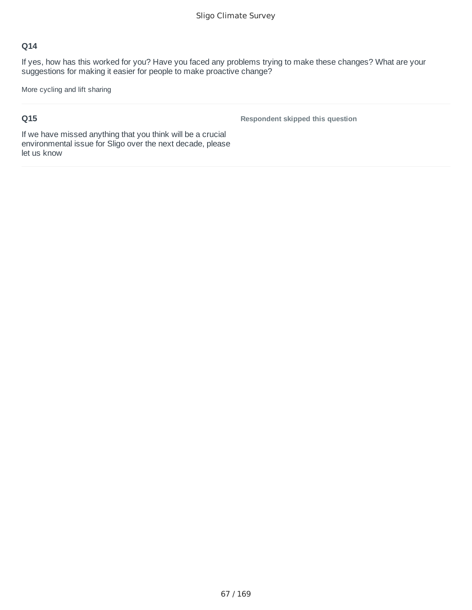If yes, how has this worked for you? Have you faced any problems trying to make these changes? What are your suggestions for making it easier for people to make proactive change?

More cycling and lift sharing

## **Q15**

**Respondent skipped this question**

If we have missed anything that you think will be a crucial environmental issue for Sligo over the next decade, please let us know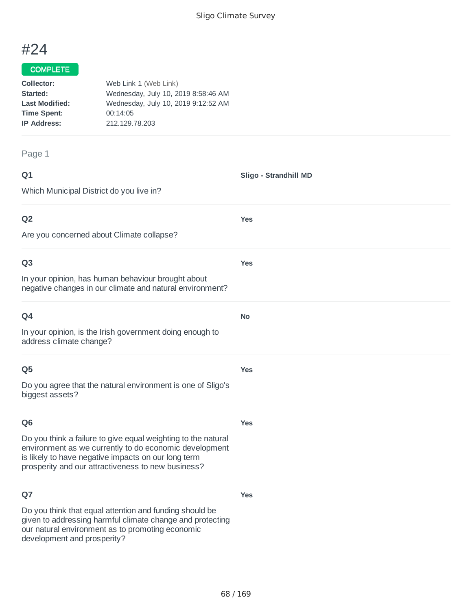**Sligo - Strandhill MD**

**Yes**

**Yes**

**No**

**Yes**

# #24

### COMPLETE

| Collector:            | Web Link 1 (Web Link)               |
|-----------------------|-------------------------------------|
| Started:              | Wednesday, July 10, 2019 8:58:46 AM |
| <b>Last Modified:</b> | Wednesday, July 10, 2019 9:12:52 AM |
| <b>Time Spent:</b>    | 00:14:05                            |
| <b>IP Address:</b>    | 212.129.78.203                      |
|                       |                                     |

#### Page 1

| ۰      | ۰. |
|--------|----|
| w<br>× |    |

Which Municipal District do you live in?

## **Q2**

Are you concerned about Climate collapse?

#### **Q3**

In your opinion, has human behaviour brought about negative changes in our climate and natural environment?

| O <sub>4</sub>                                                                      |  |
|-------------------------------------------------------------------------------------|--|
| In your opinion, is the Irish government doing enough to<br>address climate change? |  |

#### **Q5**

Do you agree that the natural environment is one of Sligo's biggest assets?

#### **Q6**

**Yes**

**Yes**

Do you think a failure to give equal weighting to the natural environment as we currently to do economic development is likely to have negative impacts on our long term prosperity and our attractiveness to new business?

### **Q7**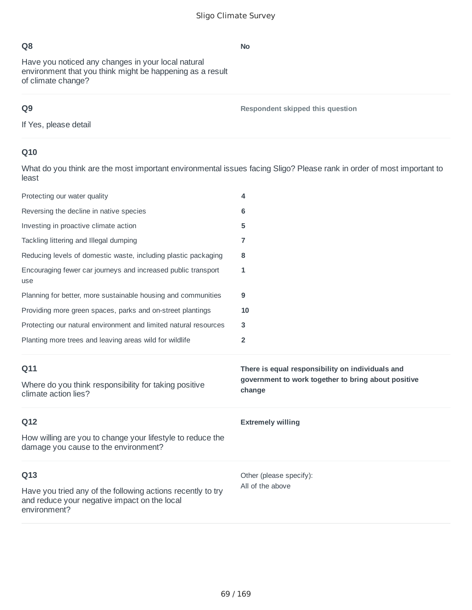Have you noticed any changes in your local natural environment that you think might be happening as a result of climate change?

# **Q9**

**Respondent skipped this question**

If Yes, please detail

# **Q10**

What do you think are the most important environmental issues facing Sligo? Please rank in order of most important to least

| Protecting our water quality                                                                                                | 4                                                                                                                 |
|-----------------------------------------------------------------------------------------------------------------------------|-------------------------------------------------------------------------------------------------------------------|
| Reversing the decline in native species                                                                                     | 6                                                                                                                 |
| Investing in proactive climate action                                                                                       | 5                                                                                                                 |
| Tackling littering and Illegal dumping                                                                                      | $\overline{7}$                                                                                                    |
| Reducing levels of domestic waste, including plastic packaging                                                              | 8                                                                                                                 |
| Encouraging fewer car journeys and increased public transport<br>use                                                        | 1                                                                                                                 |
| Planning for better, more sustainable housing and communities                                                               | 9                                                                                                                 |
| Providing more green spaces, parks and on-street plantings                                                                  | 10                                                                                                                |
| Protecting our natural environment and limited natural resources                                                            | 3                                                                                                                 |
| Planting more trees and leaving areas wild for wildlife                                                                     | $\overline{2}$                                                                                                    |
|                                                                                                                             |                                                                                                                   |
| Q11<br>Where do you think responsibility for taking positive<br>climate action lies?                                        | There is equal responsibility on individuals and<br>government to work together to bring about positive<br>change |
| Q12                                                                                                                         | <b>Extremely willing</b>                                                                                          |
| How willing are you to change your lifestyle to reduce the<br>damage you cause to the environment?                          |                                                                                                                   |
| Q13                                                                                                                         | Other (please specify):                                                                                           |
| Have you tried any of the following actions recently to try<br>and reduce your negative impact on the local<br>environment? | All of the above                                                                                                  |

**No**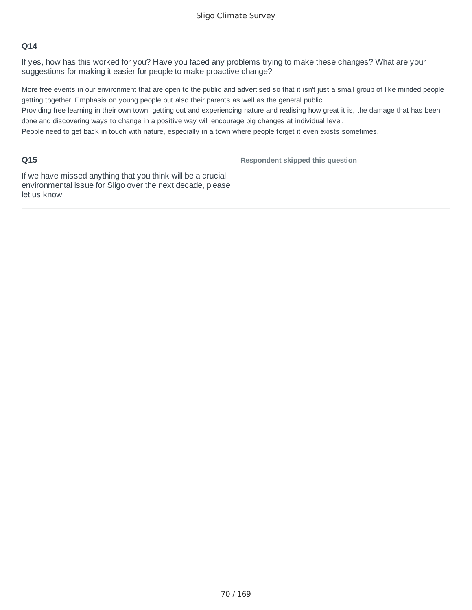If yes, how has this worked for you? Have you faced any problems trying to make these changes? What are your suggestions for making it easier for people to make proactive change?

More free events in our environment that are open to the public and advertised so that it isn't just a small group of like minded people getting together. Emphasis on young people but also their parents as well as the general public.

Providing free learning in their own town, getting out and experiencing nature and realising how great it is, the damage that has been done and discovering ways to change in a positive way will encourage big changes at individual level.

People need to get back in touch with nature, especially in a town where people forget it even exists sometimes.

#### **Q15**

**Respondent skipped this question**

If we have missed anything that you think will be a crucial environmental issue for Sligo over the next decade, please let us know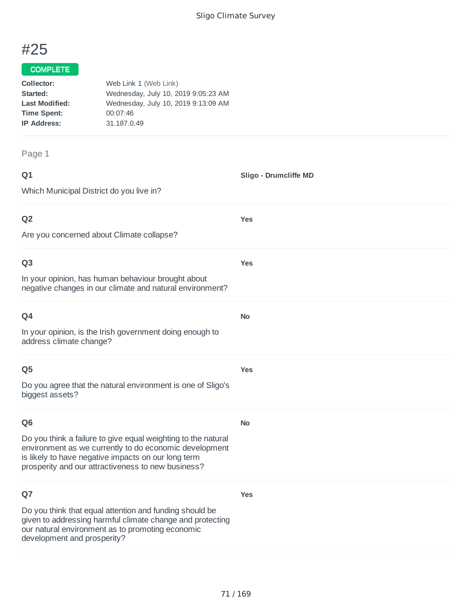**Sligo - Drumcliffe MD**

**Yes**

**Yes**

**No**

**Yes**

**No**

**Yes**

# #25

#### COMPLETE

| Collector:            | Web Link 1 (Web Link)               |
|-----------------------|-------------------------------------|
| Started:              | Wednesday, July 10, 2019 9:05:23 AM |
| <b>Last Modified:</b> | Wednesday, July 10, 2019 9:13:09 AM |
| <b>Time Spent:</b>    | 00:07:46                            |
| <b>IP Address:</b>    | 31.187.0.49                         |
|                       |                                     |

Page 1

## **Q1**

Which Municipal District do you live in?

### **Q2**

Are you concerned about Climate collapse?

#### **Q3**

In your opinion, has human behaviour brought about negative changes in our climate and natural environment?

| ۰<br>I<br>×<br>w<br>× |
|-----------------------|
|-----------------------|

In your opinion, is the Irish government doing enough to address climate change?

#### **Q5**

Do you agree that the natural environment is one of Sligo's biggest assets?

#### **Q6**

Do you think a failure to give equal weighting to the natural environment as we currently to do economic development is likely to have negative impacts on our long term prosperity and our attractiveness to new business?

### **Q7**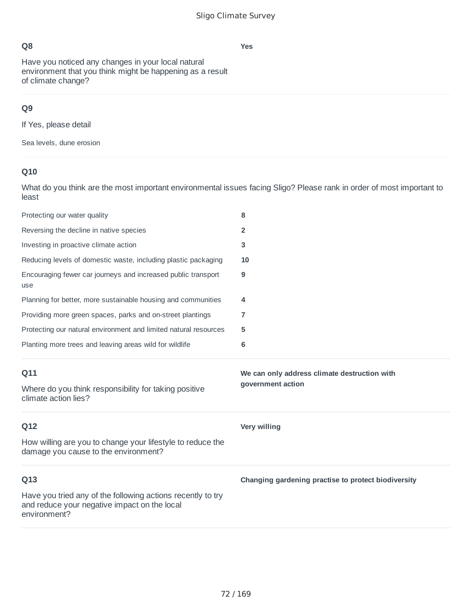Have you noticed any changes in your local natural environment that you think might be happening as a result of climate change?

# **Q9**

If Yes, please detail

Sea levels, dune erosion

# **Q10**

What do you think are the most important environmental issues facing Sligo? Please rank in order of most important to least

| Protecting our water quality                                                                                                | 8                                                   |
|-----------------------------------------------------------------------------------------------------------------------------|-----------------------------------------------------|
| Reversing the decline in native species                                                                                     | $\overline{2}$                                      |
| Investing in proactive climate action                                                                                       | 3                                                   |
| Reducing levels of domestic waste, including plastic packaging                                                              | 10                                                  |
| Encouraging fewer car journeys and increased public transport<br>use                                                        | 9                                                   |
| Planning for better, more sustainable housing and communities                                                               | 4                                                   |
| Providing more green spaces, parks and on-street plantings                                                                  | 7                                                   |
| Protecting our natural environment and limited natural resources                                                            | 5                                                   |
| Planting more trees and leaving areas wild for wildlife                                                                     | 6                                                   |
|                                                                                                                             |                                                     |
| Q11                                                                                                                         | We can only address climate destruction with        |
| Where do you think responsibility for taking positive<br>climate action lies?                                               | government action                                   |
| Q12                                                                                                                         | <b>Very willing</b>                                 |
| How willing are you to change your lifestyle to reduce the<br>damage you cause to the environment?                          |                                                     |
| Q13                                                                                                                         | Changing gardening practise to protect biodiversity |
| Have you tried any of the following actions recently to try<br>and reduce your negative impact on the local<br>environment? |                                                     |

**Yes**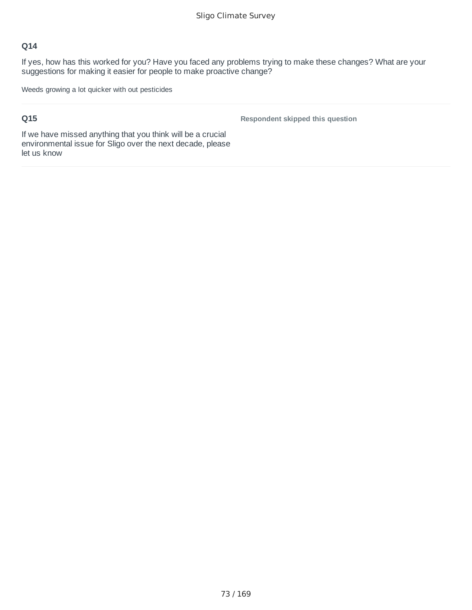If yes, how has this worked for you? Have you faced any problems trying to make these changes? What are your suggestions for making it easier for people to make proactive change?

Weeds growing a lot quicker with out pesticides

### **Q15**

**Respondent skipped this question**

If we have missed anything that you think will be a crucial environmental issue for Sligo over the next decade, please let us know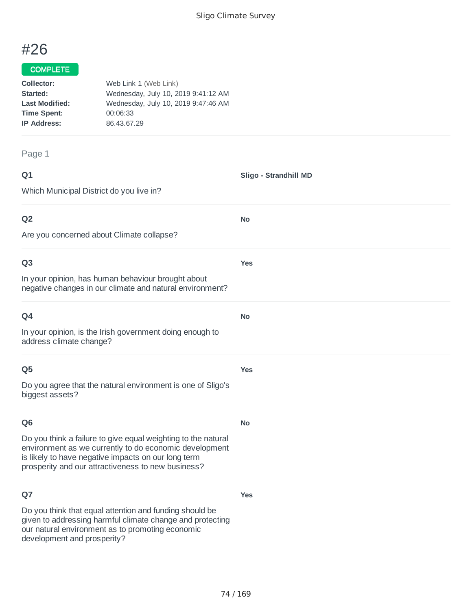**Sligo - Strandhill MD**

**No**

**Yes**

**No**

**Yes**

**No**

**Yes**

# #26

#### COMPLETE

| Collector:            | Web Link 1 (Web Link)               |
|-----------------------|-------------------------------------|
| Started:              | Wednesday, July 10, 2019 9:41:12 AM |
| <b>Last Modified:</b> | Wednesday, July 10, 2019 9:47:46 AM |
| <b>Time Spent:</b>    | 00:06:33                            |
| <b>IP Address:</b>    | 86.43.67.29                         |
|                       |                                     |

Page 1

#### **Q1**

Which Municipal District do you live in?

### **Q2**

Are you concerned about Climate collapse?

#### **Q3**

In your opinion, has human behaviour brought about negative changes in our climate and natural environment?

| ۰<br>٠<br>I<br>×<br>w<br>× |
|----------------------------|
|----------------------------|

In your opinion, is the Irish government doing enough to address climate change?

#### **Q5**

Do you agree that the natural environment is one of Sligo's biggest assets?

#### **Q6**

Do you think a failure to give equal weighting to the natural environment as we currently to do economic development is likely to have negative impacts on our long term prosperity and our attractiveness to new business?

### **Q7**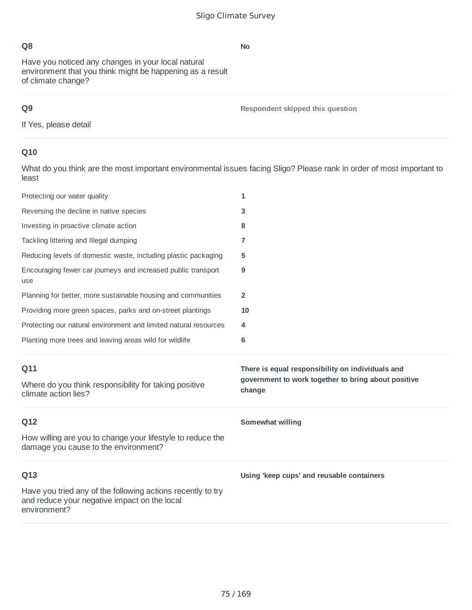Have you noticed any changes in your local natural environment that you think might be happening as a result of climate change?

## **Q9**

**Respondent skipped this question**

If Yes, please detail

## **Q10**

What do you think are the most important environmental issues facing Sligo? Please rank in order of most important to least

| Protecting our water quality                                                                                                | 1                                                                                                                 |
|-----------------------------------------------------------------------------------------------------------------------------|-------------------------------------------------------------------------------------------------------------------|
| Reversing the decline in native species                                                                                     | 3                                                                                                                 |
| Investing in proactive climate action                                                                                       | 8                                                                                                                 |
| Tackling littering and Illegal dumping                                                                                      | 7                                                                                                                 |
| Reducing levels of domestic waste, including plastic packaging                                                              | 5                                                                                                                 |
| Encouraging fewer car journeys and increased public transport<br>use                                                        | 9                                                                                                                 |
| Planning for better, more sustainable housing and communities                                                               | $\mathbf{2}$                                                                                                      |
| Providing more green spaces, parks and on-street plantings                                                                  | 10                                                                                                                |
| Protecting our natural environment and limited natural resources                                                            | 4                                                                                                                 |
| Planting more trees and leaving areas wild for wildlife                                                                     | 6                                                                                                                 |
|                                                                                                                             |                                                                                                                   |
| Q11<br>Where do you think responsibility for taking positive<br>climate action lies?                                        | There is equal responsibility on individuals and<br>government to work together to bring about positive<br>change |
| Q12                                                                                                                         | Somewhat willing                                                                                                  |
| How willing are you to change your lifestyle to reduce the<br>damage you cause to the environment?                          |                                                                                                                   |
| Q13                                                                                                                         | Using 'keep cups' and reusable containers                                                                         |
| Have you tried any of the following actions recently to try<br>and reduce your negative impact on the local<br>environment? |                                                                                                                   |

#### **No**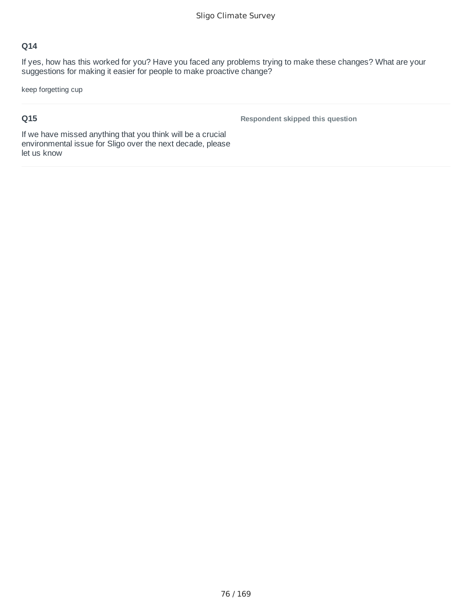If yes, how has this worked for you? Have you faced any problems trying to make these changes? What are your suggestions for making it easier for people to make proactive change?

keep forgetting cup

## **Q15**

**Respondent skipped this question**

If we have missed anything that you think will be a crucial environmental issue for Sligo over the next decade, please let us know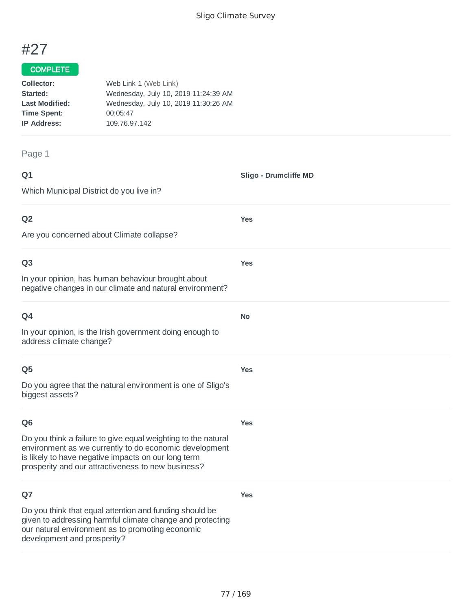**Sligo - Drumcliffe MD**

**Yes**

**Yes**

**No**

**Yes**

# #27

## COMPLETE

| Collector:            | Web Link 1 (Web Link)                |
|-----------------------|--------------------------------------|
| Started:              | Wednesday, July 10, 2019 11:24:39 AM |
| <b>Last Modified:</b> | Wednesday, July 10, 2019 11:30:26 AM |
| <b>Time Spent:</b>    | 00:05:47                             |
| <b>IP Address:</b>    | 109.76.97.142                        |
|                       |                                      |

Page 1

## **Q1**

Which Municipal District do you live in?

### **Q2**

Are you concerned about Climate collapse?

#### **Q3**

In your opinion, has human behaviour brought about negative changes in our climate and natural environment?

| w<br>× |
|--------|
|--------|

In your opinion, is the Irish government doing enough to address climate change?

#### **Q5**

Do you agree that the natural environment is one of Sligo's biggest assets?

#### **Q6**

**Yes**

**Yes**

Do you think a failure to give equal weighting to the natural environment as we currently to do economic development is likely to have negative impacts on our long term prosperity and our attractiveness to new business?

## **Q7**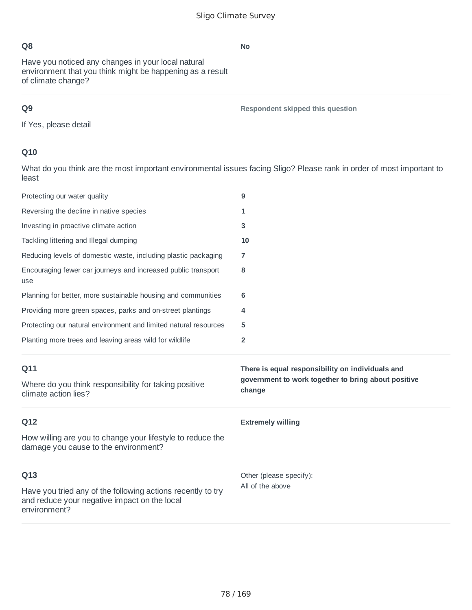Have you noticed any changes in your local natural environment that you think might be happening as a result of climate change?

## **Q9**

**Respondent skipped this question**

If Yes, please detail

## **Q10**

What do you think are the most important environmental issues facing Sligo? Please rank in order of most important to least

| Protecting our water quality                                                                                                | 9                                                             |
|-----------------------------------------------------------------------------------------------------------------------------|---------------------------------------------------------------|
| Reversing the decline in native species                                                                                     | 1                                                             |
| Investing in proactive climate action                                                                                       | 3                                                             |
| Tackling littering and Illegal dumping                                                                                      | 10                                                            |
| Reducing levels of domestic waste, including plastic packaging                                                              | 7                                                             |
| Encouraging fewer car journeys and increased public transport<br>use                                                        | 8                                                             |
| Planning for better, more sustainable housing and communities                                                               | 6                                                             |
| Providing more green spaces, parks and on-street plantings                                                                  | 4                                                             |
| Protecting our natural environment and limited natural resources                                                            | 5                                                             |
| Planting more trees and leaving areas wild for wildlife                                                                     | $\overline{2}$                                                |
|                                                                                                                             |                                                               |
| Q11                                                                                                                         | There is equal responsibility on individuals and              |
| Where do you think responsibility for taking positive<br>climate action lies?                                               | government to work together to bring about positive<br>change |
| Q12                                                                                                                         | <b>Extremely willing</b>                                      |
| How willing are you to change your lifestyle to reduce the<br>damage you cause to the environment?                          |                                                               |
| Q13                                                                                                                         | Other (please specify):                                       |
| Have you tried any of the following actions recently to try<br>and reduce your negative impact on the local<br>environment? | All of the above                                              |

**No**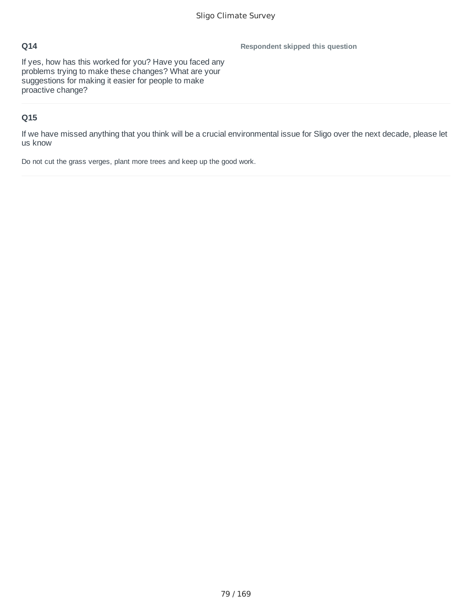**Respondent skipped this question**

If yes, how has this worked for you? Have you faced any problems trying to make these changes? What are your suggestions for making it easier for people to make proactive change?

## **Q15**

If we have missed anything that you think will be a crucial environmental issue for Sligo over the next decade, please let us know

Do not cut the grass verges, plant more trees and keep up the good work.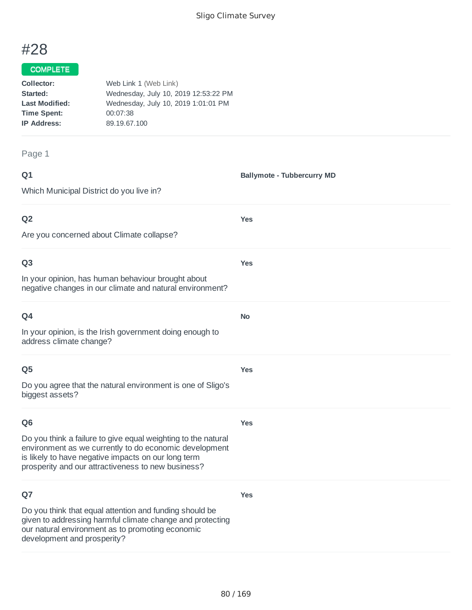# #28

#### COMPLETE

| Collector:            | Web Link 1 (Web Link)                |
|-----------------------|--------------------------------------|
| Started:              | Wednesday, July 10, 2019 12:53:22 PM |
| <b>Last Modified:</b> | Wednesday, July 10, 2019 1:01:01 PM  |
| <b>Time Spent:</b>    | 00:07:38                             |
| <b>IP Address:</b>    | 89.19.67.100                         |
|                       |                                      |

#### Page 1

| ۰      | ٠ |
|--------|---|
| ×<br>w | - |
| ×      |   |

**Ballymote - Tubbercurry MD**

Which Municipal District do you live in?

## **Q2**

Are you concerned about Climate collapse?

#### **Q3**

In your opinion, has human behaviour brought about negative changes in our climate and natural environment?

| w |  |
|---|--|

In your opinion, is the Irish government doing enough to address climate change?

#### **Q5**

Do you agree that the natural environment is one of Sligo's biggest assets?

### **Q6**

**Yes**

**Yes**

**Yes**

**Yes**

**No**

**Yes**

Do you think a failure to give equal weighting to the natural environment as we currently to do economic development is likely to have negative impacts on our long term prosperity and our attractiveness to new business?

### **Q7**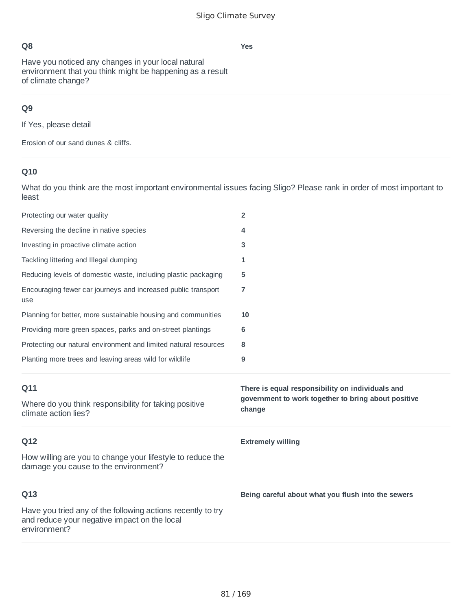Have you noticed any changes in your local natural environment that you think might be happening as a result of climate change?

## **Q9**

If Yes, please detail

Erosion of our sand dunes & cliffs.

# **Q10**

What do you think are the most important environmental issues facing Sligo? Please rank in order of most important to least

| Protecting our water quality                                                                       | $\overline{2}$                                                |
|----------------------------------------------------------------------------------------------------|---------------------------------------------------------------|
| Reversing the decline in native species                                                            | 4                                                             |
| Investing in proactive climate action                                                              | 3                                                             |
| Tackling littering and Illegal dumping                                                             | 1                                                             |
| Reducing levels of domestic waste, including plastic packaging                                     | 5                                                             |
| Encouraging fewer car journeys and increased public transport<br>use                               | 7                                                             |
| Planning for better, more sustainable housing and communities                                      | 10                                                            |
| Providing more green spaces, parks and on-street plantings                                         | 6                                                             |
| Protecting our natural environment and limited natural resources                                   | 8                                                             |
| Planting more trees and leaving areas wild for wildlife                                            | 9                                                             |
|                                                                                                    |                                                               |
| Q11                                                                                                | There is equal responsibility on individuals and              |
| Where do you think responsibility for taking positive<br>climate action lies?                      | government to work together to bring about positive<br>change |
| Q12                                                                                                | <b>Extremely willing</b>                                      |
| How willing are you to change your lifestyle to reduce the<br>damage you cause to the environment? |                                                               |
| Q13                                                                                                | Being careful about what you flush into the sewers            |

#### **Yes**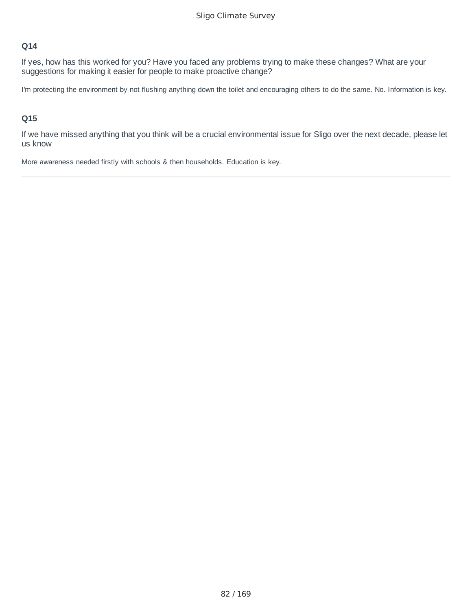If yes, how has this worked for you? Have you faced any problems trying to make these changes? What are your suggestions for making it easier for people to make proactive change?

I'm protecting the environment by not flushing anything down the toilet and encouraging others to do the same. No. Information is key.

#### **Q15**

If we have missed anything that you think will be a crucial environmental issue for Sligo over the next decade, please let us know

More awareness needed firstly with schools & then households. Education is key.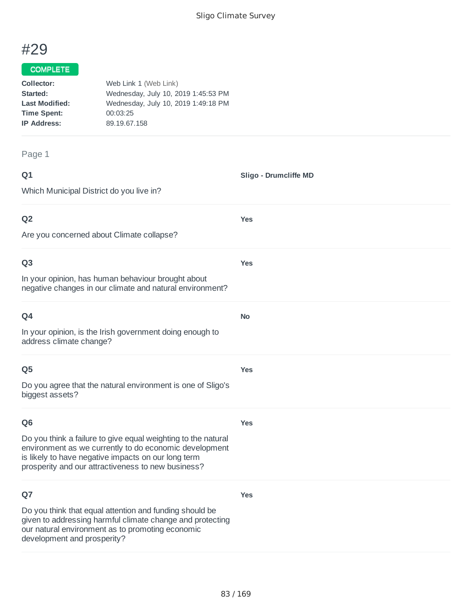**Sligo - Drumcliffe MD**

**Yes**

**Yes**

**No**

**Yes**

# #29

#### COMPLETE

| Collector:            | Web Link 1 (Web Link)               |
|-----------------------|-------------------------------------|
| Started:              | Wednesday, July 10, 2019 1:45:53 PM |
| <b>Last Modified:</b> | Wednesday, July 10, 2019 1:49:18 PM |
| <b>Time Spent:</b>    | 00:03:25                            |
| <b>IP Address:</b>    | 89.19.67.158                        |
|                       |                                     |

Page 1

### **Q1**

Which Municipal District do you live in?

### **Q2**

Are you concerned about Climate collapse?

#### **Q3**

In your opinion, has human behaviour brought about negative changes in our climate and natural environment?

| w<br>× |
|--------|
|--------|

In your opinion, is the Irish government doing enough to address climate change?

#### **Q5**

Do you agree that the natural environment is one of Sligo's biggest assets?

#### **Q6**

**Yes**

**Yes**

Do you think a failure to give equal weighting to the natural environment as we currently to do economic development is likely to have negative impacts on our long term prosperity and our attractiveness to new business?

### **Q7**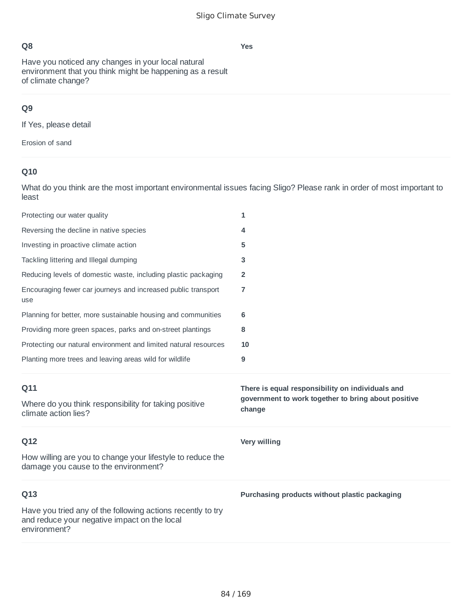Have you noticed any changes in your local natural environment that you think might be happening as a result of climate change?

## **Q9**

If Yes, please detail

Erosion of sand

# **Q10**

| Protecting our water quality                                                                       | 1                                                                                                       |
|----------------------------------------------------------------------------------------------------|---------------------------------------------------------------------------------------------------------|
| Reversing the decline in native species                                                            | 4                                                                                                       |
| Investing in proactive climate action                                                              | 5                                                                                                       |
| Tackling littering and Illegal dumping                                                             | 3                                                                                                       |
| Reducing levels of domestic waste, including plastic packaging                                     | 2                                                                                                       |
| Encouraging fewer car journeys and increased public transport<br>use                               | 7                                                                                                       |
| Planning for better, more sustainable housing and communities                                      | 6                                                                                                       |
| Providing more green spaces, parks and on-street plantings                                         | 8                                                                                                       |
| Protecting our natural environment and limited natural resources                                   | 10                                                                                                      |
| Planting more trees and leaving areas wild for wildlife                                            | 9                                                                                                       |
|                                                                                                    |                                                                                                         |
| Q11<br>Where do you think responsibility for taking positive                                       | There is equal responsibility on individuals and<br>government to work together to bring about positive |
| climate action lies?                                                                               | change                                                                                                  |
| Q12                                                                                                | Very willing                                                                                            |
| How willing are you to change your lifestyle to reduce the<br>damage you cause to the environment? |                                                                                                         |
| Q13                                                                                                | Purchasing products without plastic packaging                                                           |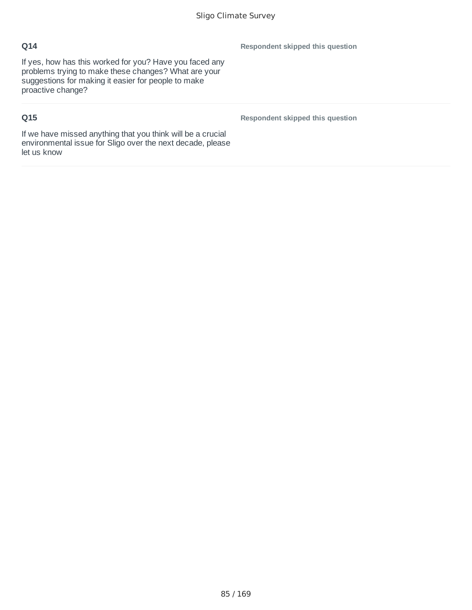If yes, how has this worked for you? Have you faced any problems trying to make these changes? What are your suggestions for making it easier for people to make proactive change?

## **Q15**

**Respondent skipped this question**

**Respondent skipped this question**

If we have missed anything that you think will be a crucial environmental issue for Sligo over the next decade, please let us know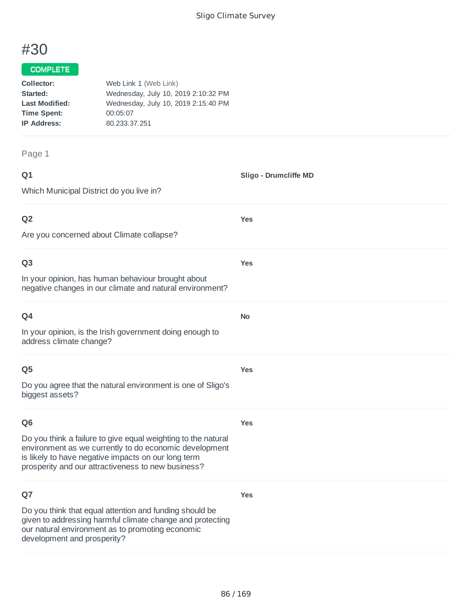**Sligo - Drumcliffe MD**

**Yes**

**Yes**

**No**

**Yes**

# #30

#### COMPLETE

| Collector:            | Web Link 1 (Web Link)               |
|-----------------------|-------------------------------------|
| Started:              | Wednesday, July 10, 2019 2:10:32 PM |
| <b>Last Modified:</b> | Wednesday, July 10, 2019 2:15:40 PM |
| <b>Time Spent:</b>    | 00:05:07                            |
| <b>IP Address:</b>    | 80.233.37.251                       |
|                       |                                     |

Page 1

## **Q1**

Which Municipal District do you live in?

### **Q2**

Are you concerned about Climate collapse?

#### **Q3**

In your opinion, has human behaviour brought about negative changes in our climate and natural environment?

| w<br>× |
|--------|
|--------|

In your opinion, is the Irish government doing enough to address climate change?

#### **Q5**

Do you agree that the natural environment is one of Sligo's biggest assets?

#### **Q6**

**Yes**

**Yes**

Do you think a failure to give equal weighting to the natural environment as we currently to do economic development is likely to have negative impacts on our long term prosperity and our attractiveness to new business?

### **Q7**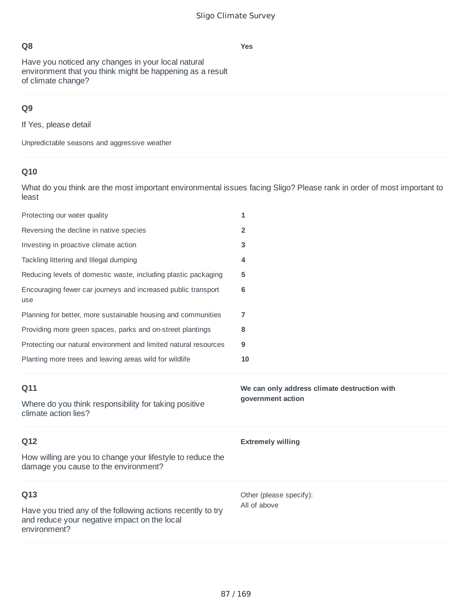**Yes**

## **Q8**

Have you noticed any changes in your local natural environment that you think might be happening as a result of climate change?

## **Q9**

If Yes, please detail

Unpredictable seasons and aggressive weather

## **Q10**

| Protecting our water quality                                                                       | 1                                            |
|----------------------------------------------------------------------------------------------------|----------------------------------------------|
| Reversing the decline in native species                                                            | $\overline{2}$                               |
| Investing in proactive climate action                                                              | 3                                            |
| Tackling littering and Illegal dumping                                                             | 4                                            |
| Reducing levels of domestic waste, including plastic packaging                                     | 5                                            |
| Encouraging fewer car journeys and increased public transport<br>use                               | 6                                            |
| Planning for better, more sustainable housing and communities                                      | 7                                            |
| Providing more green spaces, parks and on-street plantings                                         | 8                                            |
| Protecting our natural environment and limited natural resources                                   | 9                                            |
| Planting more trees and leaving areas wild for wildlife                                            | 10                                           |
|                                                                                                    |                                              |
| Q11                                                                                                | We can only address climate destruction with |
| Where do you think responsibility for taking positive<br>climate action lies?                      | government action                            |
| Q12                                                                                                | <b>Extremely willing</b>                     |
| How willing are you to change your lifestyle to reduce the<br>damage you cause to the environment? |                                              |
| Q13                                                                                                | Other (please specify):<br>All of above      |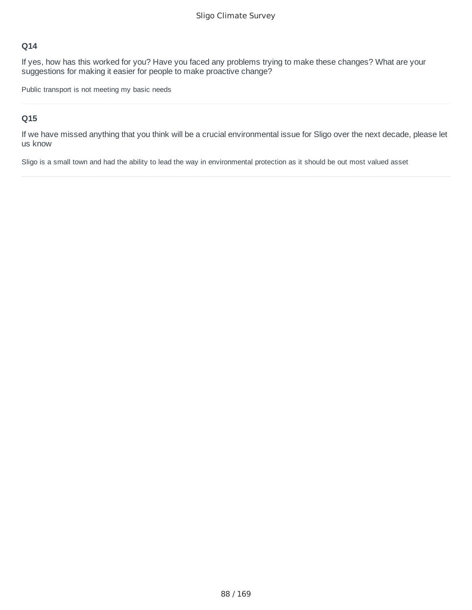If yes, how has this worked for you? Have you faced any problems trying to make these changes? What are your suggestions for making it easier for people to make proactive change?

Public transport is not meeting my basic needs

#### **Q15**

If we have missed anything that you think will be a crucial environmental issue for Sligo over the next decade, please let us know

Sligo is a small town and had the ability to lead the way in environmental protection as it should be out most valued asset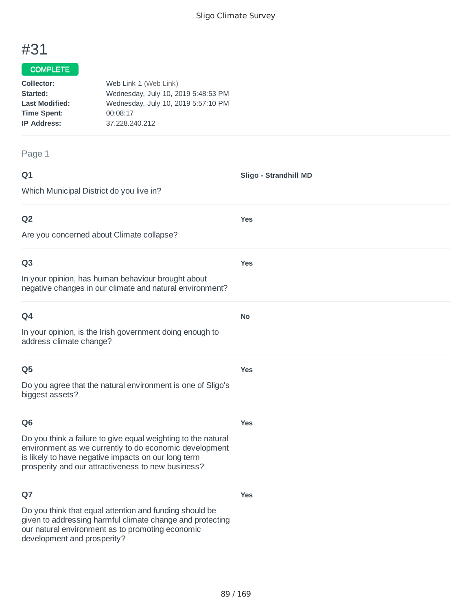**Sligo - Strandhill MD**

**Yes**

**Yes**

**No**

**Yes**

# #31

## COMPLETE

| Collector:            | Web Link 1 (Web Link)               |
|-----------------------|-------------------------------------|
| Started:              | Wednesday, July 10, 2019 5:48:53 PM |
| <b>Last Modified:</b> | Wednesday, July 10, 2019 5:57:10 PM |
| <b>Time Spent:</b>    | 00:08:17                            |
| <b>IP Address:</b>    | 37.228.240.212                      |
|                       |                                     |

#### Page 1

| ۰      | ۰. |
|--------|----|
| w<br>× |    |

Which Municipal District do you live in?

## **Q2**

Are you concerned about Climate collapse?

#### **Q3**

In your opinion, has human behaviour brought about negative changes in our climate and natural environment?

| O <sub>4</sub>                                                                      |
|-------------------------------------------------------------------------------------|
| In your opinion, is the Irish government doing enough to<br>address climate change? |

#### **Q5**

Do you agree that the natural environment is one of Sligo's biggest assets?

### **Q6**

**Yes**

**Yes**

Do you think a failure to give equal weighting to the natural environment as we currently to do economic development is likely to have negative impacts on our long term prosperity and our attractiveness to new business?

### **Q7**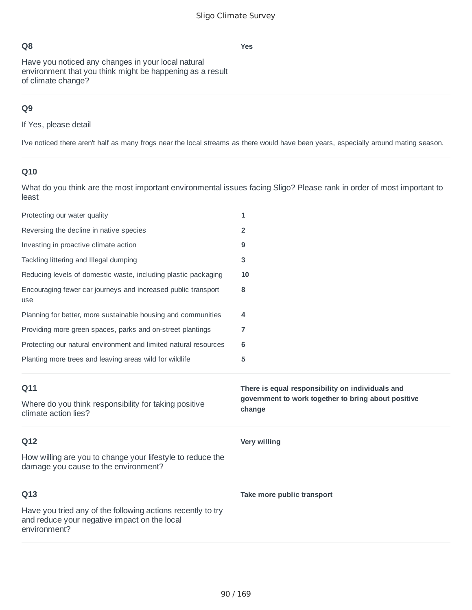**Yes**

## **Q8**

Have you noticed any changes in your local natural environment that you think might be happening as a result of climate change?

## **Q9**

If Yes, please detail

I've noticed there aren't half as many frogs near the local streams as there would have been years, especially around mating season.

## **Q10**

| Protecting our water quality                                                                       | 1                                                             |
|----------------------------------------------------------------------------------------------------|---------------------------------------------------------------|
| Reversing the decline in native species                                                            | $\overline{2}$                                                |
| Investing in proactive climate action                                                              | 9                                                             |
| Tackling littering and Illegal dumping                                                             | 3                                                             |
| Reducing levels of domestic waste, including plastic packaging                                     | 10                                                            |
| Encouraging fewer car journeys and increased public transport<br>use                               | 8                                                             |
| Planning for better, more sustainable housing and communities                                      | 4                                                             |
| Providing more green spaces, parks and on-street plantings                                         | 7                                                             |
| Protecting our natural environment and limited natural resources                                   | 6                                                             |
| Planting more trees and leaving areas wild for wildlife                                            | 5                                                             |
|                                                                                                    |                                                               |
| Q11                                                                                                | There is equal responsibility on individuals and              |
| Where do you think responsibility for taking positive<br>climate action lies?                      | government to work together to bring about positive<br>change |
| Q12                                                                                                | Very willing                                                  |
| How willing are you to change your lifestyle to reduce the<br>damage you cause to the environment? |                                                               |
| Q13                                                                                                | Take more public transport                                    |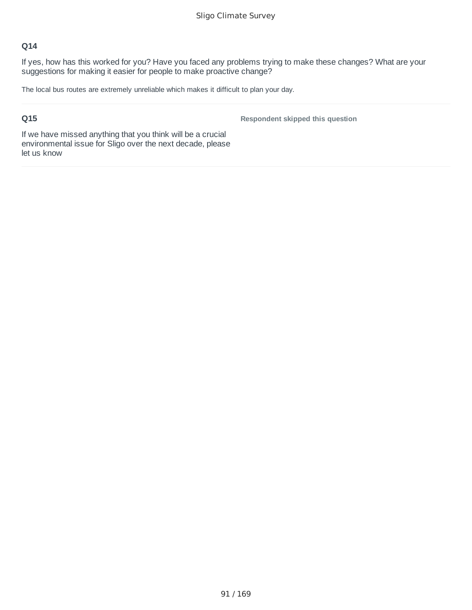If yes, how has this worked for you? Have you faced any problems trying to make these changes? What are your suggestions for making it easier for people to make proactive change?

The local bus routes are extremely unreliable which makes it difficult to plan your day.

### **Q15**

**Respondent skipped this question**

If we have missed anything that you think will be a crucial environmental issue for Sligo over the next decade, please let us know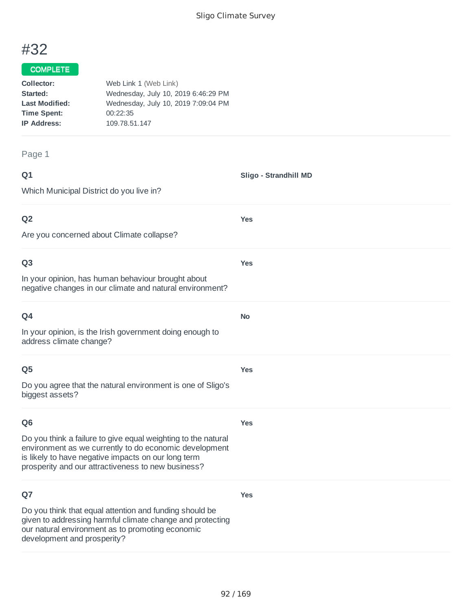**Sligo - Strandhill MD**

**Yes**

**Yes**

**No**

**Yes**

# #32

#### COMPLETE

| Collector:            | Web Link 1 (Web Link)               |
|-----------------------|-------------------------------------|
| Started:              | Wednesday, July 10, 2019 6:46:29 PM |
| <b>Last Modified:</b> | Wednesday, July 10, 2019 7:09:04 PM |
| <b>Time Spent:</b>    | 00:22:35                            |
| <b>IP Address:</b>    | 109.78.51.147                       |
|                       |                                     |

#### Page 1

| ۰      | ۰. |
|--------|----|
| w<br>× |    |

Which Municipal District do you live in?

### **Q2**

Are you concerned about Climate collapse?

#### **Q3**

In your opinion, has human behaviour brought about negative changes in our climate and natural environment?

In your opinion, is the Irish government doing enough to address climate change?

#### **Q5**

Do you agree that the natural environment is one of Sligo's biggest assets?

### **Q6**

**Yes**

**Yes**

Do you think a failure to give equal weighting to the natural environment as we currently to do economic development is likely to have negative impacts on our long term prosperity and our attractiveness to new business?

### **Q7**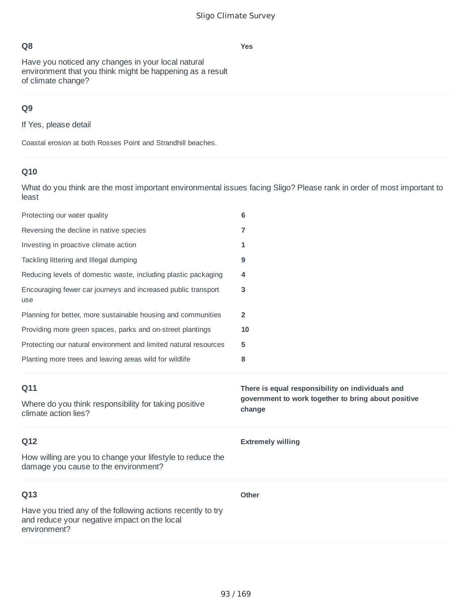**Yes**

Have you noticed any changes in your local natural environment that you think might be happening as a result of climate change?

## **Q9**

If Yes, please detail

Coastal erosion at both Rosses Point and Strandhill beaches.

# **Q10**

| Protecting our water quality                                                                       | 6                                                             |
|----------------------------------------------------------------------------------------------------|---------------------------------------------------------------|
| Reversing the decline in native species                                                            | 7                                                             |
| Investing in proactive climate action                                                              | 1                                                             |
| Tackling littering and Illegal dumping                                                             | 9                                                             |
| Reducing levels of domestic waste, including plastic packaging                                     | 4                                                             |
| Encouraging fewer car journeys and increased public transport<br>use                               | 3                                                             |
| Planning for better, more sustainable housing and communities                                      | $\overline{2}$                                                |
| Providing more green spaces, parks and on-street plantings                                         | 10                                                            |
| Protecting our natural environment and limited natural resources                                   | 5                                                             |
| Planting more trees and leaving areas wild for wildlife                                            | 8                                                             |
|                                                                                                    |                                                               |
| Q11                                                                                                | There is equal responsibility on individuals and              |
| Where do you think responsibility for taking positive<br>climate action lies?                      | government to work together to bring about positive<br>change |
| Q12                                                                                                | <b>Extremely willing</b>                                      |
| How willing are you to change your lifestyle to reduce the<br>damage you cause to the environment? |                                                               |
| Q13                                                                                                | <b>Other</b>                                                  |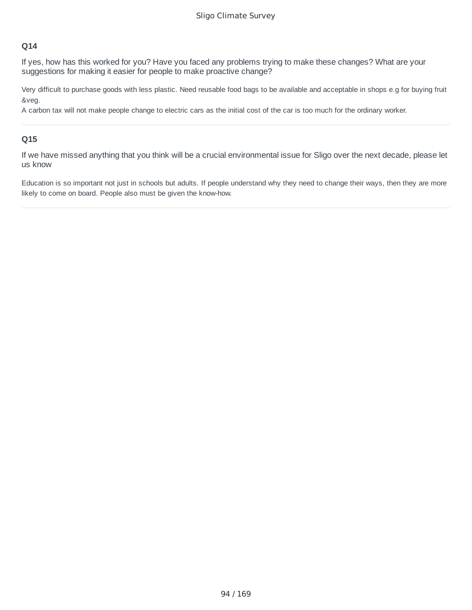If yes, how has this worked for you? Have you faced any problems trying to make these changes? What are your suggestions for making it easier for people to make proactive change?

Very difficult to purchase goods with less plastic. Need reusable food bags to be available and acceptable in shops e.g for buying fruit &veg.

A carbon tax will not make people change to electric cars as the initial cost of the car is too much for the ordinary worker.

#### **Q15**

If we have missed anything that you think will be a crucial environmental issue for Sligo over the next decade, please let us know

Education is so important not just in schools but adults. If people understand why they need to change their ways, then they are more likely to come on board. People also must be given the know-how.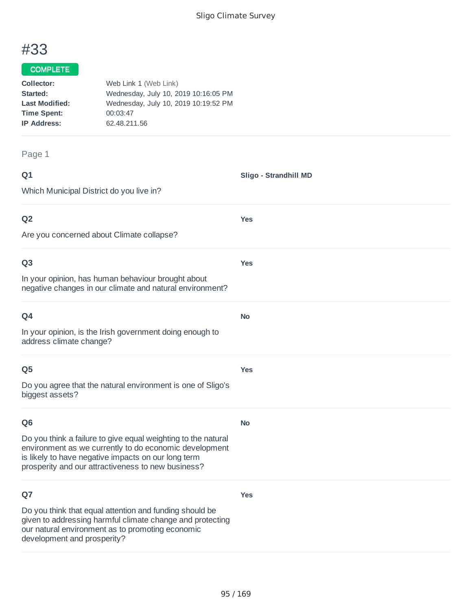**Sligo - Strandhill MD**

**Yes**

**Yes**

**No**

**Yes**

**No**

**Yes**

# #33

#### COMPLETE

| Collector:            | Web Link 1 (Web Link)                |
|-----------------------|--------------------------------------|
| Started:              | Wednesday, July 10, 2019 10:16:05 PM |
| <b>Last Modified:</b> | Wednesday, July 10, 2019 10:19:52 PM |
| <b>Time Spent:</b>    | 00:03:47                             |
| <b>IP Address:</b>    | 62.48.211.56                         |
|                       |                                      |

#### Page 1

#### **Q1**

Which Municipal District do you live in?

#### **Q2**

Are you concerned about Climate collapse?

#### **Q3**

In your opinion, has human behaviour brought about negative changes in our climate and natural environment?

### **Q4**

In your opinion, is the Irish government doing enough to address climate change?

#### **Q5**

Do you agree that the natural environment is one of Sligo's biggest assets?

#### **Q6**

Do you think a failure to give equal weighting to the natural environment as we currently to do economic development is likely to have negative impacts on our long term prosperity and our attractiveness to new business?

### **Q7**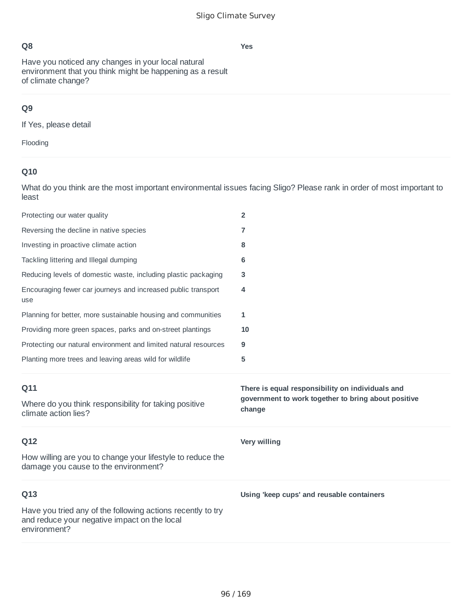Have you noticed any changes in your local natural environment that you think might be happening as a result of climate change?

# **Q9**

If Yes, please detail

Flooding

## **Q10**

| Protecting our water quality                                                                       | $\overline{2}$                                                                                                    |
|----------------------------------------------------------------------------------------------------|-------------------------------------------------------------------------------------------------------------------|
| Reversing the decline in native species                                                            | 7                                                                                                                 |
| Investing in proactive climate action                                                              | 8                                                                                                                 |
| Tackling littering and Illegal dumping                                                             | 6                                                                                                                 |
| Reducing levels of domestic waste, including plastic packaging                                     | 3                                                                                                                 |
| Encouraging fewer car journeys and increased public transport<br>use                               | 4                                                                                                                 |
| Planning for better, more sustainable housing and communities                                      | 1                                                                                                                 |
| Providing more green spaces, parks and on-street plantings                                         | 10                                                                                                                |
| Protecting our natural environment and limited natural resources                                   | 9                                                                                                                 |
| Planting more trees and leaving areas wild for wildlife                                            | 5                                                                                                                 |
|                                                                                                    |                                                                                                                   |
| Q11<br>Where do you think responsibility for taking positive<br>climate action lies?               | There is equal responsibility on individuals and<br>government to work together to bring about positive<br>change |
| Q12                                                                                                | Very willing                                                                                                      |
| How willing are you to change your lifestyle to reduce the<br>damage you cause to the environment? |                                                                                                                   |
| Q13                                                                                                | Using 'keep cups' and reusable containers                                                                         |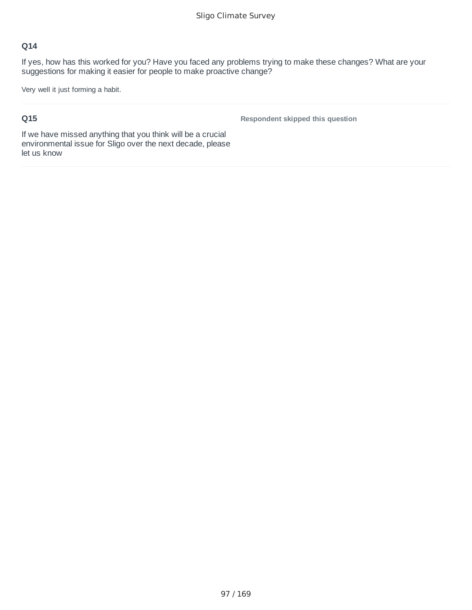If yes, how has this worked for you? Have you faced any problems trying to make these changes? What are your suggestions for making it easier for people to make proactive change?

Very well it just forming a habit.

## **Q15**

**Respondent skipped this question**

If we have missed anything that you think will be a crucial environmental issue for Sligo over the next decade, please let us know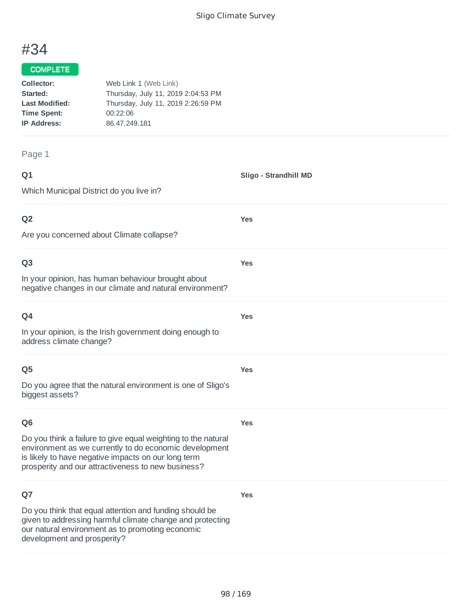**Sligo - Strandhill MD**

**Yes**

**Yes**

**Yes**

**Yes**

**Yes**

**Yes**

# #34

#### COMPLETE

| Collector:            | Web Link 1 (Web Link)              |
|-----------------------|------------------------------------|
| Started:              | Thursday, July 11, 2019 2:04:53 PM |
| <b>Last Modified:</b> | Thursday, July 11, 2019 2:26:59 PM |
| <b>Time Spent:</b>    | 00:22:06                           |
| <b>IP Address:</b>    | 86.47.249.181                      |
|                       |                                    |

Page 1

#### **Q1**

Which Municipal District do you live in?

### **Q2**

Are you concerned about Climate collapse?

#### **Q3**

In your opinion, has human behaviour brought about negative changes in our climate and natural environment?

| Q4 |  |  |
|----|--|--|
|    |  |  |

In your opinion, is the Irish government doing enough to address climate change?

#### **Q5**

Do you agree that the natural environment is one of Sligo's biggest assets?

#### **Q6**

Do you think a failure to give equal weighting to the natural environment as we currently to do economic development is likely to have negative impacts on our long term prosperity and our attractiveness to new business?

### **Q7**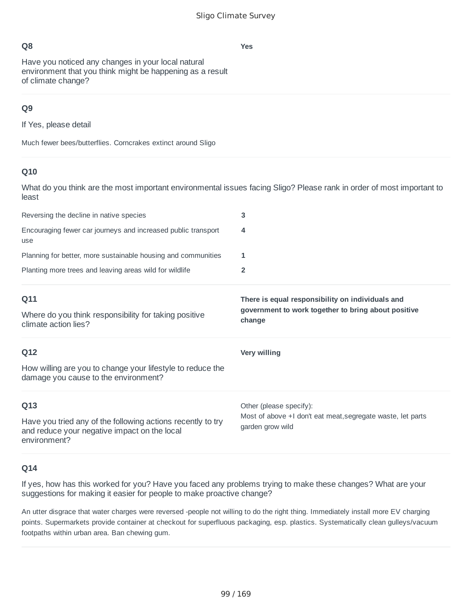Have you noticed any changes in your local natural environment that you think might be happening as a result of climate change?

## **Q9**

If Yes, please detail

Much fewer bees/butterflies. Corncrakes extinct around Sligo

#### **Q10**

What do you think are the most important environmental issues facing Sligo? Please rank in order of most important to least

| Q11<br>A A Alba construit a construction of the construction of the Higher A Construction of the construction of the const | There is equal responsibility on individuals and<br>government to work together to bring about positive |
|----------------------------------------------------------------------------------------------------------------------------|---------------------------------------------------------------------------------------------------------|
| Planting more trees and leaving areas wild for wildlife                                                                    |                                                                                                         |
| Planning for better, more sustainable housing and communities                                                              |                                                                                                         |
| Encouraging fewer car journeys and increased public transport<br>use                                                       | 4                                                                                                       |
| Reversing the decline in native species                                                                                    | 3                                                                                                       |
|                                                                                                                            |                                                                                                         |

**change**

Where do you think responsibility for taking positive climate action lies?

| Q12                                                                                                                         | Very willing                                                                    |
|-----------------------------------------------------------------------------------------------------------------------------|---------------------------------------------------------------------------------|
| How willing are you to change your lifestyle to reduce the<br>damage you cause to the environment?                          |                                                                                 |
| Q13                                                                                                                         | Other (please specify):                                                         |
| Have you tried any of the following actions recently to try<br>and reduce your negative impact on the local<br>environment? | Most of above +I don't eat meat, segregate waste, let parts<br>garden grow wild |

#### **Q14**

If yes, how has this worked for you? Have you faced any problems trying to make these changes? What are your suggestions for making it easier for people to make proactive change?

An utter disgrace that water charges were reversed -people not willing to do the right thing. Immediately install more EV charging points. Supermarkets provide container at checkout for superfluous packaging, esp. plastics. Systematically clean gulleys/vacuum footpaths within urban area. Ban chewing gum.

**Yes**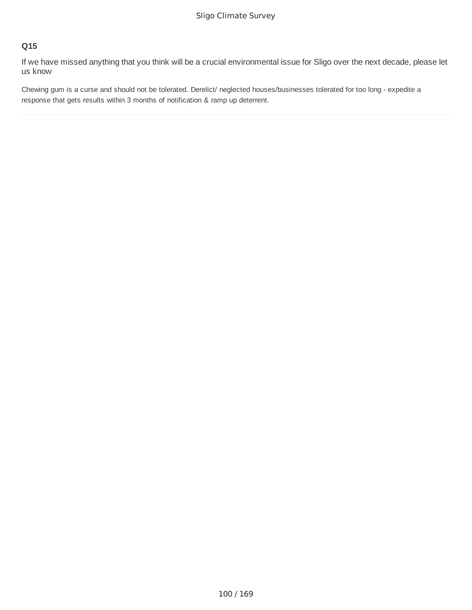If we have missed anything that you think will be a crucial environmental issue for Sligo over the next decade, please let us know

Chewing gum is a curse and should not be tolerated. Derelict/ neglected houses/businesses tolerated for too long - expedite a response that gets results within 3 months of notification & ramp up deterrent.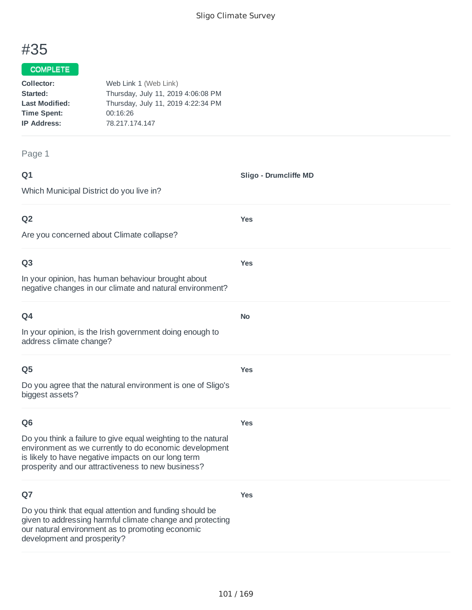**Sligo - Drumcliffe MD**

**Yes**

**Yes**

**No**

**Yes**

# #35

#### COMPLETE

| Collector:            | Web Link 1 (Web Link)              |
|-----------------------|------------------------------------|
| Started:              | Thursday, July 11, 2019 4:06:08 PM |
| <b>Last Modified:</b> | Thursday, July 11, 2019 4:22:34 PM |
| <b>Time Spent:</b>    | 00:16:26                           |
| <b>IP Address:</b>    | 78.217.174.147                     |
|                       |                                    |

#### Page 1

| ۰      | ٧ |
|--------|---|
| w<br>× |   |

Which Municipal District do you live in?

### **Q2**

Are you concerned about Climate collapse?

#### **Q3**

In your opinion, has human behaviour brought about negative changes in our climate and natural environment?

| × |  |
|---|--|

In your opinion, is the Irish government doing enough to address climate change?

#### **Q5**

Do you agree that the natural environment is one of Sligo's biggest assets?

### **Q6**

**Yes**

**Yes**

Do you think a failure to give equal weighting to the natural environment as we currently to do economic development is likely to have negative impacts on our long term prosperity and our attractiveness to new business?

### **Q7**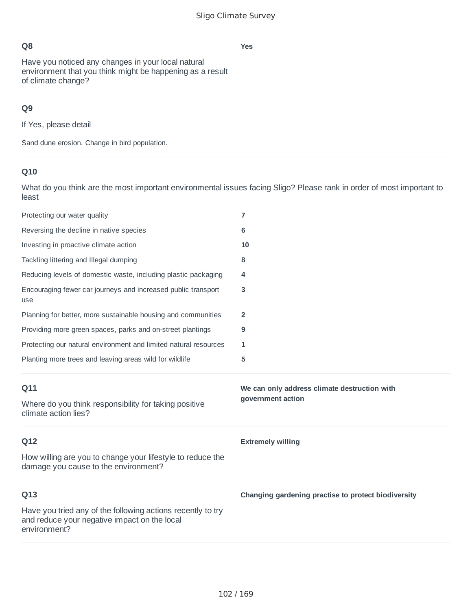**Yes**

Have you noticed any changes in your local natural environment that you think might be happening as a result of climate change?

## **Q9**

If Yes, please detail

Sand dune erosion. Change in bird population.

# **Q10**

| Protecting our water quality                                                                       | $\overline{7}$                                      |
|----------------------------------------------------------------------------------------------------|-----------------------------------------------------|
| Reversing the decline in native species                                                            | 6                                                   |
| Investing in proactive climate action                                                              | 10                                                  |
| Tackling littering and Illegal dumping                                                             | 8                                                   |
| Reducing levels of domestic waste, including plastic packaging                                     | 4                                                   |
| Encouraging fewer car journeys and increased public transport<br>use                               | 3                                                   |
| Planning for better, more sustainable housing and communities                                      | $\overline{2}$                                      |
| Providing more green spaces, parks and on-street plantings                                         | 9                                                   |
| Protecting our natural environment and limited natural resources                                   | 1                                                   |
| Planting more trees and leaving areas wild for wildlife                                            | 5                                                   |
|                                                                                                    |                                                     |
| Q11                                                                                                | We can only address climate destruction with        |
| Where do you think responsibility for taking positive<br>climate action lies?                      | government action                                   |
| Q12                                                                                                | <b>Extremely willing</b>                            |
| How willing are you to change your lifestyle to reduce the<br>damage you cause to the environment? |                                                     |
| Q13                                                                                                | Changing gardening practise to protect biodiversity |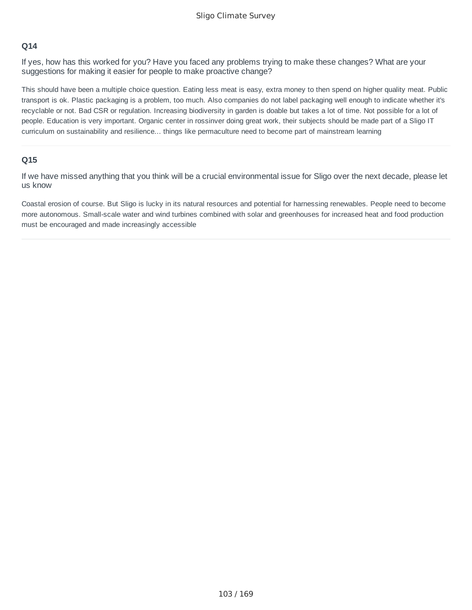If yes, how has this worked for you? Have you faced any problems trying to make these changes? What are your suggestions for making it easier for people to make proactive change?

This should have been a multiple choice question. Eating less meat is easy, extra money to then spend on higher quality meat. Public transport is ok. Plastic packaging is a problem, too much. Also companies do not label packaging well enough to indicate whether it's recyclable or not. Bad CSR or regulation. Increasing biodiversity in garden is doable but takes a lot of time. Not possible for a lot of people. Education is very important. Organic center in rossinver doing great work, their subjects should be made part of a Sligo IT curriculum on sustainability and resilience... things like permaculture need to become part of mainstream learning

#### **Q15**

If we have missed anything that you think will be a crucial environmental issue for Sligo over the next decade, please let us know

Coastal erosion of course. But Sligo is lucky in its natural resources and potential for harnessing renewables. People need to become more autonomous. Small-scale water and wind turbines combined with solar and greenhouses for increased heat and food production must be encouraged and made increasingly accessible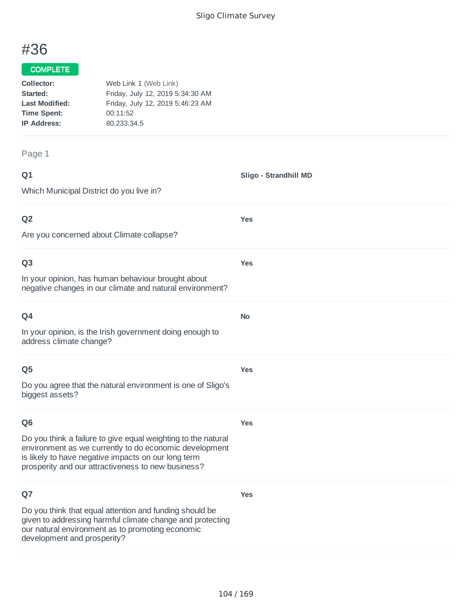**Sligo - Strandhill MD**

# #36

#### COMPLETE

| Collector:            | Web Link 1 (Web Link)            |  |
|-----------------------|----------------------------------|--|
| Started:              | Friday, July 12, 2019 5:34:30 AM |  |
| <b>Last Modified:</b> | Friday, July 12, 2019 5:46:23 AM |  |
| <b>Time Spent:</b>    | 00:11:52                         |  |
| <b>IP Address:</b>    | 80.233.34.5                      |  |
|                       |                                  |  |

#### Page 1

| ۰      | ۰. |
|--------|----|
| w<br>× |    |

Which Municipal District do you live in? **Q2** Are you concerned about Climate collapse? **Yes Q3 Yes**

In your opinion, has human behaviour brought about negative changes in our climate and natural environment?

| Q4                                                                                  | <b>No</b>  |
|-------------------------------------------------------------------------------------|------------|
| In your opinion, is the Irish government doing enough to<br>address climate change? |            |
| Q <sub>5</sub>                                                                      | <b>Yes</b> |
| Do you agree that the natural environment is one of Sligo's<br>biggest assets?      |            |
| Q <sub>6</sub>                                                                      | <b>Yes</b> |
| Do you think a failure to give equal weighting to the natural                       |            |

environment as we currently to do economic development is likely to have negative impacts on our long term prosperity and our attractiveness to new business?

## **Q7**

Do you think that equal attention and funding should be given to addressing harmful climate change and protecting our natural environment as to promoting economic development and prosperity?

**Yes**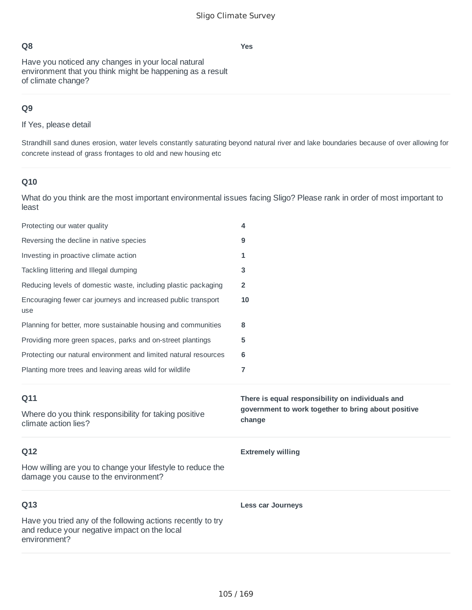**Yes**

Have you noticed any changes in your local natural environment that you think might be happening as a result of climate change?

## **Q9**

If Yes, please detail

Strandhill sand dunes erosion, water levels constantly saturating beyond natural river and lake boundaries because of over allowing for concrete instead of grass frontages to old and new housing etc

### **Q10**

| Protecting our water quality                                                                       | 4                                                                                                                 |
|----------------------------------------------------------------------------------------------------|-------------------------------------------------------------------------------------------------------------------|
| Reversing the decline in native species                                                            | 9                                                                                                                 |
| Investing in proactive climate action                                                              | 1                                                                                                                 |
| Tackling littering and Illegal dumping                                                             | 3                                                                                                                 |
| Reducing levels of domestic waste, including plastic packaging                                     | $\overline{2}$                                                                                                    |
| Encouraging fewer car journeys and increased public transport<br>use                               | 10                                                                                                                |
| Planning for better, more sustainable housing and communities                                      | 8                                                                                                                 |
| Providing more green spaces, parks and on-street plantings                                         | 5                                                                                                                 |
| Protecting our natural environment and limited natural resources                                   | 6                                                                                                                 |
| Planting more trees and leaving areas wild for wildlife                                            | $\overline{7}$                                                                                                    |
|                                                                                                    |                                                                                                                   |
| Q11<br>Where do you think responsibility for taking positive<br>climate action lies?               | There is equal responsibility on individuals and<br>government to work together to bring about positive<br>change |
| Q12                                                                                                | <b>Extremely willing</b>                                                                                          |
| How willing are you to change your lifestyle to reduce the<br>damage you cause to the environment? |                                                                                                                   |
| Q13                                                                                                | <b>Less car Journeys</b>                                                                                          |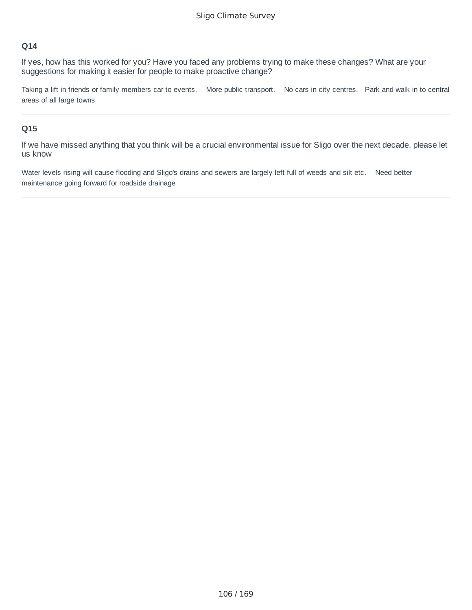If yes, how has this worked for you? Have you faced any problems trying to make these changes? What are your suggestions for making it easier for people to make proactive change?

Taking a lift in friends or family members car to events. More public transport. No cars in city centres. Park and walk in to central areas of all large towns

#### **Q15**

If we have missed anything that you think will be a crucial environmental issue for Sligo over the next decade, please let us know

Water levels rising will cause flooding and Sligo's drains and sewers are largely left full of weeds and silt etc. Need better maintenance going forward for roadside drainage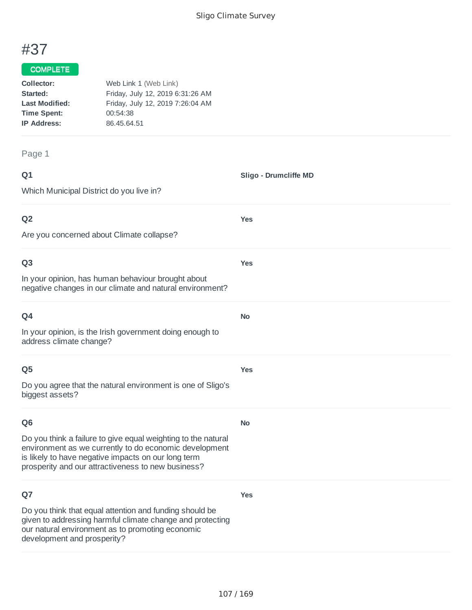**Sligo - Drumcliffe MD**

# #37

#### COMPLETE

| Collector:            | Web Link 1 (Web Link)            |
|-----------------------|----------------------------------|
| Started:              | Friday, July 12, 2019 6:31:26 AM |
| <b>Last Modified:</b> | Friday, July 12, 2019 7:26:04 AM |
| <b>Time Spent:</b>    | 00:54:38                         |
| <b>IP Address:</b>    | 86.45.64.51                      |
|                       |                                  |

#### Page 1

| ۰      | ٧ |
|--------|---|
| w<br>× |   |

Which Municipal District do you live in? **Q2** Are you concerned about Climate collapse? **Yes Q3** In your opinion, has human behaviour brought about negative changes in our climate and natural environment? **Yes Q4 No**

**Yes**

**No**

**Yes**

In your opinion, is the Irish government doing enough to address climate change?

### **Q5**

Do you agree that the natural environment is one of Sligo's biggest assets?

#### **Q6**

Do you think a failure to give equal weighting to the natural environment as we currently to do economic development is likely to have negative impacts on our long term prosperity and our attractiveness to new business?

### **Q7**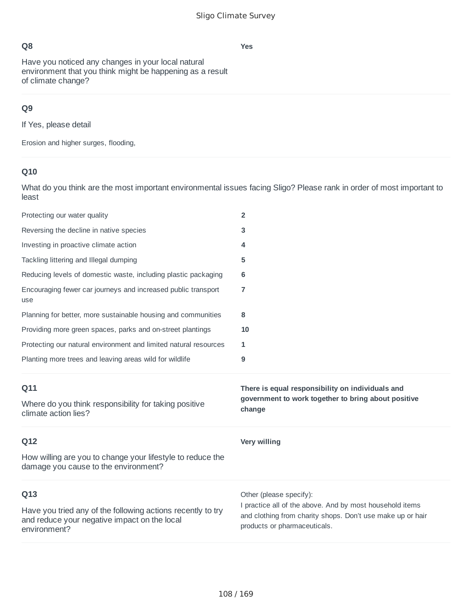Have you noticed any changes in your local natural environment that you think might be happening as a result of climate change?

## **Q9**

If Yes, please detail

Erosion and higher surges, flooding,

# **Q10**

| Protecting our water quality                                                                       | $\overline{2}$                                                                                                    |
|----------------------------------------------------------------------------------------------------|-------------------------------------------------------------------------------------------------------------------|
| Reversing the decline in native species                                                            | 3                                                                                                                 |
| Investing in proactive climate action                                                              | 4                                                                                                                 |
| Tackling littering and Illegal dumping                                                             | 5                                                                                                                 |
| Reducing levels of domestic waste, including plastic packaging                                     | 6                                                                                                                 |
| Encouraging fewer car journeys and increased public transport<br>use                               | 7                                                                                                                 |
| Planning for better, more sustainable housing and communities                                      | 8                                                                                                                 |
| Providing more green spaces, parks and on-street plantings                                         | 10                                                                                                                |
| Protecting our natural environment and limited natural resources                                   | 1                                                                                                                 |
| Planting more trees and leaving areas wild for wildlife                                            | 9                                                                                                                 |
|                                                                                                    |                                                                                                                   |
| Q11<br>Where do you think responsibility for taking positive<br>climate action lies?               | There is equal responsibility on individuals and<br>government to work together to bring about positive<br>change |
| Q12                                                                                                | <b>Very willing</b>                                                                                               |
| How willing are you to change your lifestyle to reduce the<br>damage you cause to the environment? |                                                                                                                   |
| Q13<br>Have you tried any of the following actions recently to try                                 | Other (please specify):<br>I practice all of the above. And by most household items                               |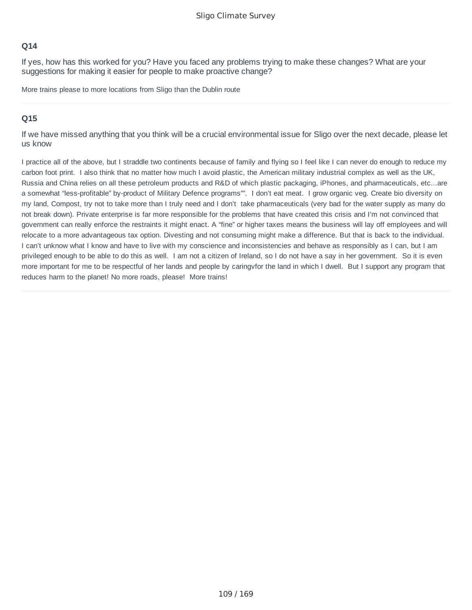If yes, how has this worked for you? Have you faced any problems trying to make these changes? What are your suggestions for making it easier for people to make proactive change?

More trains please to more locations from Sligo than the Dublin route

## **Q15**

If we have missed anything that you think will be a crucial environmental issue for Sligo over the next decade, please let us know

I practice all of the above, but I straddle two continents because of family and flying so I feel like I can never do enough to reduce my carbon foot print. I also think that no matter how much I avoid plastic, the American military industrial complex as well as the UK, Russia and China relies on all these petroleum products and R&D of which plastic packaging, iPhones, and pharmaceuticals, etc...are a somewhat "less-profitable" by-product of Military Defence programs"". I don't eat meat. I grow organic veg. Create bio diversity on my land, Compost, try not to take more than I truly need and I don't take pharmaceuticals (very bad for the water supply as many do not break down). Private enterprise is far more responsible for the problems that have created this crisis and I'm not convinced that government can really enforce the restraints it might enact. A "fine" or higher taxes means the business will lay off employees and will relocate to a more advantageous tax option. Divesting and not consuming might make a difference. But that is back to the individual. I can't unknow what I know and have to live with my conscience and inconsistencies and behave as responsibly as I can, but I am privileged enough to be able to do this as well. I am not a citizen of Ireland, so I do not have a say in her government. So it is even more important for me to be respectful of her lands and people by caringvfor the land in which I dwell. But I support any program that reduces harm to the planet! No more roads, please! More trains!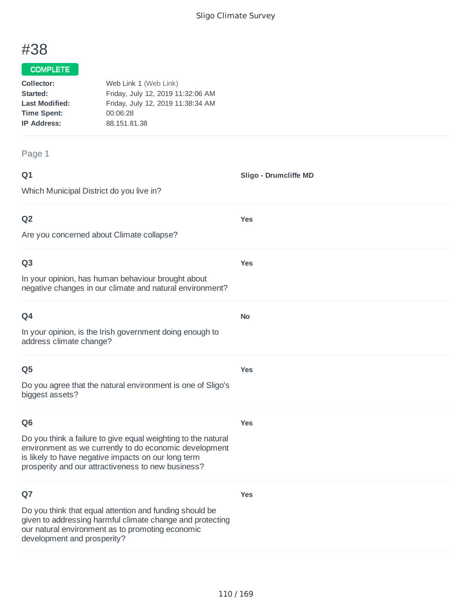**Sligo - Drumcliffe MD**

# #38

#### COMPLETE

| Collector:            | Web Link 1 (Web Link)             |
|-----------------------|-----------------------------------|
| Started:              | Friday, July 12, 2019 11:32:06 AM |
| <b>Last Modified:</b> | Friday, July 12, 2019 11:38:34 AM |
| <b>Time Spent:</b>    | 00:06:28                          |
| <b>IP Address:</b>    | 88.151.81.38                      |
|                       |                                   |

#### Page 1

| ۰      | ٧ |
|--------|---|
| w<br>× |   |

Which Municipal District do you live in? **Q2 Yes**

Are you concerned about Climate collapse?

#### **Q3**

In your opinion, has human behaviour brought about negative changes in our climate and natural environment?

| Q4                                                                                  | No. |
|-------------------------------------------------------------------------------------|-----|
| In your opinion, is the Irish government doing enough to<br>address climate change? |     |

#### **Q5**

Do you agree that the natural environment is one of Sligo's biggest assets?

## **Q6**

**Yes**

**Yes**

**Yes**

**Yes**

Do you think a failure to give equal weighting to the natural environment as we currently to do economic development is likely to have negative impacts on our long term prosperity and our attractiveness to new business?

## **Q7**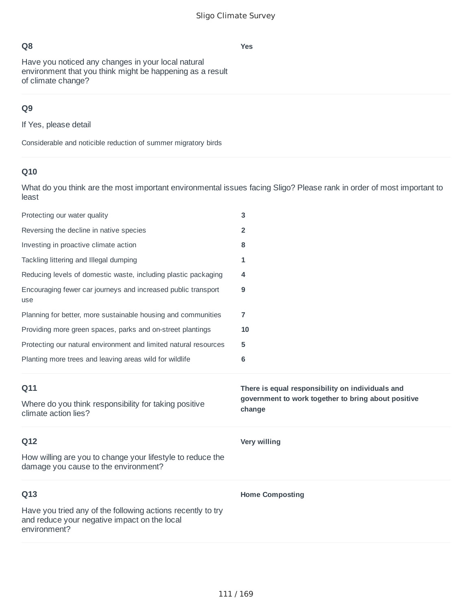**Yes**

Have you noticed any changes in your local natural environment that you think might be happening as a result of climate change?

# **Q9**

If Yes, please detail

Considerable and noticible reduction of summer migratory birds

# **Q10**

| Protecting our water quality                                                                       | 3                                                             |
|----------------------------------------------------------------------------------------------------|---------------------------------------------------------------|
| Reversing the decline in native species                                                            | $\overline{2}$                                                |
| Investing in proactive climate action                                                              | 8                                                             |
| Tackling littering and Illegal dumping                                                             | 1                                                             |
| Reducing levels of domestic waste, including plastic packaging                                     | 4                                                             |
| Encouraging fewer car journeys and increased public transport<br>use                               | 9                                                             |
| Planning for better, more sustainable housing and communities                                      | 7                                                             |
| Providing more green spaces, parks and on-street plantings                                         | 10                                                            |
| Protecting our natural environment and limited natural resources                                   | 5                                                             |
| Planting more trees and leaving areas wild for wildlife                                            | 6                                                             |
|                                                                                                    |                                                               |
| Q11                                                                                                | There is equal responsibility on individuals and              |
| Where do you think responsibility for taking positive<br>climate action lies?                      | government to work together to bring about positive<br>change |
| Q12                                                                                                | <b>Very willing</b>                                           |
| How willing are you to change your lifestyle to reduce the<br>damage you cause to the environment? |                                                               |
| Q13                                                                                                | <b>Home Composting</b>                                        |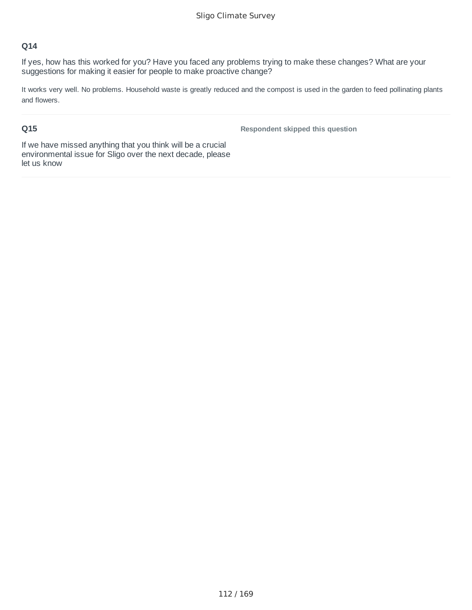If yes, how has this worked for you? Have you faced any problems trying to make these changes? What are your suggestions for making it easier for people to make proactive change?

It works very well. No problems. Household waste is greatly reduced and the compost is used in the garden to feed pollinating plants and flowers.

#### **Q15**

**Respondent skipped this question**

If we have missed anything that you think will be a crucial environmental issue for Sligo over the next decade, please let us know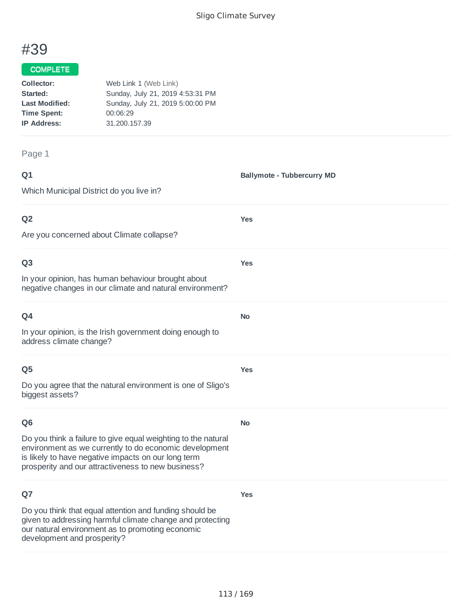**Ballymote - Tubbercurry MD**

**Yes**

**Yes**

**No**

**Yes**

**No**

**Yes**

# #39

#### COMPLETE

| Collector:            | Web Link 1 (Web Link)            |
|-----------------------|----------------------------------|
| Started:              | Sunday, July 21, 2019 4:53:31 PM |
| <b>Last Modified:</b> | Sunday, July 21, 2019 5:00:00 PM |
| <b>Time Spent:</b>    | 00:06:29                         |
| <b>IP Address:</b>    | 31.200.157.39                    |
|                       |                                  |

Page 1

#### **Q1**

Which Municipal District do you live in?

#### **Q2**

Are you concerned about Climate collapse?

#### **Q3**

In your opinion, has human behaviour brought about negative changes in our climate and natural environment?

## **Q4**

In your opinion, is the Irish government doing enough to address climate change?

#### **Q5**

Do you agree that the natural environment is one of Sligo's biggest assets?

#### **Q6**

Do you think a failure to give equal weighting to the natural environment as we currently to do economic development is likely to have negative impacts on our long term prosperity and our attractiveness to new business?

## **Q7**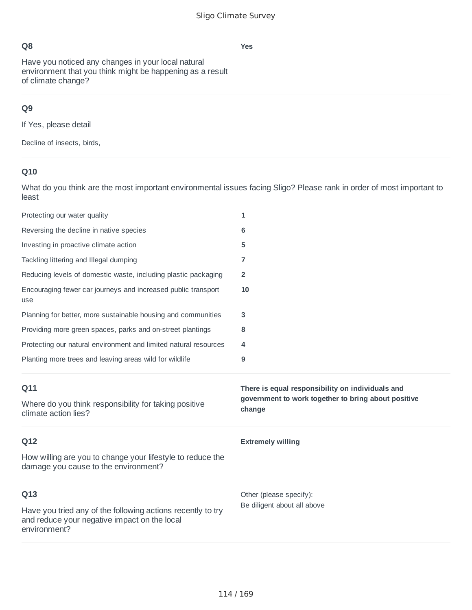Have you noticed any changes in your local natural environment that you think might be happening as a result of climate change?

# **Q9**

If Yes, please detail

Decline of insects, birds,

# **Q10**

What do you think are the most important environmental issues facing Sligo? Please rank in order of most important to least

| Protecting our water quality                                                                       | 1                                                             |
|----------------------------------------------------------------------------------------------------|---------------------------------------------------------------|
| Reversing the decline in native species                                                            | 6                                                             |
| Investing in proactive climate action                                                              | 5                                                             |
| Tackling littering and Illegal dumping                                                             | 7                                                             |
| Reducing levels of domestic waste, including plastic packaging                                     | $\overline{2}$                                                |
| Encouraging fewer car journeys and increased public transport<br>use                               | 10                                                            |
| Planning for better, more sustainable housing and communities                                      | 3                                                             |
| Providing more green spaces, parks and on-street plantings                                         | 8                                                             |
| Protecting our natural environment and limited natural resources                                   | 4                                                             |
| Planting more trees and leaving areas wild for wildlife                                            | 9                                                             |
|                                                                                                    |                                                               |
| Q11                                                                                                | There is equal responsibility on individuals and              |
| Where do you think responsibility for taking positive<br>climate action lies?                      | government to work together to bring about positive<br>change |
| Q12                                                                                                | <b>Extremely willing</b>                                      |
| How willing are you to change your lifestyle to reduce the<br>damage you cause to the environment? |                                                               |
| Q13                                                                                                | Other (please specify):<br>Be diligent about all above        |

#### **Yes**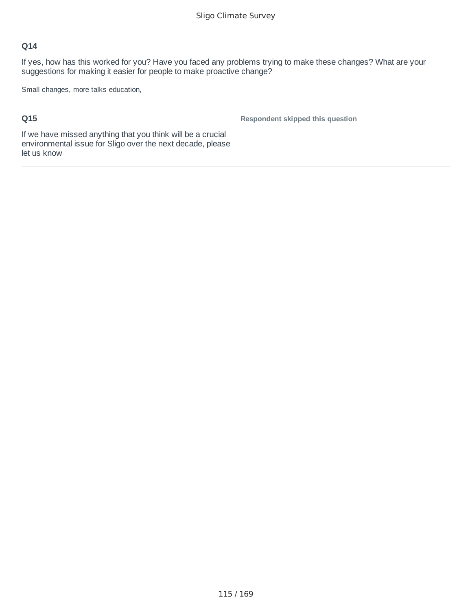If yes, how has this worked for you? Have you faced any problems trying to make these changes? What are your suggestions for making it easier for people to make proactive change?

Small changes, more talks education,

## **Q15**

**Respondent skipped this question**

If we have missed anything that you think will be a crucial environmental issue for Sligo over the next decade, please let us know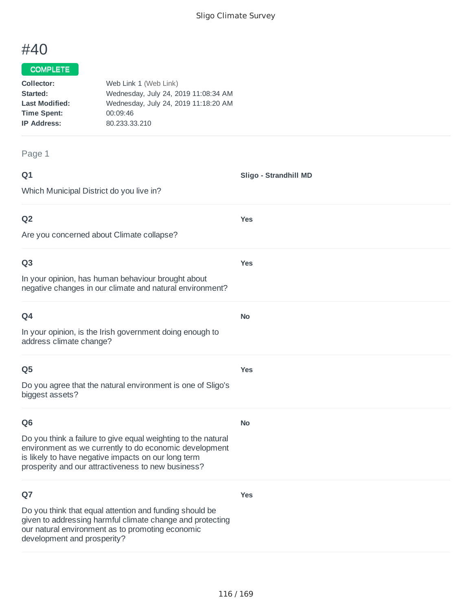**Sligo - Strandhill MD**

**Yes**

**Yes**

**No**

**Yes**

**No**

**Yes**

# #40

#### COMPLETE

| Collector:            | Web Link 1 (Web Link)                |
|-----------------------|--------------------------------------|
| Started:              | Wednesday, July 24, 2019 11:08:34 AM |
| <b>Last Modified:</b> | Wednesday, July 24, 2019 11:18:20 AM |
| <b>Time Spent:</b>    | 00:09:46                             |
| <b>IP Address:</b>    | 80.233.33.210                        |
|                       |                                      |

Page 1

| Q1 |  |  |
|----|--|--|
|    |  |  |

Which Municipal District do you live in?

## **Q2**

Are you concerned about Climate collapse?

#### **Q3**

In your opinion, has human behaviour brought about negative changes in our climate and natural environment?

| w |  |
|---|--|

In your opinion, is the Irish government doing enough to address climate change?

#### **Q5**

Do you agree that the natural environment is one of Sligo's biggest assets?

#### **Q6**

Do you think a failure to give equal weighting to the natural environment as we currently to do economic development is likely to have negative impacts on our long term prosperity and our attractiveness to new business?

## **Q7**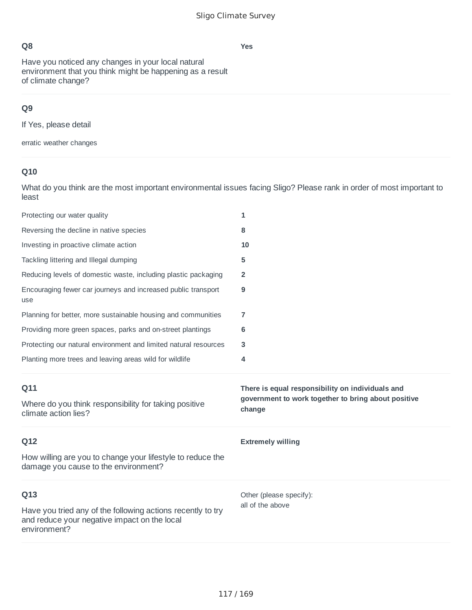Have you noticed any changes in your local natural environment that you think might be happening as a result of climate change?

# **Q9**

If Yes, please detail

erratic weather changes

# **Q10**

What do you think are the most important environmental issues facing Sligo? Please rank in order of most important to least

| Protecting our water quality                                                                       | 1                                                             |
|----------------------------------------------------------------------------------------------------|---------------------------------------------------------------|
| Reversing the decline in native species                                                            | 8                                                             |
| Investing in proactive climate action                                                              | 10                                                            |
| Tackling littering and Illegal dumping                                                             | 5                                                             |
| Reducing levels of domestic waste, including plastic packaging                                     | 2                                                             |
| Encouraging fewer car journeys and increased public transport<br>use                               | 9                                                             |
| Planning for better, more sustainable housing and communities                                      | 7                                                             |
| Providing more green spaces, parks and on-street plantings                                         | 6                                                             |
| Protecting our natural environment and limited natural resources                                   | 3                                                             |
| Planting more trees and leaving areas wild for wildlife                                            | 4                                                             |
|                                                                                                    |                                                               |
| Q11                                                                                                | There is equal responsibility on individuals and              |
| Where do you think responsibility for taking positive<br>climate action lies?                      | government to work together to bring about positive<br>change |
| Q12                                                                                                | <b>Extremely willing</b>                                      |
| How willing are you to change your lifestyle to reduce the<br>damage you cause to the environment? |                                                               |
| Q13                                                                                                | Other (please specify):                                       |

**Yes**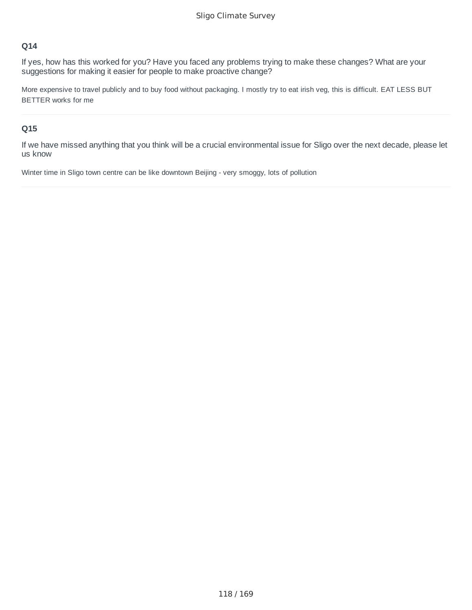If yes, how has this worked for you? Have you faced any problems trying to make these changes? What are your suggestions for making it easier for people to make proactive change?

More expensive to travel publicly and to buy food without packaging. I mostly try to eat irish veg, this is difficult. EAT LESS BUT BETTER works for me

#### **Q15**

If we have missed anything that you think will be a crucial environmental issue for Sligo over the next decade, please let us know

Winter time in Sligo town centre can be like downtown Beijing - very smoggy, lots of pollution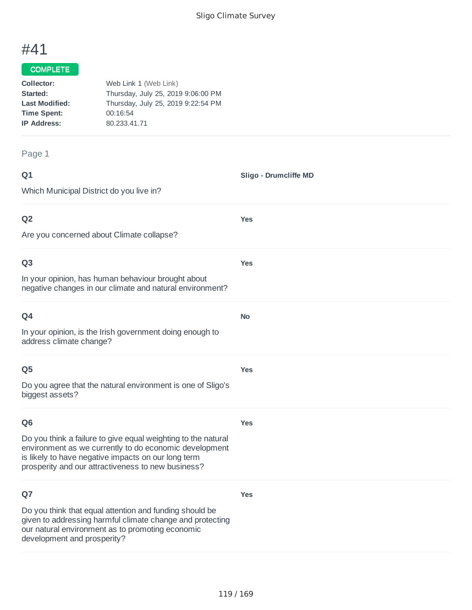**Sligo - Drumcliffe MD**

**Yes**

**Yes**

**No**

**Yes**

**Yes**

**Yes**

# #41

## COMPLETE

| Collector:            | Web Link 1 (Web Link)              |
|-----------------------|------------------------------------|
| Started:              | Thursday, July 25, 2019 9:06:00 PM |
| <b>Last Modified:</b> | Thursday, July 25, 2019 9:22:54 PM |
| <b>Time Spent:</b>    | 00:16:54                           |
| <b>IP Address:</b>    | 80.233.41.71                       |
|                       |                                    |

#### Page 1

| ۰      | ٧ |
|--------|---|
| w<br>× |   |

Which Municipal District do you live in?

## **Q2**

Are you concerned about Climate collapse?

#### **Q3**

In your opinion, has human behaviour brought about negative changes in our climate and natural environment?

| Q4                                                       |
|----------------------------------------------------------|
| In your opinion, is the Irish government doing enough to |
| address climate change?                                  |

#### **Q5**

Do you agree that the natural environment is one of Sligo's biggest assets?

#### **Q6**

Do you think a failure to give equal weighting to the natural environment as we currently to do economic development is likely to have negative impacts on our long term

prosperity and our attractiveness to new business?

## **Q7**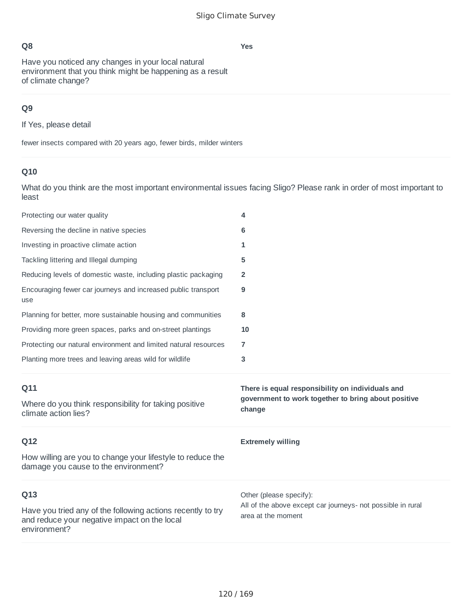**Yes**

Have you noticed any changes in your local natural environment that you think might be happening as a result of climate change?

# **Q9**

If Yes, please detail

fewer insects compared with 20 years ago, fewer birds, milder winters

# **Q10**

| Protecting our water quality                                                                       | 4                                                                                                                 |
|----------------------------------------------------------------------------------------------------|-------------------------------------------------------------------------------------------------------------------|
| Reversing the decline in native species                                                            | 6                                                                                                                 |
| Investing in proactive climate action                                                              | 1                                                                                                                 |
| Tackling littering and Illegal dumping                                                             | 5                                                                                                                 |
| Reducing levels of domestic waste, including plastic packaging                                     | $\overline{2}$                                                                                                    |
| Encouraging fewer car journeys and increased public transport<br>use                               | 9                                                                                                                 |
| Planning for better, more sustainable housing and communities                                      | 8                                                                                                                 |
| Providing more green spaces, parks and on-street plantings                                         | 10                                                                                                                |
| Protecting our natural environment and limited natural resources                                   | $\overline{7}$                                                                                                    |
| Planting more trees and leaving areas wild for wildlife                                            | 3                                                                                                                 |
|                                                                                                    |                                                                                                                   |
| Q11<br>Where do you think responsibility for taking positive<br>climate action lies?               | There is equal responsibility on individuals and<br>government to work together to bring about positive<br>change |
| Q12                                                                                                | <b>Extremely willing</b>                                                                                          |
| How willing are you to change your lifestyle to reduce the<br>damage you cause to the environment? |                                                                                                                   |
| Q13                                                                                                | Other (please specify):<br>All of the above except car journeys- not possible in rural                            |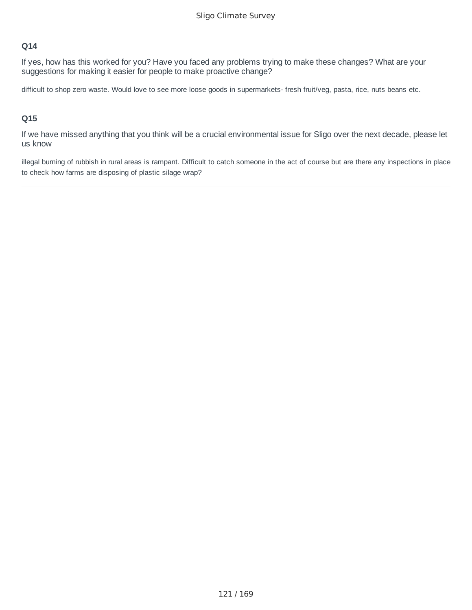If yes, how has this worked for you? Have you faced any problems trying to make these changes? What are your suggestions for making it easier for people to make proactive change?

difficult to shop zero waste. Would love to see more loose goods in supermarkets- fresh fruit/veg, pasta, rice, nuts beans etc.

#### **Q15**

If we have missed anything that you think will be a crucial environmental issue for Sligo over the next decade, please let us know

illegal burning of rubbish in rural areas is rampant. Difficult to catch someone in the act of course but are there any inspections in place to check how farms are disposing of plastic silage wrap?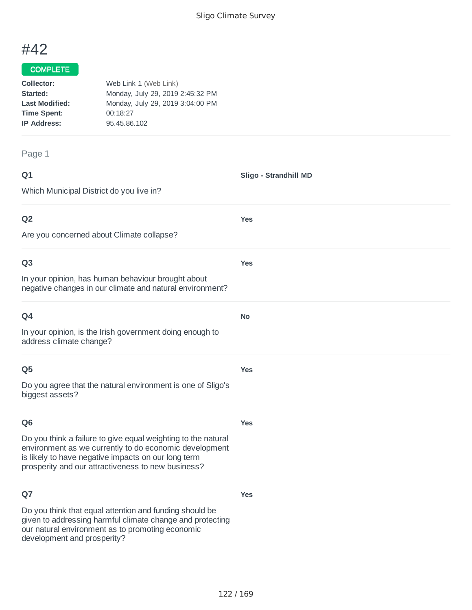**Sligo - Strandhill MD**

**Yes**

**Yes**

**No**

**Yes**

# #42

## COMPLETE

| Collector:            | Web Link 1 (Web Link)            |
|-----------------------|----------------------------------|
| Started:              | Monday, July 29, 2019 2:45:32 PM |
| <b>Last Modified:</b> | Monday, July 29, 2019 3:04:00 PM |
| <b>Time Spent:</b>    | 00:18:27                         |
| <b>IP Address:</b>    | 95.45.86.102                     |
|                       |                                  |

#### Page 1

| ۰           | ٧ |
|-------------|---|
| ٦<br>w<br>× |   |

Which Municipal District do you live in?

#### **Q2**

Are you concerned about Climate collapse?

#### **Q3**

In your opinion, has human behaviour brought about negative changes in our climate and natural environment?

| O <sub>4</sub>                                                                      |
|-------------------------------------------------------------------------------------|
| In your opinion, is the Irish government doing enough to<br>address climate change? |

#### **Q5**

Do you agree that the natural environment is one of Sligo's biggest assets?

## **Q6**

**Yes**

**Yes**

Do you think a failure to give equal weighting to the natural environment as we currently to do economic development is likely to have negative impacts on our long term prosperity and our attractiveness to new business?

## **Q7**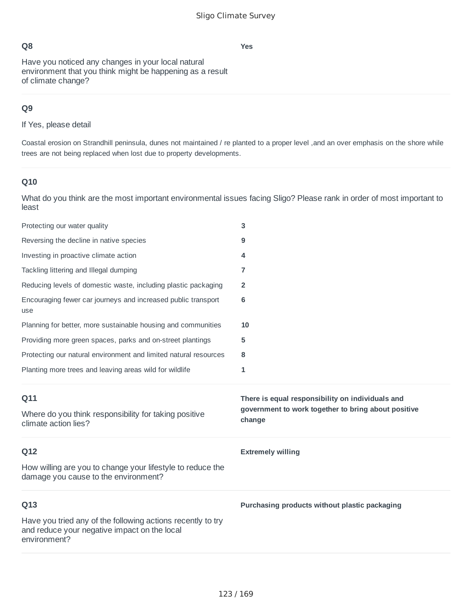**Yes**

Have you noticed any changes in your local natural environment that you think might be happening as a result of climate change?

## **Q9**

If Yes, please detail

Coastal erosion on Strandhill peninsula, dunes not maintained / re planted to a proper level ,and an over emphasis on the shore while trees are not being replaced when lost due to property developments.

## **Q10**

| Protecting our water quality                                                                       | 3                                                             |
|----------------------------------------------------------------------------------------------------|---------------------------------------------------------------|
| Reversing the decline in native species                                                            | 9                                                             |
| Investing in proactive climate action                                                              | 4                                                             |
| Tackling littering and Illegal dumping                                                             | 7                                                             |
| Reducing levels of domestic waste, including plastic packaging                                     | 2                                                             |
| Encouraging fewer car journeys and increased public transport<br>use                               | $6\phantom{1}6$                                               |
| Planning for better, more sustainable housing and communities                                      | 10                                                            |
| Providing more green spaces, parks and on-street plantings                                         | 5                                                             |
| Protecting our natural environment and limited natural resources                                   | 8                                                             |
| Planting more trees and leaving areas wild for wildlife                                            | 1                                                             |
|                                                                                                    |                                                               |
| Q11                                                                                                | There is equal responsibility on individuals and              |
| Where do you think responsibility for taking positive<br>climate action lies?                      | government to work together to bring about positive<br>change |
| Q12                                                                                                | <b>Extremely willing</b>                                      |
| How willing are you to change your lifestyle to reduce the<br>damage you cause to the environment? |                                                               |
| Q13                                                                                                | Purchasing products without plastic packaging                 |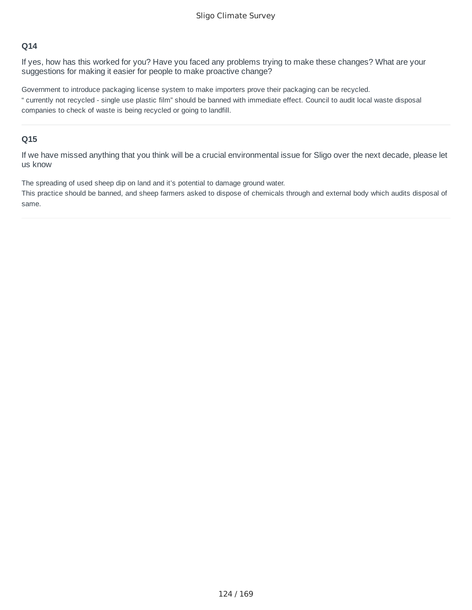If yes, how has this worked for you? Have you faced any problems trying to make these changes? What are your suggestions for making it easier for people to make proactive change?

Government to introduce packaging license system to make importers prove their packaging can be recycled. " currently not recycled - single use plastic film" should be banned with immediate effect. Council to audit local waste disposal companies to check of waste is being recycled or going to landfill.

#### **Q15**

If we have missed anything that you think will be a crucial environmental issue for Sligo over the next decade, please let us know

The spreading of used sheep dip on land and it's potential to damage ground water.

This practice should be banned, and sheep farmers asked to dispose of chemicals through and external body which audits disposal of same.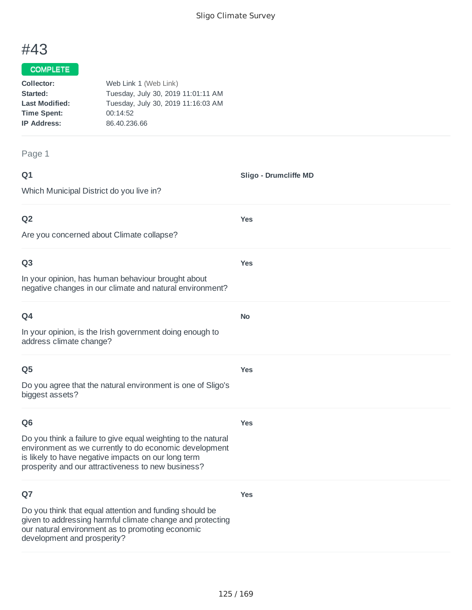**Sligo - Drumcliffe MD**

**Yes**

**Yes**

**No**

**Yes**

**Yes**

# #43

## COMPLETE

| Collector:            | Web Link 1 (Web Link)              |
|-----------------------|------------------------------------|
| Started:              | Tuesday, July 30, 2019 11:01:11 AM |
| <b>Last Modified:</b> | Tuesday, July 30, 2019 11:16:03 AM |
| <b>Time Spent:</b>    | 00:14:52                           |
| <b>IP Address:</b>    | 86,40,236,66                       |
|                       |                                    |

Page 1

## **Q1**

Which Municipal District do you live in?

## **Q2**

Are you concerned about Climate collapse?

#### **Q3**

In your opinion, has human behaviour brought about negative changes in our climate and natural environment?

| ۰<br>w<br>× |
|-------------|
|-------------|

In your opinion, is the Irish government doing enough to address climate change?

#### **Q5**

Do you agree that the natural environment is one of Sligo's biggest assets?

#### **Q6**

**Yes**

Do you think a failure to give equal weighting to the natural environment as we currently to do economic development is likely to have negative impacts on our long term prosperity and our attractiveness to new business?

## **Q7**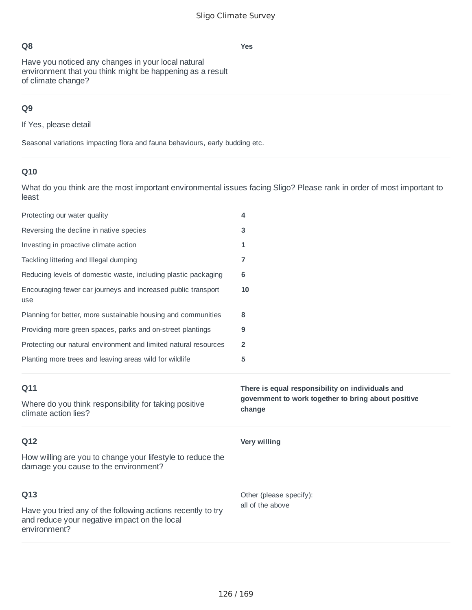**Yes**

Have you noticed any changes in your local natural environment that you think might be happening as a result of climate change?

# **Q9**

If Yes, please detail

Seasonal variations impacting flora and fauna behaviours, early budding etc.

# **Q10**

| Protecting our water quality                                                                       | 4                                                                                                       |
|----------------------------------------------------------------------------------------------------|---------------------------------------------------------------------------------------------------------|
| Reversing the decline in native species                                                            | 3                                                                                                       |
| Investing in proactive climate action                                                              | 1                                                                                                       |
| Tackling littering and Illegal dumping                                                             | 7                                                                                                       |
| Reducing levels of domestic waste, including plastic packaging                                     | 6                                                                                                       |
| Encouraging fewer car journeys and increased public transport<br>use                               | 10                                                                                                      |
| Planning for better, more sustainable housing and communities                                      | 8                                                                                                       |
| Providing more green spaces, parks and on-street plantings                                         | 9                                                                                                       |
| Protecting our natural environment and limited natural resources                                   | 2                                                                                                       |
| Planting more trees and leaving areas wild for wildlife                                            | 5                                                                                                       |
|                                                                                                    |                                                                                                         |
| Q11                                                                                                | There is equal responsibility on individuals and<br>government to work together to bring about positive |
| Where do you think responsibility for taking positive<br>climate action lies?                      | change                                                                                                  |
| Q12                                                                                                | <b>Very willing</b>                                                                                     |
| How willing are you to change your lifestyle to reduce the<br>damage you cause to the environment? |                                                                                                         |
| Q13                                                                                                | Other (please specify):<br>all of the above                                                             |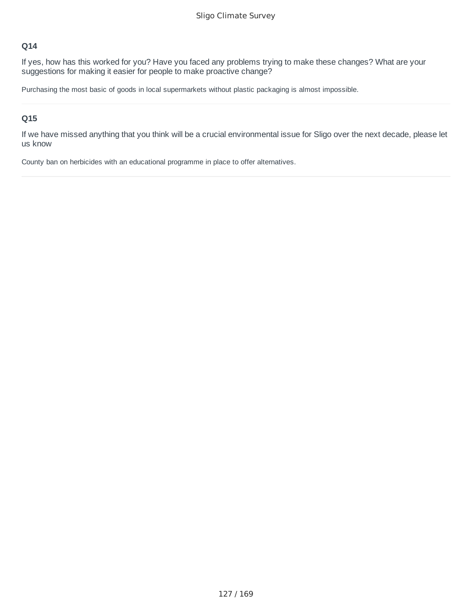If yes, how has this worked for you? Have you faced any problems trying to make these changes? What are your suggestions for making it easier for people to make proactive change?

Purchasing the most basic of goods in local supermarkets without plastic packaging is almost impossible.

#### **Q15**

If we have missed anything that you think will be a crucial environmental issue for Sligo over the next decade, please let us know

County ban on herbicides with an educational programme in place to offer alternatives.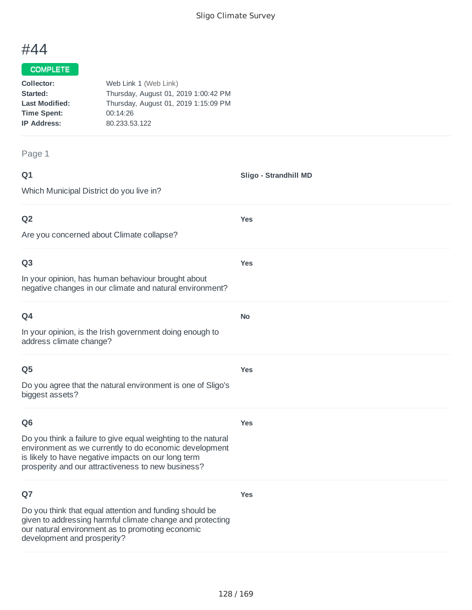**Sligo - Strandhill MD**

**Yes**

**Yes**

**No**

**Yes**

# #44

#### COMPLETE

| Collector:            | Web Link 1 (Web Link)                |
|-----------------------|--------------------------------------|
| Started:              | Thursday, August 01, 2019 1:00:42 PM |
| <b>Last Modified:</b> | Thursday, August 01, 2019 1:15:09 PM |
| <b>Time Spent:</b>    | 00:14:26                             |
| <b>IP Address:</b>    | 80.233.53.122                        |
|                       |                                      |

#### Page 1

| ۰      | ٧ |
|--------|---|
| w<br>× |   |

Which Municipal District do you live in?

## **Q2**

Are you concerned about Climate collapse?

#### **Q3**

In your opinion, has human behaviour brought about negative changes in our climate and natural environment?

In your opinion, is the Irish government doing enough to address climate change?

#### **Q5**

Do you agree that the natural environment is one of Sligo's biggest assets?

## **Q6**

**Yes**

**Yes**

Do you think a failure to give equal weighting to the natural environment as we currently to do economic development is likely to have negative impacts on our long term prosperity and our attractiveness to new business?

## **Q7**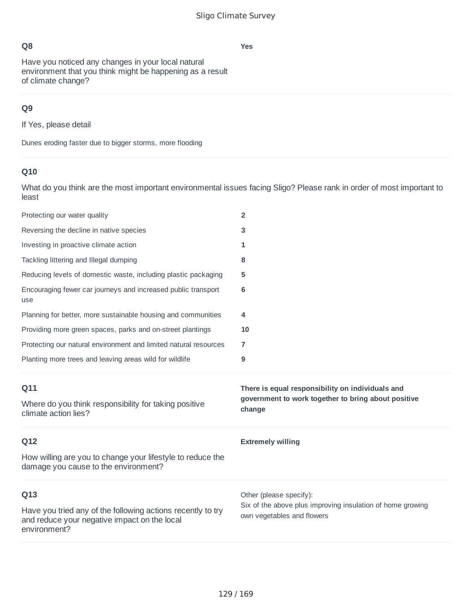**Yes**

# **Q8**

Have you noticed any changes in your local natural environment that you think might be happening as a result of climate change?

# **Q9**

If Yes, please detail

Dunes eroding faster due to bigger storms, more flooding

# **Q10**

| Protecting our water quality                                                                       | $\overline{2}$                                                                                                    |
|----------------------------------------------------------------------------------------------------|-------------------------------------------------------------------------------------------------------------------|
| Reversing the decline in native species                                                            | 3                                                                                                                 |
| Investing in proactive climate action                                                              | 1                                                                                                                 |
| Tackling littering and Illegal dumping                                                             | 8                                                                                                                 |
| Reducing levels of domestic waste, including plastic packaging                                     | 5                                                                                                                 |
| Encouraging fewer car journeys and increased public transport<br>use                               | 6                                                                                                                 |
| Planning for better, more sustainable housing and communities                                      | 4                                                                                                                 |
| Providing more green spaces, parks and on-street plantings                                         | 10                                                                                                                |
| Protecting our natural environment and limited natural resources                                   | $\overline{7}$                                                                                                    |
| Planting more trees and leaving areas wild for wildlife                                            | 9                                                                                                                 |
|                                                                                                    |                                                                                                                   |
| Q11<br>Where do you think responsibility for taking positive<br>climate action lies?               | There is equal responsibility on individuals and<br>government to work together to bring about positive<br>change |
| Q12                                                                                                | <b>Extremely willing</b>                                                                                          |
| How willing are you to change your lifestyle to reduce the<br>damage you cause to the environment? |                                                                                                                   |
| Q13                                                                                                | Other (please specify):<br>Six of the above plus improving insulation of home growing                             |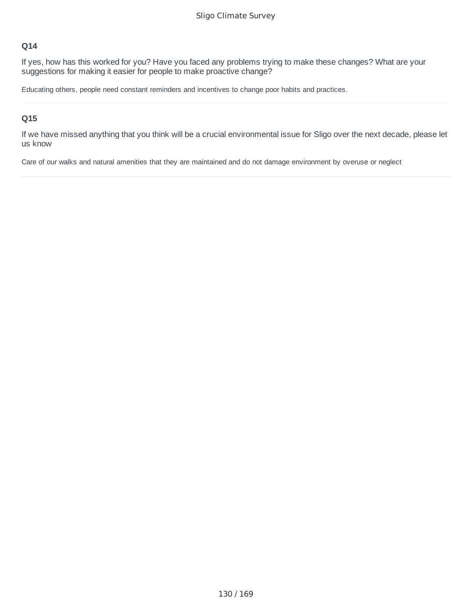If yes, how has this worked for you? Have you faced any problems trying to make these changes? What are your suggestions for making it easier for people to make proactive change?

Educating others, people need constant reminders and incentives to change poor habits and practices.

#### **Q15**

If we have missed anything that you think will be a crucial environmental issue for Sligo over the next decade, please let us know

Care of our walks and natural amenities that they are maintained and do not damage environment by overuse or neglect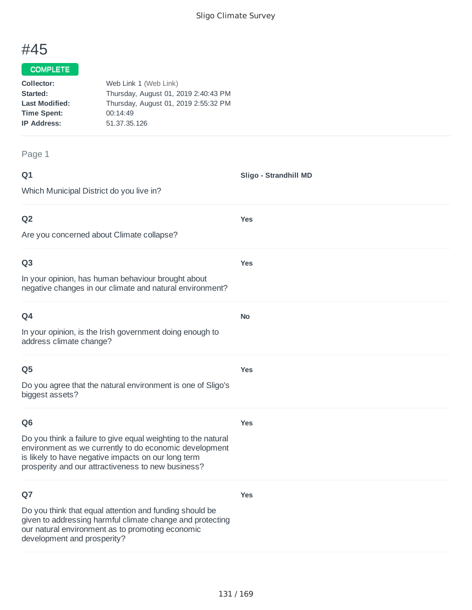**Sligo - Strandhill MD**

**Yes**

**Yes**

**No**

**Yes**

# #45

#### COMPLETE

| Collector:            | Web Link 1 (Web Link)                |
|-----------------------|--------------------------------------|
| Started:              | Thursday, August 01, 2019 2:40:43 PM |
| <b>Last Modified:</b> | Thursday, August 01, 2019 2:55:32 PM |
| <b>Time Spent:</b>    | 00:14:49                             |
| <b>IP Address:</b>    | 51, 37, 35, 126                      |
|                       |                                      |

#### Page 1

| ۰           | ٧ |
|-------------|---|
| ۰<br>w<br>× |   |

Which Municipal District do you live in?

## **Q2**

Are you concerned about Climate collapse?

#### **Q3**

In your opinion, has human behaviour brought about negative changes in our climate and natural environment?

In your opinion, is the Irish government doing enough to address climate change?

#### **Q5**

Do you agree that the natural environment is one of Sligo's biggest assets?

## **Q6**

**Yes**

**Yes**

Do you think a failure to give equal weighting to the natural environment as we currently to do economic development is likely to have negative impacts on our long term prosperity and our attractiveness to new business?

## **Q7**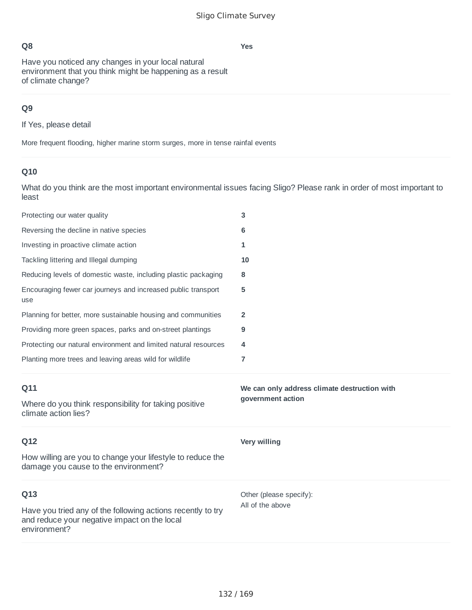**Yes**

Have you noticed any changes in your local natural environment that you think might be happening as a result of climate change?

## **Q9**

If Yes, please detail

More frequent flooding, higher marine storm surges, more in tense rainfal events

# **Q10**

| Protecting our water quality                                                                       | 3                                            |
|----------------------------------------------------------------------------------------------------|----------------------------------------------|
| Reversing the decline in native species                                                            | 6                                            |
| Investing in proactive climate action                                                              | 1                                            |
| Tackling littering and Illegal dumping                                                             | 10                                           |
| Reducing levels of domestic waste, including plastic packaging                                     | 8                                            |
| Encouraging fewer car journeys and increased public transport<br>use                               | 5                                            |
| Planning for better, more sustainable housing and communities                                      | $\overline{2}$                               |
| Providing more green spaces, parks and on-street plantings                                         | 9                                            |
| Protecting our natural environment and limited natural resources                                   | 4                                            |
| Planting more trees and leaving areas wild for wildlife                                            | $\overline{7}$                               |
|                                                                                                    |                                              |
| Q11                                                                                                | We can only address climate destruction with |
| Where do you think responsibility for taking positive<br>climate action lies?                      | government action                            |
| Q12                                                                                                | Very willing                                 |
| How willing are you to change your lifestyle to reduce the<br>damage you cause to the environment? |                                              |
| Q13                                                                                                | Other (please specify):<br>All of the above  |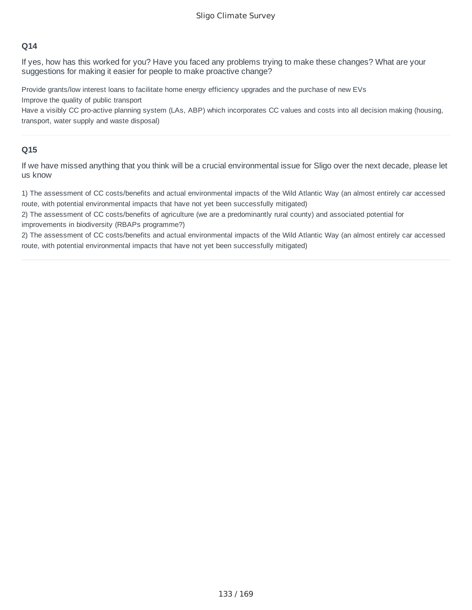If yes, how has this worked for you? Have you faced any problems trying to make these changes? What are your suggestions for making it easier for people to make proactive change?

Provide grants/low interest loans to facilitate home energy efficiency upgrades and the purchase of new EVs Improve the quality of public transport

Have a visibly CC pro-active planning system (LAs, ABP) which incorporates CC values and costs into all decision making (housing, transport, water supply and waste disposal)

#### **Q15**

If we have missed anything that you think will be a crucial environmental issue for Sligo over the next decade, please let us know

1) The assessment of CC costs/benefits and actual environmental impacts of the Wild Atlantic Way (an almost entirely car accessed route, with potential environmental impacts that have not yet been successfully mitigated)

2) The assessment of CC costs/benefits of agriculture (we are a predominantly rural county) and associated potential for improvements in biodiversity (RBAPs programme?)

2) The assessment of CC costs/benefits and actual environmental impacts of the Wild Atlantic Way (an almost entirely car accessed route, with potential environmental impacts that have not yet been successfully mitigated)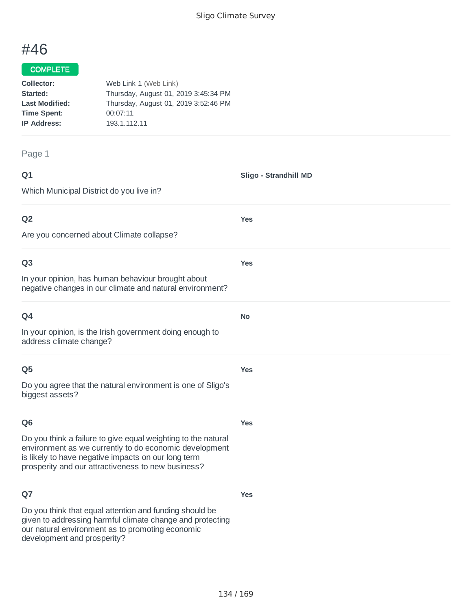**Sligo - Strandhill MD**

**Yes**

**Yes**

**No**

**Yes**

# #46

#### COMPLETE

| Collector:            | Web Link 1 (Web Link)                |
|-----------------------|--------------------------------------|
| Started:              | Thursday, August 01, 2019 3:45:34 PM |
| <b>Last Modified:</b> | Thursday, August 01, 2019 3:52:46 PM |
| <b>Time Spent:</b>    | 00:07:11                             |
| <b>IP Address:</b>    | 193.1.112.11                         |
|                       |                                      |

#### Page 1

| ۰      | ٠ |
|--------|---|
| ×<br>w | - |
| ×      |   |

Which Municipal District do you live in?

## **Q2**

Are you concerned about Climate collapse?

#### **Q3**

In your opinion, has human behaviour brought about negative changes in our climate and natural environment?

In your opinion, is the Irish government doing enough to address climate change?

#### **Q5**

Do you agree that the natural environment is one of Sligo's biggest assets?

#### **Q6**

**Yes**

**Yes**

Do you think a failure to give equal weighting to the natural environment as we currently to do economic development is likely to have negative impacts on our long term prosperity and our attractiveness to new business?

## **Q7**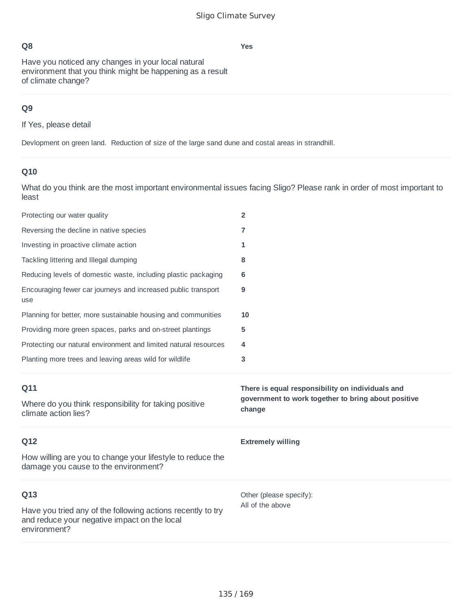**Yes**

Have you noticed any changes in your local natural environment that you think might be happening as a result of climate change?

# **Q9**

If Yes, please detail

Devlopment on green land. Reduction of size of the large sand dune and costal areas in strandhill.

## **Q10**

| Protecting our water quality                                                                       | $\overline{2}$                                                |
|----------------------------------------------------------------------------------------------------|---------------------------------------------------------------|
| Reversing the decline in native species                                                            | 7                                                             |
| Investing in proactive climate action                                                              | 1                                                             |
| Tackling littering and Illegal dumping                                                             | 8                                                             |
| Reducing levels of domestic waste, including plastic packaging                                     | 6                                                             |
| Encouraging fewer car journeys and increased public transport<br>use                               | 9                                                             |
| Planning for better, more sustainable housing and communities                                      | 10                                                            |
| Providing more green spaces, parks and on-street plantings                                         | 5                                                             |
| Protecting our natural environment and limited natural resources                                   | 4                                                             |
| Planting more trees and leaving areas wild for wildlife                                            | 3                                                             |
|                                                                                                    |                                                               |
| Q11                                                                                                | There is equal responsibility on individuals and              |
| Where do you think responsibility for taking positive<br>climate action lies?                      | government to work together to bring about positive<br>change |
| Q12                                                                                                | <b>Extremely willing</b>                                      |
| How willing are you to change your lifestyle to reduce the<br>damage you cause to the environment? |                                                               |
| Q13                                                                                                | Other (please specify):                                       |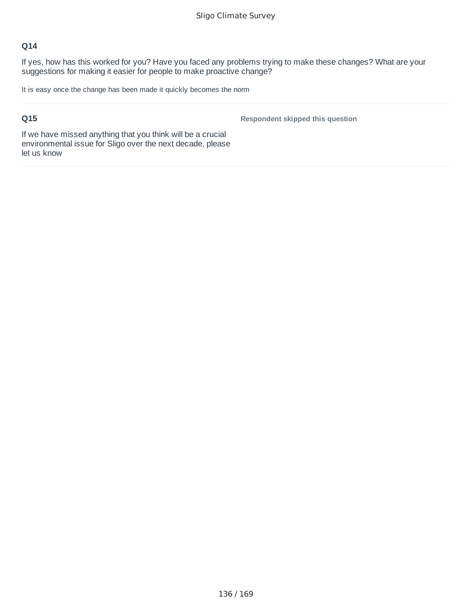If yes, how has this worked for you? Have you faced any problems trying to make these changes? What are your suggestions for making it easier for people to make proactive change?

It is easy once the change has been made it quickly becomes the norm

## **Q15**

**Respondent skipped this question**

If we have missed anything that you think will be a crucial environmental issue for Sligo over the next decade, please let us know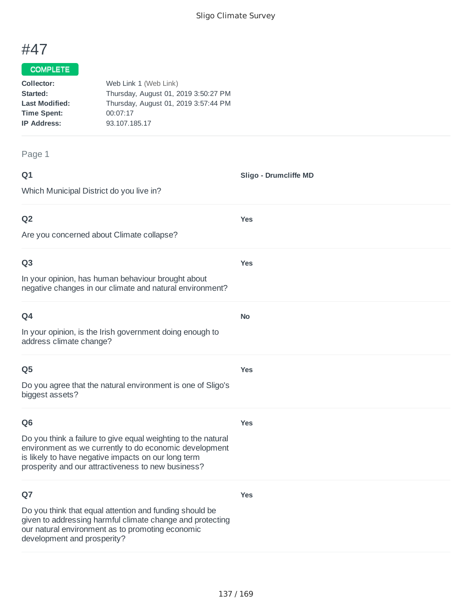# #47

#### **COMPLETE**

| Collector:            | Web Link 1 (Web Link)                |
|-----------------------|--------------------------------------|
| Started:              | Thursday, August 01, 2019 3:50:27 PM |
| <b>Last Modified:</b> | Thursday, August 01, 2019 3:57:44 PM |
| <b>Time Spent:</b>    | 00:07:17                             |
| <b>IP Address:</b>    | 93.107.185.17                        |
|                       |                                      |

#### Page 1

| ۰      | ٧ |
|--------|---|
| w<br>× |   |

Which Municipal District do you live in? **Sligo - Drumcliffe MD Q2** Are you concerned about Climate collapse? **Yes Q3** In your opinion, has human behaviour brought about negative changes in our climate and natural environment? **Yes Q4** In your opinion, is the Irish government doing enough to address climate change? **No Q5** Do you agree that the natural environment is one of Sligo's biggest assets? **Yes**

**Yes**

**Yes**

#### **Q6**

Do you think a failure to give equal weighting to the natural environment as we currently to do economic development is likely to have negative impacts on our long term prosperity and our attractiveness to new business?

## **Q7**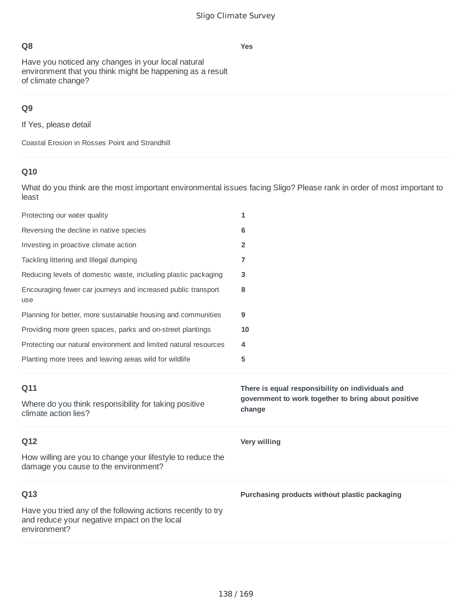**Yes**

# **Q8**

Have you noticed any changes in your local natural environment that you think might be happening as a result of climate change?

# **Q9**

If Yes, please detail

Coastal Erosion in Rosses Point and Strandhill

# **Q10**

| Protecting our water quality                                                                       | 1                                                             |
|----------------------------------------------------------------------------------------------------|---------------------------------------------------------------|
| Reversing the decline in native species                                                            | 6                                                             |
| Investing in proactive climate action                                                              | 2                                                             |
| Tackling littering and Illegal dumping                                                             | 7                                                             |
| Reducing levels of domestic waste, including plastic packaging                                     | 3                                                             |
| Encouraging fewer car journeys and increased public transport<br>use                               | 8                                                             |
| Planning for better, more sustainable housing and communities                                      | 9                                                             |
| Providing more green spaces, parks and on-street plantings                                         | 10                                                            |
| Protecting our natural environment and limited natural resources                                   | 4                                                             |
| Planting more trees and leaving areas wild for wildlife                                            | 5                                                             |
|                                                                                                    |                                                               |
| Q11                                                                                                | There is equal responsibility on individuals and              |
| Where do you think responsibility for taking positive<br>climate action lies?                      | government to work together to bring about positive<br>change |
| Q12                                                                                                | Very willing                                                  |
| How willing are you to change your lifestyle to reduce the<br>damage you cause to the environment? |                                                               |
| Q13                                                                                                | Purchasing products without plastic packaging                 |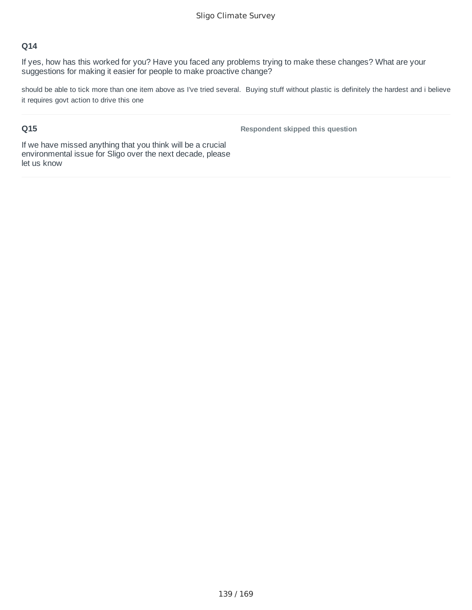If yes, how has this worked for you? Have you faced any problems trying to make these changes? What are your suggestions for making it easier for people to make proactive change?

should be able to tick more than one item above as I've tried several. Buying stuff without plastic is definitely the hardest and i believe it requires govt action to drive this one

## **Q15**

**Respondent skipped this question**

If we have missed anything that you think will be a crucial environmental issue for Sligo over the next decade, please let us know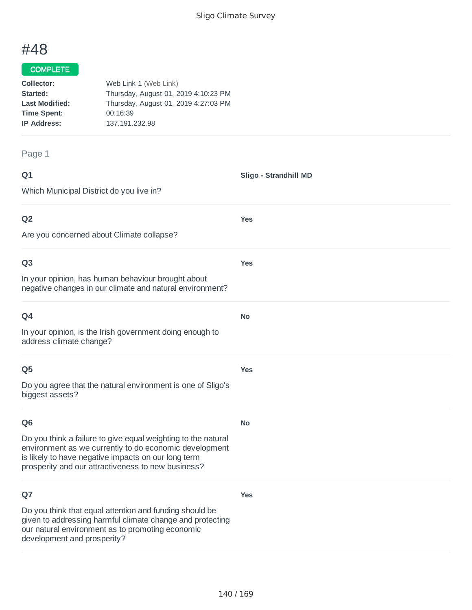**Yes**

**Yes**

**No**

**Yes**

# #48

#### COMPLETE

| Collector:            | Web Link 1 (Web Link)                |
|-----------------------|--------------------------------------|
| Started:              | Thursday, August 01, 2019 4:10:23 PM |
| <b>Last Modified:</b> | Thursday, August 01, 2019 4:27:03 PM |
| <b>Time Spent:</b>    | 00:16:39                             |
| <b>IP Address:</b>    | 137.191.232.98                       |
|                       |                                      |

#### Page 1

| ۰           | I<br>٧ |
|-------------|--------|
| ٦<br>w<br>× |        |

Which Municipal District do you live in? **Sligo - Strandhill MD Q2 Yes**

Are you concerned about Climate collapse?

#### **Q3**

In your opinion, has human behaviour brought about negative changes in our climate and natural environment?

| Q4                                                                                  | No. |
|-------------------------------------------------------------------------------------|-----|
| In your opinion, is the Irish government doing enough to<br>address climate change? |     |

#### **Q5**

Do you agree that the natural environment is one of Sligo's biggest assets?

#### **Q6**

Do you think a failure to give equal weighting to the natural environment as we currently to do economic development

is likely to have negative impacts on our long term prosperity and our attractiveness to new business?

## **Q7**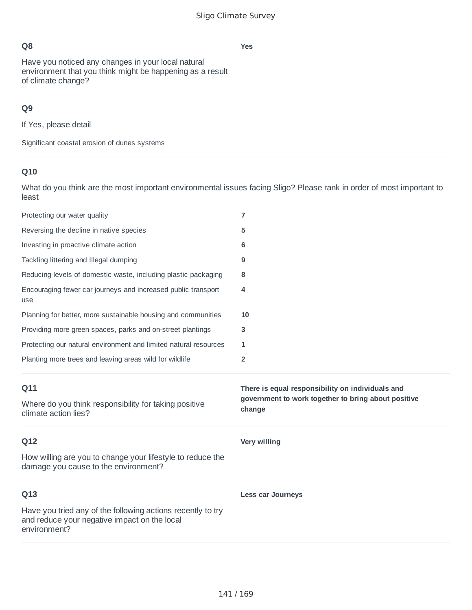**Yes**

Have you noticed any changes in your local natural environment that you think might be happening as a result of climate change?

# **Q9**

If Yes, please detail

Significant coastal erosion of dunes systems

## **Q10**

| Protecting our water quality                                                                       | $\overline{7}$                                                |
|----------------------------------------------------------------------------------------------------|---------------------------------------------------------------|
| Reversing the decline in native species                                                            | 5                                                             |
| Investing in proactive climate action                                                              | 6                                                             |
| Tackling littering and Illegal dumping                                                             | 9                                                             |
| Reducing levels of domestic waste, including plastic packaging                                     | 8                                                             |
| Encouraging fewer car journeys and increased public transport<br>use                               | 4                                                             |
| Planning for better, more sustainable housing and communities                                      | 10                                                            |
| Providing more green spaces, parks and on-street plantings                                         | 3                                                             |
| Protecting our natural environment and limited natural resources                                   | 1                                                             |
| Planting more trees and leaving areas wild for wildlife                                            | 2                                                             |
|                                                                                                    |                                                               |
| Q11                                                                                                | There is equal responsibility on individuals and              |
| Where do you think responsibility for taking positive<br>climate action lies?                      | government to work together to bring about positive<br>change |
| Q12                                                                                                | <b>Very willing</b>                                           |
| How willing are you to change your lifestyle to reduce the<br>damage you cause to the environment? |                                                               |
| Q13                                                                                                | <b>Less car Journeys</b>                                      |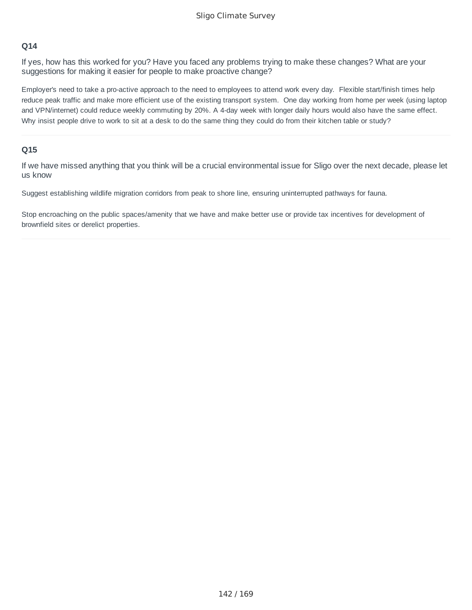If yes, how has this worked for you? Have you faced any problems trying to make these changes? What are your suggestions for making it easier for people to make proactive change?

Employer's need to take a pro-active approach to the need to employees to attend work every day. Flexible start/finish times help reduce peak traffic and make more efficient use of the existing transport system. One day working from home per week (using laptop and VPN/internet) could reduce weekly commuting by 20%. A 4-day week with longer daily hours would also have the same effect. Why insist people drive to work to sit at a desk to do the same thing they could do from their kitchen table or study?

#### **Q15**

If we have missed anything that you think will be a crucial environmental issue for Sligo over the next decade, please let us know

Suggest establishing wildlife migration corridors from peak to shore line, ensuring uninterrupted pathways for fauna.

Stop encroaching on the public spaces/amenity that we have and make better use or provide tax incentives for development of brownfield sites or derelict properties.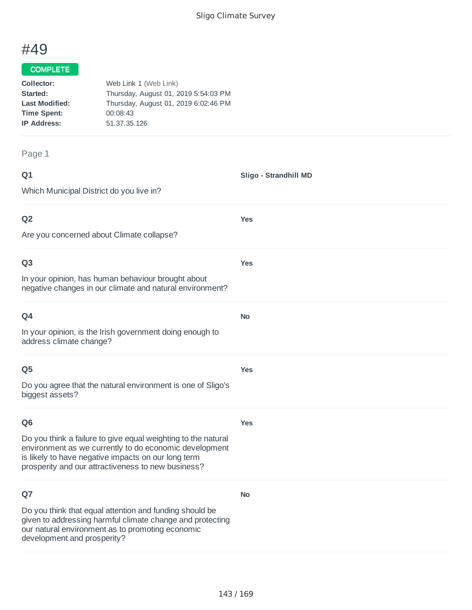**Sligo - Strandhill MD**

**Yes**

**Yes**

**No**

# #49

#### COMPLETE

| Collector:            | Web Link 1 (Web Link)                |
|-----------------------|--------------------------------------|
| Started:              | Thursday, August 01, 2019 5:54:03 PM |
| <b>Last Modified:</b> | Thursday, August 01, 2019 6:02:46 PM |
| <b>Time Spent:</b>    | 00:08:43                             |
| <b>IP Address:</b>    | 51.37.35.126                         |
|                       |                                      |

#### Page 1

| ۰      | ٧ |
|--------|---|
| ×<br>w |   |
| ×      |   |

Which Municipal District do you live in?

## **Q2**

Are you concerned about Climate collapse?

#### **Q3**

In your opinion, has human behaviour brought about negative changes in our climate and natural environment?

In your opinion, is the Irish government doing enough to address climate change?

#### **Q5**

Do you agree that the natural environment is one of Sligo's biggest assets?

#### **Q6**

**Yes**

**No**

**Yes**

Do you think a failure to give equal weighting to the natural environment as we currently to do economic development is likely to have negative impacts on our long term prosperity and our attractiveness to new business?

## **Q7**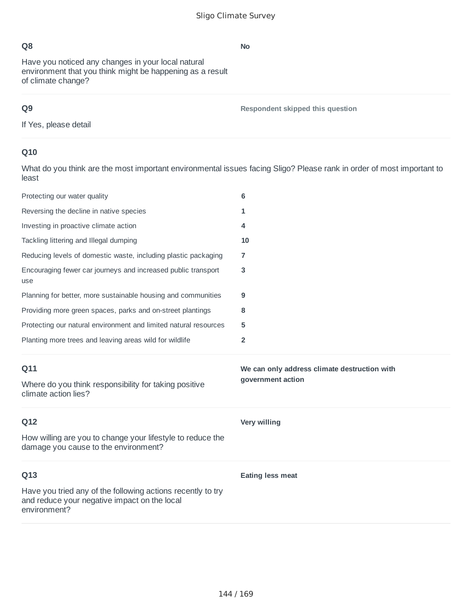Have you noticed any changes in your local natural environment that you think might be happening as a result of climate change?

# **Q9**

**Respondent skipped this question**

If Yes, please detail

# **Q10**

What do you think are the most important environmental issues facing Sligo? Please rank in order of most important to least

| Protecting our water quality                                                                                                | 6                                            |
|-----------------------------------------------------------------------------------------------------------------------------|----------------------------------------------|
| Reversing the decline in native species                                                                                     | 1                                            |
| Investing in proactive climate action                                                                                       | 4                                            |
| Tackling littering and Illegal dumping                                                                                      | 10                                           |
| Reducing levels of domestic waste, including plastic packaging                                                              | 7                                            |
| Encouraging fewer car journeys and increased public transport<br>use                                                        | 3                                            |
| Planning for better, more sustainable housing and communities                                                               | 9                                            |
| Providing more green spaces, parks and on-street plantings                                                                  | 8                                            |
| Protecting our natural environment and limited natural resources                                                            | 5                                            |
| Planting more trees and leaving areas wild for wildlife                                                                     | $\overline{2}$                               |
|                                                                                                                             |                                              |
| Q11                                                                                                                         | We can only address climate destruction with |
| Where do you think responsibility for taking positive<br>climate action lies?                                               | government action                            |
| Q12                                                                                                                         | <b>Very willing</b>                          |
| How willing are you to change your lifestyle to reduce the<br>damage you cause to the environment?                          |                                              |
| Q13                                                                                                                         | <b>Eating less meat</b>                      |
| Have you tried any of the following actions recently to try<br>and reduce your negative impact on the local<br>environment? |                                              |

#### **No**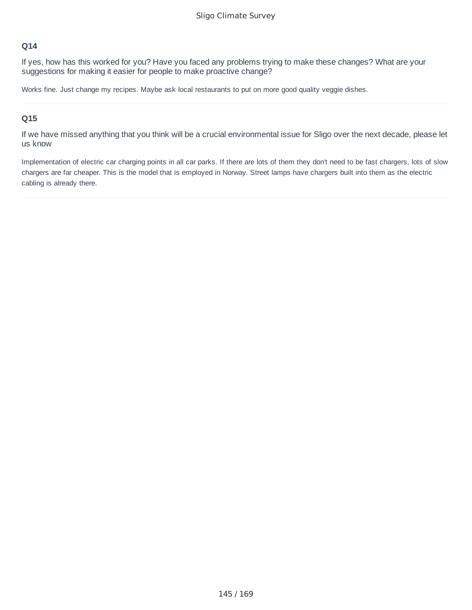If yes, how has this worked for you? Have you faced any problems trying to make these changes? What are your suggestions for making it easier for people to make proactive change?

Works fine. Just change my recipes. Maybe ask local restaurants to put on more good quality veggie dishes.

# **Q15**

If we have missed anything that you think will be a crucial environmental issue for Sligo over the next decade, please let us know

Implementation of electric car charging points in all car parks. If there are lots of them they don't need to be fast chargers, lots of slow chargers are far cheaper. This is the model that is employed in Norway. Street lamps have chargers built into them as the electric cabling is already there.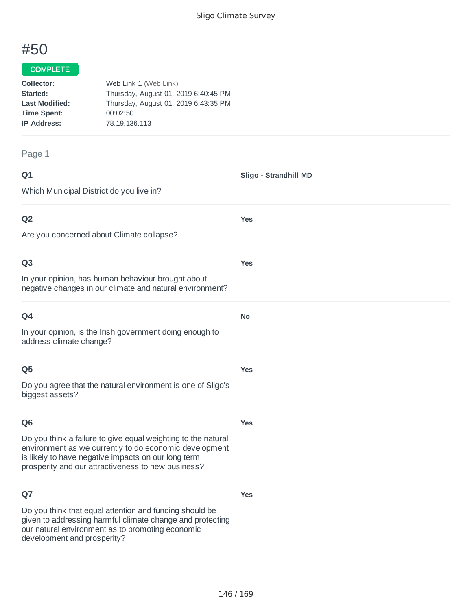**Yes**

**Yes**

**No**

**Yes**

# #50

## COMPLETE

| Collector:            | Web Link 1 (Web Link)                |
|-----------------------|--------------------------------------|
| Started:              | Thursday, August 01, 2019 6:40:45 PM |
| <b>Last Modified:</b> | Thursday, August 01, 2019 6:43:35 PM |
| <b>Time Spent:</b>    | 00:02:50                             |
| <b>IP Address:</b>    | 78.19.136.113                        |
|                       |                                      |

#### Page 1

| ۰      | ٧ |
|--------|---|
| w<br>× | - |
|        |   |

Which Municipal District do you live in?

# **Q2**

Are you concerned about Climate collapse?

#### **Q3**

In your opinion, has human behaviour brought about negative changes in our climate and natural environment?

In your opinion, is the Irish government doing enough to address climate change?

# **Q5**

Do you agree that the natural environment is one of Sligo's biggest assets?

#### **Q6**

**Yes**

**Yes**

Do you think a failure to give equal weighting to the natural environment as we currently to do economic development is likely to have negative impacts on our long term prosperity and our attractiveness to new business?

# **Q7**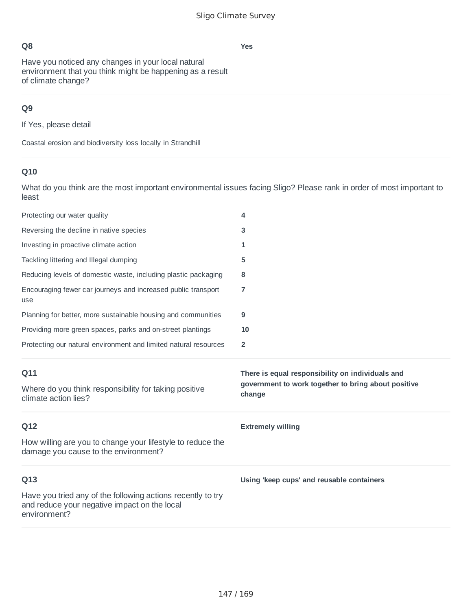Have you noticed any changes in your local natural environment that you think might be happening as a result of climate change?

# **Q9**

If Yes, please detail

Coastal erosion and biodiversity loss locally in Strandhill

# **Q10**

What do you think are the most important environmental issues facing Sligo? Please rank in order of most important to least

| Protecting our water quality                                                                                                | 4                                                             |
|-----------------------------------------------------------------------------------------------------------------------------|---------------------------------------------------------------|
| Reversing the decline in native species                                                                                     | 3                                                             |
| Investing in proactive climate action                                                                                       | 1                                                             |
| Tackling littering and Illegal dumping                                                                                      | 5                                                             |
| Reducing levels of domestic waste, including plastic packaging                                                              | 8                                                             |
| Encouraging fewer car journeys and increased public transport<br>use                                                        | 7                                                             |
| Planning for better, more sustainable housing and communities                                                               | 9                                                             |
| Providing more green spaces, parks and on-street plantings                                                                  | 10                                                            |
| Protecting our natural environment and limited natural resources                                                            | $\overline{2}$                                                |
|                                                                                                                             |                                                               |
| Q11                                                                                                                         | There is equal responsibility on individuals and              |
| Where do you think responsibility for taking positive<br>climate action lies?                                               | government to work together to bring about positive<br>change |
| Q12                                                                                                                         | <b>Extremely willing</b>                                      |
| How willing are you to change your lifestyle to reduce the<br>damage you cause to the environment?                          |                                                               |
| Q13                                                                                                                         | Using 'keep cups' and reusable containers                     |
| Have you tried any of the following actions recently to try<br>and reduce your negative impact on the local<br>environment? |                                                               |

**Yes**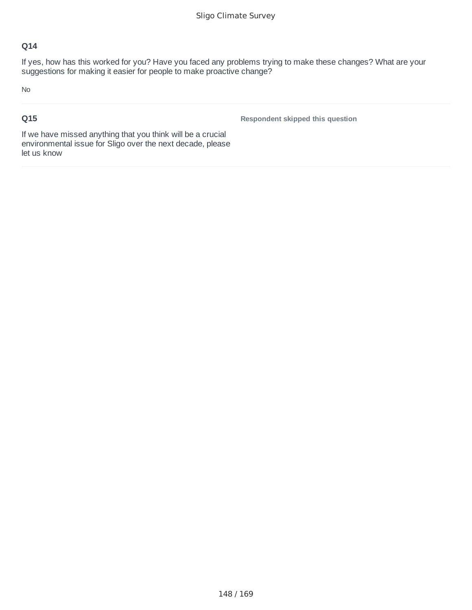If yes, how has this worked for you? Have you faced any problems trying to make these changes? What are your suggestions for making it easier for people to make proactive change?

No

# **Q15**

**Respondent skipped this question**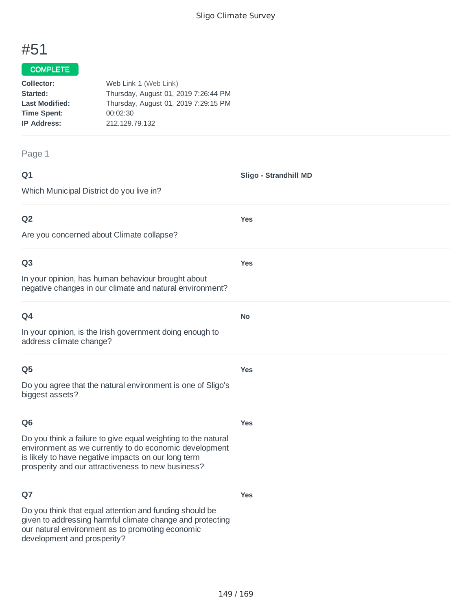**Yes**

**Yes**

**No**

**Yes**

# #51

## COMPLETE

| Collector:            | Web Link 1 (Web Link)                |
|-----------------------|--------------------------------------|
| Started:              | Thursday, August 01, 2019 7:26:44 PM |
| <b>Last Modified:</b> | Thursday, August 01, 2019 7:29:15 PM |
| <b>Time Spent:</b>    | 00:02:30                             |
| <b>IP Address:</b>    | 212.129.79.132                       |
|                       |                                      |

#### Page 1

| ۰      | ٧ |
|--------|---|
| w<br>× |   |

Which Municipal District do you live in?

# **Q2**

Are you concerned about Climate collapse?

#### **Q3**

In your opinion, has human behaviour brought about negative changes in our climate and natural environment?

| w |  |
|---|--|

In your opinion, is the Irish government doing enough to address climate change?

# **Q5**

Do you agree that the natural environment is one of Sligo's biggest assets?

#### **Q6**

**Yes**

**Yes**

Do you think a failure to give equal weighting to the natural environment as we currently to do economic development is likely to have negative impacts on our long term prosperity and our attractiveness to new business?

# **Q7**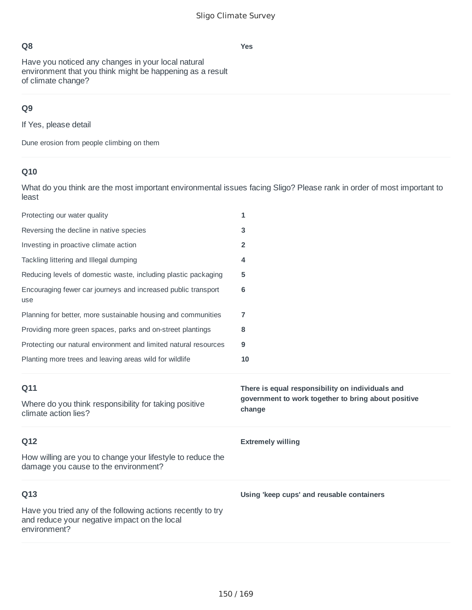**Yes**

# **Q8**

Have you noticed any changes in your local natural environment that you think might be happening as a result of climate change?

# **Q9**

If Yes, please detail

Dune erosion from people climbing on them

# **Q10**

What do you think are the most important environmental issues facing Sligo? Please rank in order of most important to least

| Protecting our water quality                                                                       | 1                                                                                                                 |
|----------------------------------------------------------------------------------------------------|-------------------------------------------------------------------------------------------------------------------|
| Reversing the decline in native species                                                            | 3                                                                                                                 |
| Investing in proactive climate action                                                              | $\overline{2}$                                                                                                    |
| Tackling littering and Illegal dumping                                                             | 4                                                                                                                 |
| Reducing levels of domestic waste, including plastic packaging                                     | 5                                                                                                                 |
| Encouraging fewer car journeys and increased public transport<br>use                               | 6                                                                                                                 |
| Planning for better, more sustainable housing and communities                                      | 7                                                                                                                 |
| Providing more green spaces, parks and on-street plantings                                         | 8                                                                                                                 |
| Protecting our natural environment and limited natural resources                                   | 9                                                                                                                 |
| Planting more trees and leaving areas wild for wildlife                                            | 10                                                                                                                |
|                                                                                                    |                                                                                                                   |
| Q11<br>Where do you think responsibility for taking positive<br>climate action lies?               | There is equal responsibility on individuals and<br>government to work together to bring about positive<br>change |
| Q12                                                                                                | <b>Extremely willing</b>                                                                                          |
| How willing are you to change your lifestyle to reduce the<br>damage you cause to the environment? |                                                                                                                   |
| Q13                                                                                                | Using 'keep cups' and reusable containers                                                                         |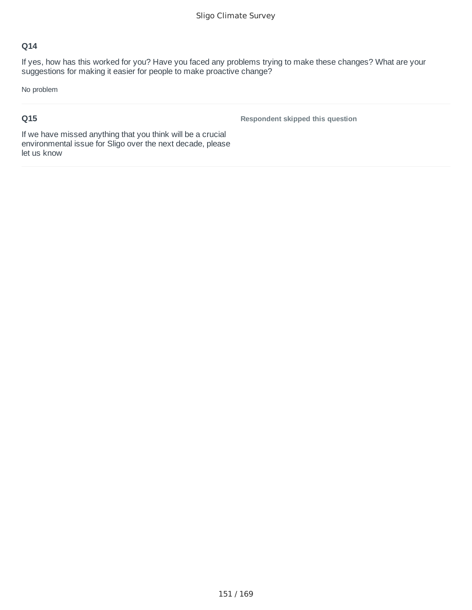If yes, how has this worked for you? Have you faced any problems trying to make these changes? What are your suggestions for making it easier for people to make proactive change?

No problem

# **Q15**

**Respondent skipped this question**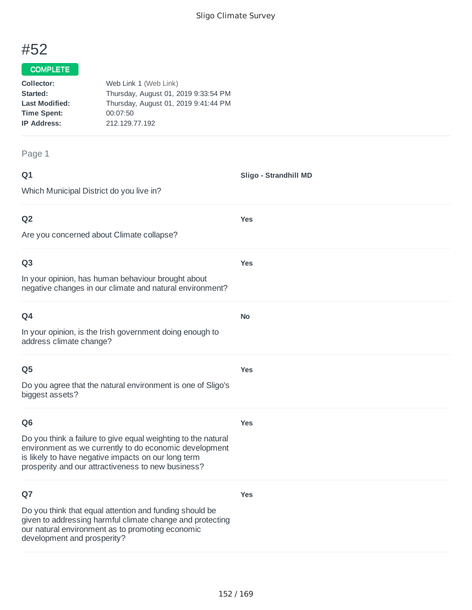**Yes**

**Yes**

**No**

**Yes**

# #52

## COMPLETE

| Collector:            | Web Link 1 (Web Link)                |
|-----------------------|--------------------------------------|
| Started:              | Thursday, August 01, 2019 9:33:54 PM |
| <b>Last Modified:</b> | Thursday, August 01, 2019 9:41:44 PM |
| <b>Time Spent:</b>    | 00:07:50                             |
| <b>IP Address:</b>    | 212.129.77.192                       |
|                       |                                      |

#### Page 1

| ۰           | I<br>٧ |
|-------------|--------|
| ٦<br>w<br>× |        |

Which Municipal District do you live in?

# **Q2**

Are you concerned about Climate collapse?

#### **Q3**

In your opinion, has human behaviour brought about negative changes in our climate and natural environment?

| I |  |
|---|--|

In your opinion, is the Irish government doing enough to address climate change?

# **Q5**

Do you agree that the natural environment is one of Sligo's biggest assets?

#### **Q6**

**Yes**

**Yes**

Do you think a failure to give equal weighting to the natural environment as we currently to do economic development is likely to have negative impacts on our long term prosperity and our attractiveness to new business?

# **Q7**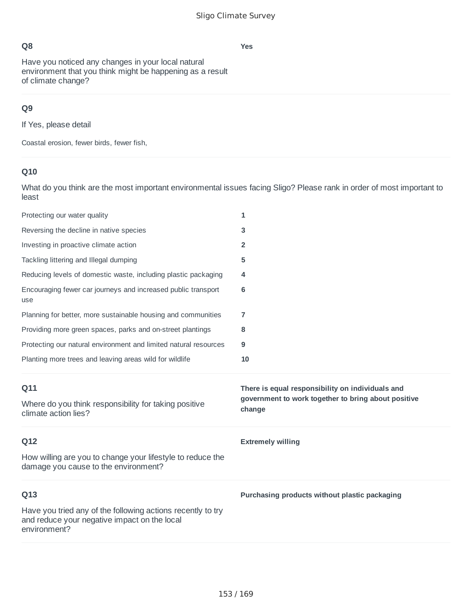Have you noticed any changes in your local natural environment that you think might be happening as a result of climate change?

# **Q9**

If Yes, please detail

Coastal erosion, fewer birds, fewer fish,

# **Q10**

What do you think are the most important environmental issues facing Sligo? Please rank in order of most important to least

| Protecting our water quality                                                                       | 1                                                             |
|----------------------------------------------------------------------------------------------------|---------------------------------------------------------------|
| Reversing the decline in native species                                                            | 3                                                             |
| Investing in proactive climate action                                                              | 2                                                             |
| Tackling littering and Illegal dumping                                                             | 5                                                             |
| Reducing levels of domestic waste, including plastic packaging                                     | 4                                                             |
| Encouraging fewer car journeys and increased public transport<br>use                               | 6                                                             |
| Planning for better, more sustainable housing and communities                                      | 7                                                             |
| Providing more green spaces, parks and on-street plantings                                         | 8                                                             |
| Protecting our natural environment and limited natural resources                                   | 9                                                             |
| Planting more trees and leaving areas wild for wildlife                                            | 10                                                            |
|                                                                                                    |                                                               |
| Q11                                                                                                | There is equal responsibility on individuals and              |
| Where do you think responsibility for taking positive<br>climate action lies?                      | government to work together to bring about positive<br>change |
| Q12                                                                                                | <b>Extremely willing</b>                                      |
| How willing are you to change your lifestyle to reduce the<br>damage you cause to the environment? |                                                               |
| Q13                                                                                                | Purchasing products without plastic packaging                 |

#### **Yes**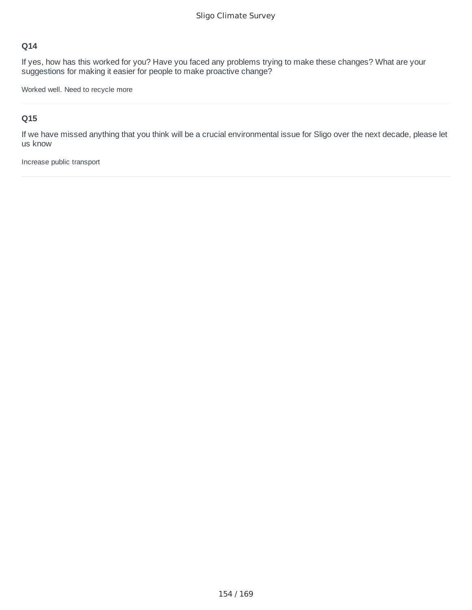If yes, how has this worked for you? Have you faced any problems trying to make these changes? What are your suggestions for making it easier for people to make proactive change?

Worked well. Need to recycle more

# **Q15**

If we have missed anything that you think will be a crucial environmental issue for Sligo over the next decade, please let us know

Increase public transport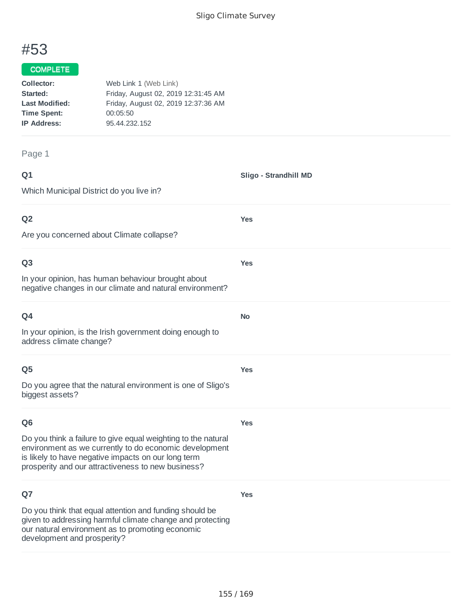**Yes**

**Yes**

**No**

**Yes**

# #53

#### COMPLETE

| Collector:            | Web Link 1 (Web Link)               |
|-----------------------|-------------------------------------|
| Started:              | Friday, August 02, 2019 12:31:45 AM |
| <b>Last Modified:</b> | Friday, August 02, 2019 12:37:36 AM |
| <b>Time Spent:</b>    | 00:05:50                            |
| <b>IP Address:</b>    | 95.44.232.152                       |
|                       |                                     |

#### Page 1

| ۰      | ٧ |
|--------|---|
| w<br>× |   |

Which Municipal District do you live in?

# **Q2**

Are you concerned about Climate collapse?

#### **Q3**

In your opinion, has human behaviour brought about negative changes in our climate and natural environment?

In your opinion, is the Irish government doing enough to address climate change?

#### **Q5**

Do you agree that the natural environment is one of Sligo's biggest assets?

# **Q6**

**Yes**

**Yes**

Do you think a failure to give equal weighting to the natural environment as we currently to do economic development is likely to have negative impacts on our long term prosperity and our attractiveness to new business?

# **Q7**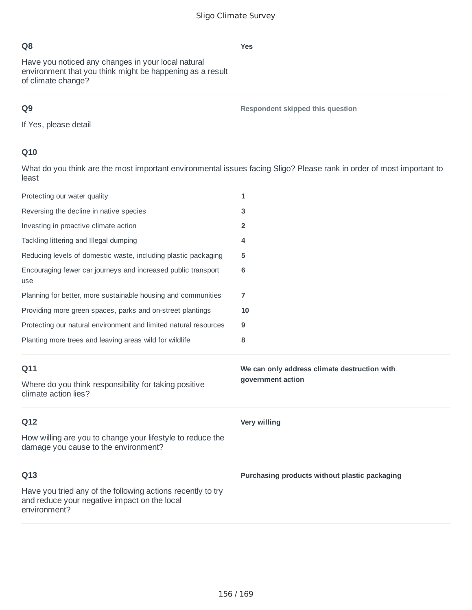Have you noticed any changes in your local natural environment that you think might be happening as a result of climate change?

# **Q9**

**Respondent skipped this question**

If Yes, please detail

# **Q10**

What do you think are the most important environmental issues facing Sligo? Please rank in order of most important to least

| Protecting our water quality                                                                                                | 1                                                                 |
|-----------------------------------------------------------------------------------------------------------------------------|-------------------------------------------------------------------|
| Reversing the decline in native species                                                                                     | 3                                                                 |
| Investing in proactive climate action                                                                                       | $\overline{2}$                                                    |
| Tackling littering and Illegal dumping                                                                                      | 4                                                                 |
| Reducing levels of domestic waste, including plastic packaging                                                              | 5                                                                 |
| Encouraging fewer car journeys and increased public transport<br>use                                                        | 6                                                                 |
| Planning for better, more sustainable housing and communities                                                               | 7                                                                 |
| Providing more green spaces, parks and on-street plantings                                                                  | 10                                                                |
| Protecting our natural environment and limited natural resources                                                            | 9                                                                 |
| Planting more trees and leaving areas wild for wildlife                                                                     | 8                                                                 |
|                                                                                                                             |                                                                   |
| Q11<br>Where do you think responsibility for taking positive<br>climate action lies?                                        | We can only address climate destruction with<br>government action |
| Q12                                                                                                                         | <b>Very willing</b>                                               |
| How willing are you to change your lifestyle to reduce the<br>damage you cause to the environment?                          |                                                                   |
| Q13                                                                                                                         | Purchasing products without plastic packaging                     |
| Have you tried any of the following actions recently to try<br>and reduce your negative impact on the local<br>environment? |                                                                   |

#### **Yes**

Sligo Climate Survey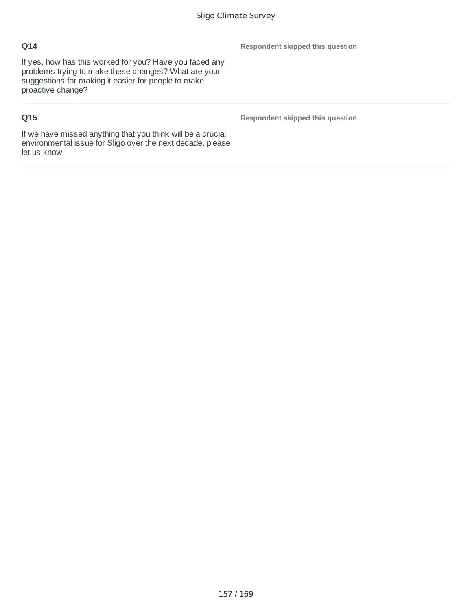If yes, how has this worked for you? Have you faced any problems trying to make these changes? What are your suggestions for making it easier for people to make proactive change?

# **Q15**

**Respondent skipped this question**

**Respondent skipped this question**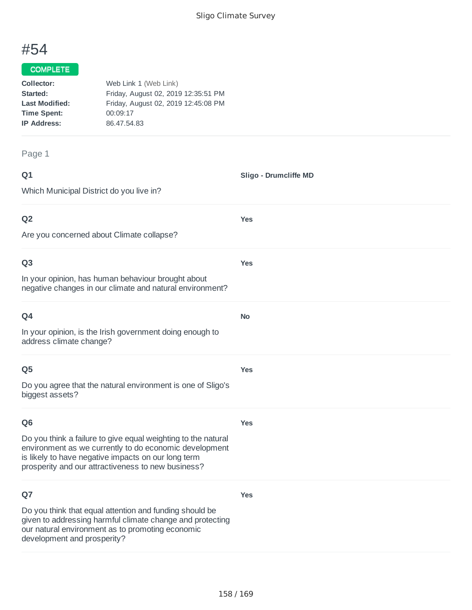**Sligo - Drumcliffe MD**

**Yes**

**Yes**

**No**

**Yes**

**Yes**

**Yes**

# #54

# COMPLETE

| Collector:            | Web Link 1 (Web Link)               |
|-----------------------|-------------------------------------|
| Started:              | Friday, August 02, 2019 12:35:51 PM |
| <b>Last Modified:</b> | Friday, August 02, 2019 12:45:08 PM |
| <b>Time Spent:</b>    | 00:09:17                            |
| <b>IP Address:</b>    | 86.47.54.83                         |
|                       |                                     |

#### Page 1

| ۰      | ٧ |
|--------|---|
| w<br>× |   |

Which Municipal District do you live in?

**Q2**

Are you concerned about Climate collapse?

#### **Q3**

In your opinion, has human behaviour brought about negative changes in our climate and natural environment?

**Q4** In your opinion, is the Irish government doing enough to address climate change?

#### **Q5**

Do you agree that the natural environment is one of Sligo's biggest assets?

#### **Q6**

Do you think a failure to give equal weighting to the natural environment as we currently to do economic development is likely to have negative impacts on our long term prosperity and our attractiveness to new business?

# **Q7**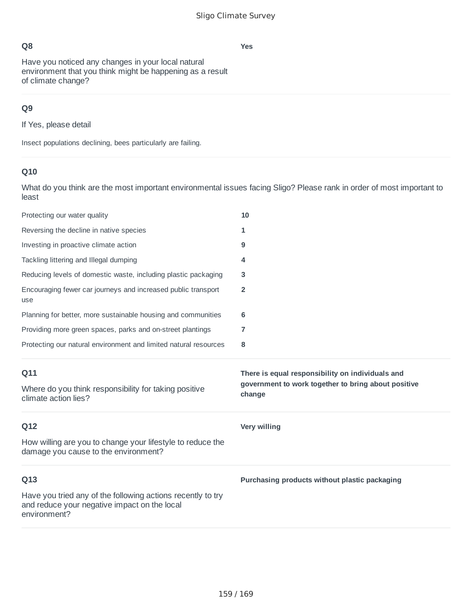Have you noticed any changes in your local natural environment that you think might be happening as a result of climate change?

# **Q9**

If Yes, please detail

Insect populations declining, bees particularly are failing.

# **Q10**

What do you think are the most important environmental issues facing Sligo? Please rank in order of most important to least

| Protecting our water quality                                                                                                | 10                                                            |
|-----------------------------------------------------------------------------------------------------------------------------|---------------------------------------------------------------|
| Reversing the decline in native species                                                                                     | 1                                                             |
| Investing in proactive climate action                                                                                       | 9                                                             |
| Tackling littering and Illegal dumping                                                                                      | 4                                                             |
| Reducing levels of domestic waste, including plastic packaging                                                              | 3                                                             |
| Encouraging fewer car journeys and increased public transport<br>use                                                        | $\overline{2}$                                                |
| Planning for better, more sustainable housing and communities                                                               | 6                                                             |
| Providing more green spaces, parks and on-street plantings                                                                  | 7                                                             |
| Protecting our natural environment and limited natural resources                                                            | 8                                                             |
| Q11                                                                                                                         | There is equal responsibility on individuals and              |
|                                                                                                                             |                                                               |
| Where do you think responsibility for taking positive<br>climate action lies?                                               | government to work together to bring about positive<br>change |
| Q12                                                                                                                         | <b>Very willing</b>                                           |
| How willing are you to change your lifestyle to reduce the<br>damage you cause to the environment?                          |                                                               |
| Q13                                                                                                                         | Purchasing products without plastic packaging                 |
| Have you tried any of the following actions recently to try<br>and reduce your negative impact on the local<br>environment? |                                                               |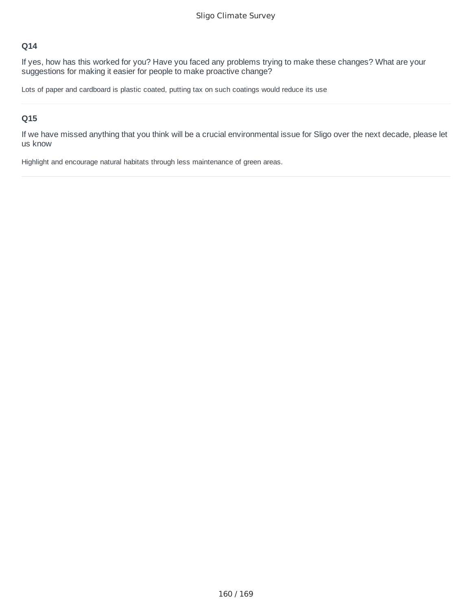If yes, how has this worked for you? Have you faced any problems trying to make these changes? What are your suggestions for making it easier for people to make proactive change?

Lots of paper and cardboard is plastic coated, putting tax on such coatings would reduce its use

# **Q15**

If we have missed anything that you think will be a crucial environmental issue for Sligo over the next decade, please let us know

Highlight and encourage natural habitats through less maintenance of green areas.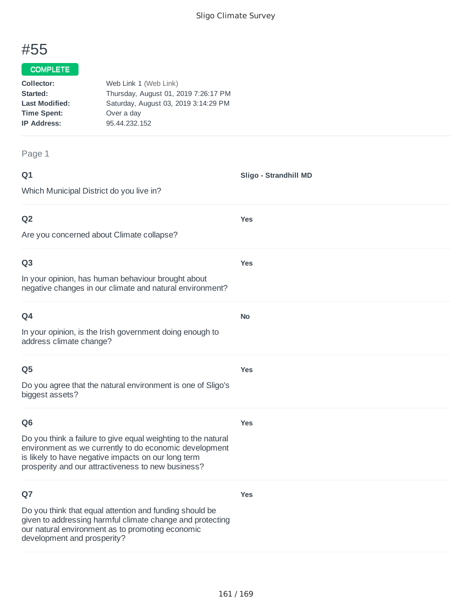**Yes**

**Yes**

**No**

**Yes**

# #55

#### COMPLETE

| Collector:            | Web Link 1 (Web Link)                |
|-----------------------|--------------------------------------|
| Started:              | Thursday, August 01, 2019 7:26:17 PM |
| <b>Last Modified:</b> | Saturday, August 03, 2019 3:14:29 PM |
| <b>Time Spent:</b>    | Over a day                           |
| <b>IP Address:</b>    | 95.44.232.152                        |
|                       |                                      |

#### Page 1

| ۰      | ۰. |
|--------|----|
| w<br>× |    |

Which Municipal District do you live in?

# **Q2**

Are you concerned about Climate collapse?

# **Q3**

In your opinion, has human behaviour brought about negative changes in our climate and natural environment?

| O <sub>4</sub>                                                                      |  |
|-------------------------------------------------------------------------------------|--|
| In your opinion, is the Irish government doing enough to<br>address climate change? |  |

# **Q5**

Do you agree that the natural environment is one of Sligo's biggest assets?

#### **Q6**

**Yes**

**Yes**

Do you think a failure to give equal weighting to the natural environment as we currently to do economic development is likely to have negative impacts on our long term prosperity and our attractiveness to new business?

# **Q7**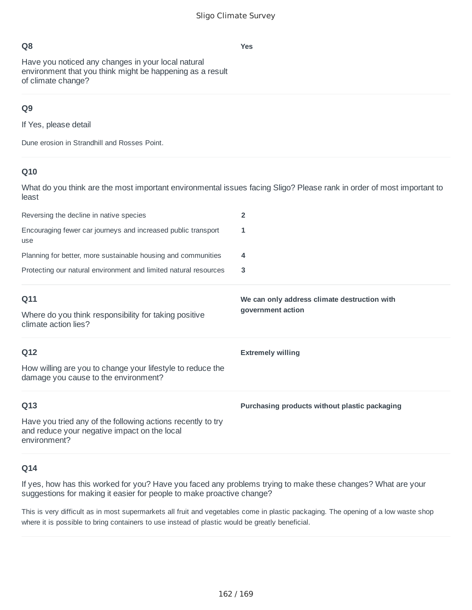**Yes**

# **Q8**

Have you noticed any changes in your local natural environment that you think might be happening as a result of climate change?

# **Q9**

If Yes, please detail

Dune erosion in Strandhill and Rosses Point.

# **Q10**

What do you think are the most important environmental issues facing Sligo? Please rank in order of most important to least

| Reversing the decline in native species                                                                                     | $\overline{2}$                                |
|-----------------------------------------------------------------------------------------------------------------------------|-----------------------------------------------|
| Encouraging fewer car journeys and increased public transport<br>use                                                        | 1                                             |
| Planning for better, more sustainable housing and communities                                                               | 4                                             |
| Protecting our natural environment and limited natural resources                                                            | 3                                             |
| Q11                                                                                                                         | We can only address climate destruction with  |
| Where do you think responsibility for taking positive<br>climate action lies?                                               | government action                             |
| Q12                                                                                                                         | <b>Extremely willing</b>                      |
| How willing are you to change your lifestyle to reduce the<br>damage you cause to the environment?                          |                                               |
| Q13                                                                                                                         | Purchasing products without plastic packaging |
| Have you tried any of the following actions recently to try<br>and reduce your negative impact on the local<br>environment? |                                               |

# **Q14**

If yes, how has this worked for you? Have you faced any problems trying to make these changes? What are your suggestions for making it easier for people to make proactive change?

This is very difficult as in most supermarkets all fruit and vegetables come in plastic packaging. The opening of a low waste shop where it is possible to bring containers to use instead of plastic would be greatly beneficial.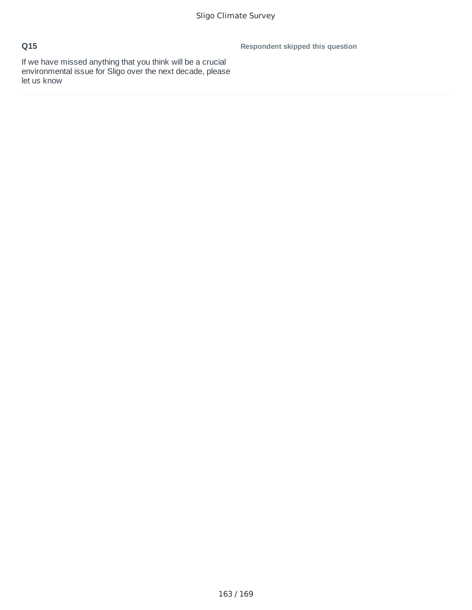**Respondent skipped this question**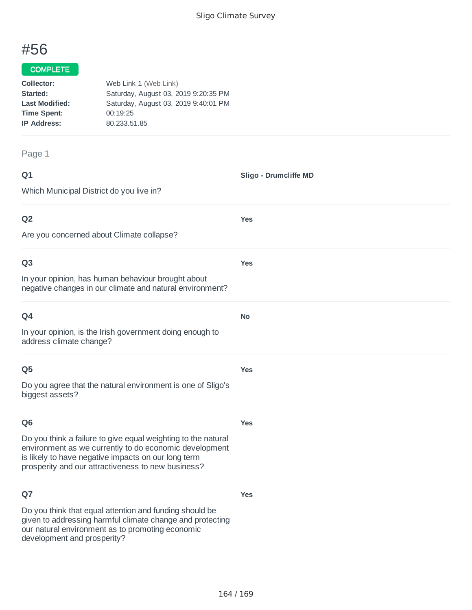# #56

# COMPLETE

| Collector:            | Web Link 1 (Web Link)                |
|-----------------------|--------------------------------------|
| Started:              | Saturday, August 03, 2019 9:20:35 PM |
| <b>Last Modified:</b> | Saturday, August 03, 2019 9:40:01 PM |
| <b>Time Spent:</b>    | 00:19:25                             |
| <b>IP Address:</b>    | 80.233.51.85                         |
|                       |                                      |

#### Page 1

**Q1** Which Municipal District do you live in? **Sligo - Drumcliffe MD Q2** Are you concerned about Climate collapse? **Yes Q3** In your opinion, has human behaviour brought about negative changes in our climate and natural environment? **Yes Q4** In your opinion, is the Irish government doing enough to address climate change? **No Q5** Do you agree that the natural environment is one of Sligo's biggest assets? **Yes Q6** Do you think a failure to give equal weighting to the natural environment as we currently to do economic development is likely to have negative impacts on our long term prosperity and our attractiveness to new business? **Yes**

# **Q7**

Do you think that equal attention and funding should be given to addressing harmful climate change and protecting our natural environment as to promoting economic development and prosperity?

**Yes**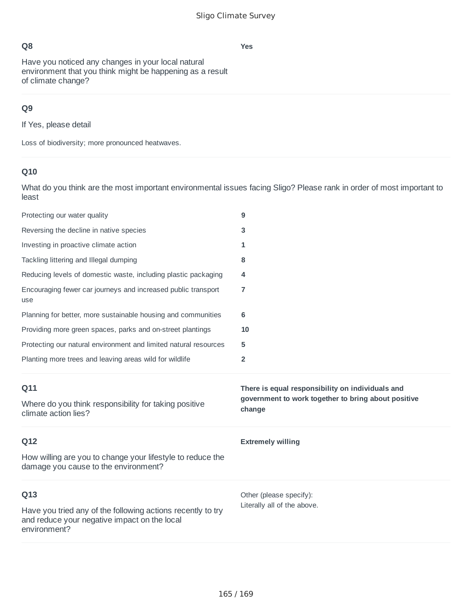**Yes**

# **Q8**

Have you noticed any changes in your local natural environment that you think might be happening as a result of climate change?

# **Q9**

If Yes, please detail

Loss of biodiversity; more pronounced heatwaves.

# **Q10**

What do you think are the most important environmental issues facing Sligo? Please rank in order of most important to least

| Protecting our water quality                                                                       | 9                                                                                                       |
|----------------------------------------------------------------------------------------------------|---------------------------------------------------------------------------------------------------------|
| Reversing the decline in native species                                                            | 3                                                                                                       |
| Investing in proactive climate action                                                              | 1                                                                                                       |
| Tackling littering and Illegal dumping                                                             | 8                                                                                                       |
| Reducing levels of domestic waste, including plastic packaging                                     | 4                                                                                                       |
| Encouraging fewer car journeys and increased public transport<br>use                               | 7                                                                                                       |
| Planning for better, more sustainable housing and communities                                      | 6                                                                                                       |
| Providing more green spaces, parks and on-street plantings                                         | 10                                                                                                      |
| Protecting our natural environment and limited natural resources                                   | 5                                                                                                       |
| Planting more trees and leaving areas wild for wildlife                                            | 2                                                                                                       |
|                                                                                                    |                                                                                                         |
| Q11                                                                                                | There is equal responsibility on individuals and<br>government to work together to bring about positive |
| Where do you think responsibility for taking positive<br>climate action lies?                      | change                                                                                                  |
| Q12                                                                                                | <b>Extremely willing</b>                                                                                |
| How willing are you to change your lifestyle to reduce the<br>damage you cause to the environment? |                                                                                                         |
| Q13                                                                                                | Other (please specify):<br>Literally all of the above.                                                  |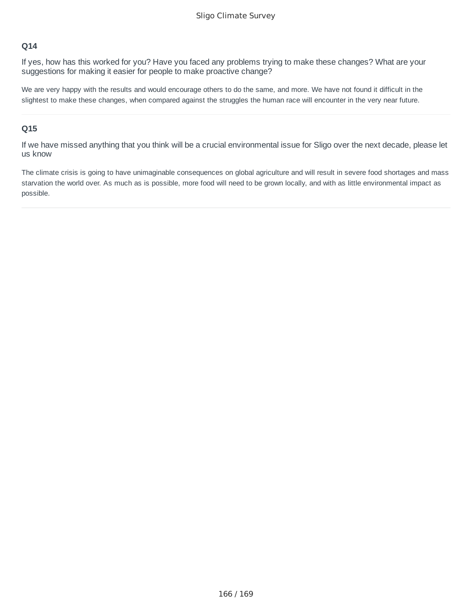If yes, how has this worked for you? Have you faced any problems trying to make these changes? What are your suggestions for making it easier for people to make proactive change?

We are very happy with the results and would encourage others to do the same, and more. We have not found it difficult in the slightest to make these changes, when compared against the struggles the human race will encounter in the very near future.

#### **Q15**

If we have missed anything that you think will be a crucial environmental issue for Sligo over the next decade, please let us know

The climate crisis is going to have unimaginable consequences on global agriculture and will result in severe food shortages and mass starvation the world over. As much as is possible, more food will need to be grown locally, and with as little environmental impact as possible.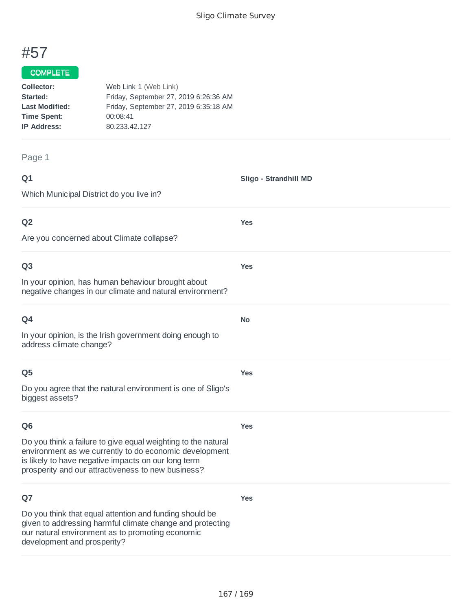

# COMPLETE

| Web Link 1 (Web Link)                 |
|---------------------------------------|
| Friday, September 27, 2019 6:26:36 AM |
| Friday, September 27, 2019 6:35:18 AM |
| 00:08:41                              |
| 80.233.42.127                         |
|                                       |

# Page 1

| w<br>× |
|--------|
|--------|

| Q <sub>1</sub>                                                                                                                                                                                                                       | Sligo - Strandhill MD |
|--------------------------------------------------------------------------------------------------------------------------------------------------------------------------------------------------------------------------------------|-----------------------|
| Which Municipal District do you live in?                                                                                                                                                                                             |                       |
| Q <sub>2</sub>                                                                                                                                                                                                                       | <b>Yes</b>            |
| Are you concerned about Climate collapse?                                                                                                                                                                                            |                       |
| Q <sub>3</sub>                                                                                                                                                                                                                       | <b>Yes</b>            |
| In your opinion, has human behaviour brought about<br>negative changes in our climate and natural environment?                                                                                                                       |                       |
| Q4                                                                                                                                                                                                                                   | No                    |
| In your opinion, is the Irish government doing enough to<br>address climate change?                                                                                                                                                  |                       |
| Q <sub>5</sub>                                                                                                                                                                                                                       | <b>Yes</b>            |
| Do you agree that the natural environment is one of Sligo's<br>biggest assets?                                                                                                                                                       |                       |
| Q <sub>6</sub>                                                                                                                                                                                                                       | <b>Yes</b>            |
| Do you think a failure to give equal weighting to the natural<br>environment as we currently to do economic development<br>is likely to have negative impacts on our long term<br>prosperity and our attractiveness to new business? |                       |
| Q7                                                                                                                                                                                                                                   | <b>Yes</b>            |
| Do you think that equal attention and funding should be<br>given to addressing harmful climate change and protecting<br>our natural environment as to promoting economic<br>development and prosperity?                              |                       |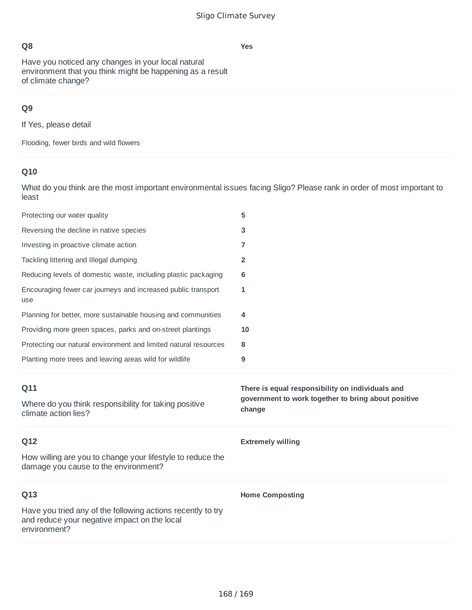**Yes**

# **Q8**

Have you noticed any changes in your local natural environment that you think might be happening as a result of climate change?

# **Q9**

If Yes, please detail

Flooding, fewer birds and wild flowers

# **Q10**

What do you think are the most important environmental issues facing Sligo? Please rank in order of most important to least

| Protecting our water quality                                                                       | 5                                                                                                                 |
|----------------------------------------------------------------------------------------------------|-------------------------------------------------------------------------------------------------------------------|
| Reversing the decline in native species                                                            | 3                                                                                                                 |
| Investing in proactive climate action                                                              | 7                                                                                                                 |
| Tackling littering and Illegal dumping                                                             | $\overline{2}$                                                                                                    |
| Reducing levels of domestic waste, including plastic packaging                                     | 6                                                                                                                 |
| Encouraging fewer car journeys and increased public transport<br>use                               | 1                                                                                                                 |
| Planning for better, more sustainable housing and communities                                      | 4                                                                                                                 |
| Providing more green spaces, parks and on-street plantings                                         | 10                                                                                                                |
| Protecting our natural environment and limited natural resources                                   | 8                                                                                                                 |
| Planting more trees and leaving areas wild for wildlife                                            | 9                                                                                                                 |
|                                                                                                    |                                                                                                                   |
| Q11<br>Where do you think responsibility for taking positive<br>climate action lies?               | There is equal responsibility on individuals and<br>government to work together to bring about positive<br>change |
| Q12                                                                                                | <b>Extremely willing</b>                                                                                          |
| How willing are you to change your lifestyle to reduce the<br>damage you cause to the environment? |                                                                                                                   |
| Q13                                                                                                | <b>Home Composting</b>                                                                                            |